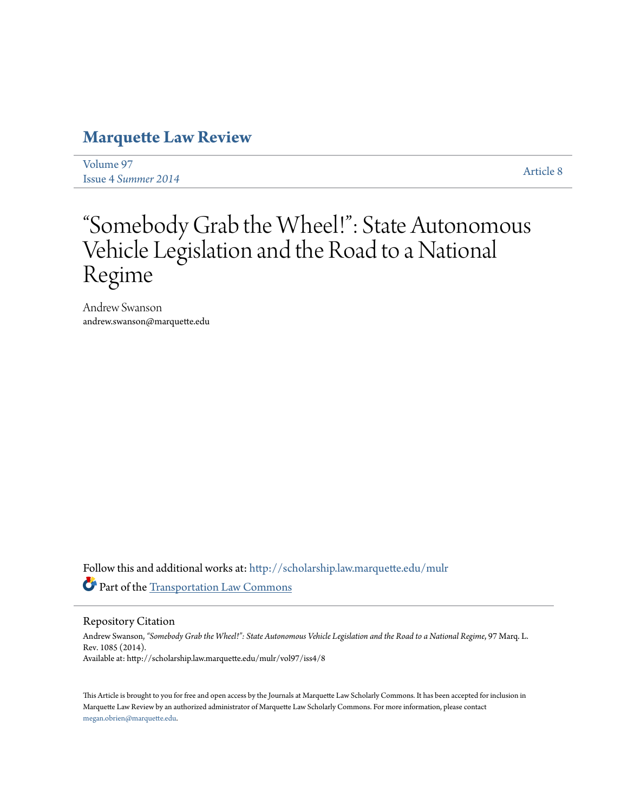# **[Marquette Law Review](http://scholarship.law.marquette.edu/mulr?utm_source=scholarship.law.marquette.edu%2Fmulr%2Fvol97%2Fiss4%2F8&utm_medium=PDF&utm_campaign=PDFCoverPages)**

[Volume 97](http://scholarship.law.marquette.edu/mulr/vol97?utm_source=scholarship.law.marquette.edu%2Fmulr%2Fvol97%2Fiss4%2F8&utm_medium=PDF&utm_campaign=PDFCoverPages) Issue 4 *[Summer 2014](http://scholarship.law.marquette.edu/mulr/vol97/iss4?utm_source=scholarship.law.marquette.edu%2Fmulr%2Fvol97%2Fiss4%2F8&utm_medium=PDF&utm_campaign=PDFCoverPages)* [Article 8](http://scholarship.law.marquette.edu/mulr/vol97/iss4/8?utm_source=scholarship.law.marquette.edu%2Fmulr%2Fvol97%2Fiss4%2F8&utm_medium=PDF&utm_campaign=PDFCoverPages)

# "Somebody Grab the Wheel!": State Autonomous Vehicle Legislation and the Road to a National Regime

Andrew Swanson andrew.swanson@marquette.edu

Follow this and additional works at: [http://scholarship.law.marquette.edu/mulr](http://scholarship.law.marquette.edu/mulr?utm_source=scholarship.law.marquette.edu%2Fmulr%2Fvol97%2Fiss4%2F8&utm_medium=PDF&utm_campaign=PDFCoverPages) Part of the [Transportation Law Commons](http://network.bepress.com/hgg/discipline/885?utm_source=scholarship.law.marquette.edu%2Fmulr%2Fvol97%2Fiss4%2F8&utm_medium=PDF&utm_campaign=PDFCoverPages)

Repository Citation

Andrew Swanson, *"Somebody Grab the Wheel!": State Autonomous Vehicle Legislation and the Road to a National Regime*, 97 Marq. L. Rev. 1085 (2014). Available at: http://scholarship.law.marquette.edu/mulr/vol97/iss4/8

This Article is brought to you for free and open access by the Journals at Marquette Law Scholarly Commons. It has been accepted for inclusion in Marquette Law Review by an authorized administrator of Marquette Law Scholarly Commons. For more information, please contact [megan.obrien@marquette.edu.](mailto:megan.obrien@marquette.edu)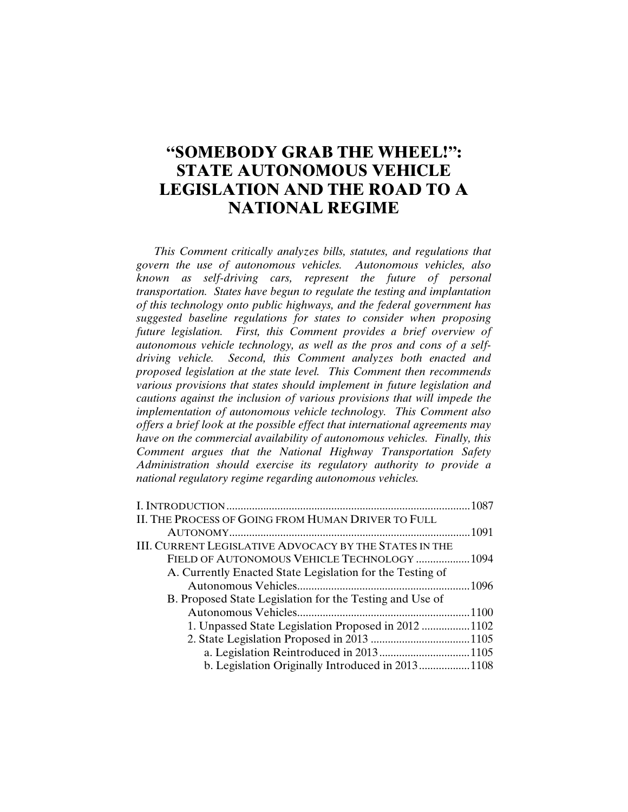# **"SOMEBODY GRAB THE WHEEL!": STATE AUTONOMOUS VEHICLE LEGISLATION AND THE ROAD TO A NATIONAL REGIME**

*This Comment critically analyzes bills, statutes, and regulations that govern the use of autonomous vehicles. Autonomous vehicles, also known as self-driving cars, represent the future of personal transportation. States have begun to regulate the testing and implantation of this technology onto public highways, and the federal government has suggested baseline regulations for states to consider when proposing future legislation. First, this Comment provides a brief overview of autonomous vehicle technology, as well as the pros and cons of a selfdriving vehicle. Second, this Comment analyzes both enacted and proposed legislation at the state level. This Comment then recommends various provisions that states should implement in future legislation and cautions against the inclusion of various provisions that will impede the implementation of autonomous vehicle technology. This Comment also offers a brief look at the possible effect that international agreements may have on the commercial availability of autonomous vehicles. Finally, this Comment argues that the National Highway Transportation Safety Administration should exercise its regulatory authority to provide a national regulatory regime regarding autonomous vehicles.* 

| II. THE PROCESS OF GOING FROM HUMAN DRIVER TO FULL        |  |
|-----------------------------------------------------------|--|
|                                                           |  |
| III. CURRENT LEGISLATIVE ADVOCACY BY THE STATES IN THE    |  |
| FIELD OF AUTONOMOUS VEHICLE TECHNOLOGY  1094              |  |
| A. Currently Enacted State Legislation for the Testing of |  |
|                                                           |  |
| B. Proposed State Legislation for the Testing and Use of  |  |
|                                                           |  |
| 1. Unpassed State Legislation Proposed in 2012 1102       |  |
|                                                           |  |
|                                                           |  |
| b. Legislation Originally Introduced in 20131108          |  |
|                                                           |  |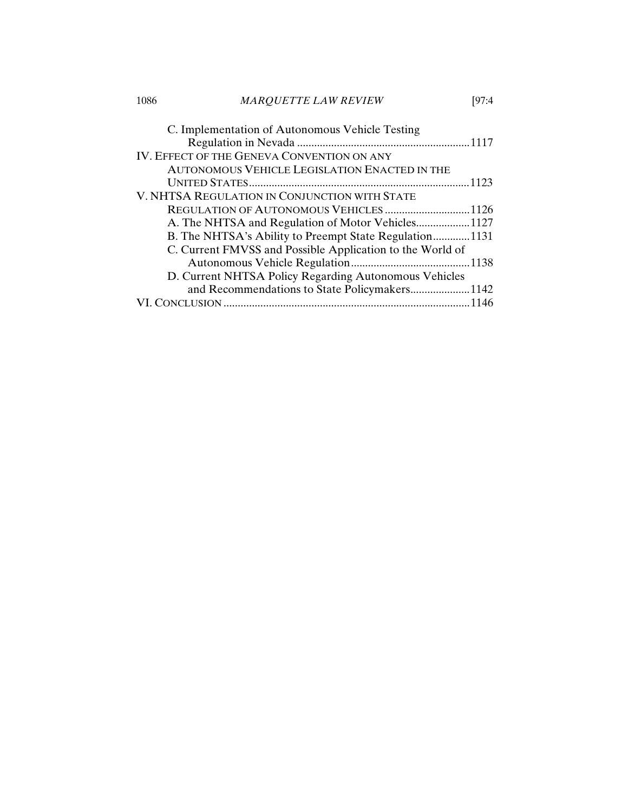| 1086 | <b>MARQUETTE LAW REVIEW</b>                               | 197:4 |
|------|-----------------------------------------------------------|-------|
|      | C. Implementation of Autonomous Vehicle Testing           |       |
|      |                                                           |       |
|      | IV. EFFECT OF THE GENEVA CONVENTION ON ANY                |       |
|      | AUTONOMOUS VEHICLE LEGISLATION ENACTED IN THE             |       |
|      |                                                           |       |
|      | V. NHTSA REGULATION IN CONJUNCTION WITH STATE             |       |
|      | REGULATION OF AUTONOMOUS VEHICLES1126                     |       |
|      |                                                           |       |
|      | B. The NHTSA's Ability to Preempt State Regulation1131    |       |
|      | C. Current FMVSS and Possible Application to the World of |       |
|      |                                                           |       |
|      | D. Current NHTSA Policy Regarding Autonomous Vehicles     |       |
|      | and Recommendations to State Policymakers1142             |       |
|      |                                                           | -1146 |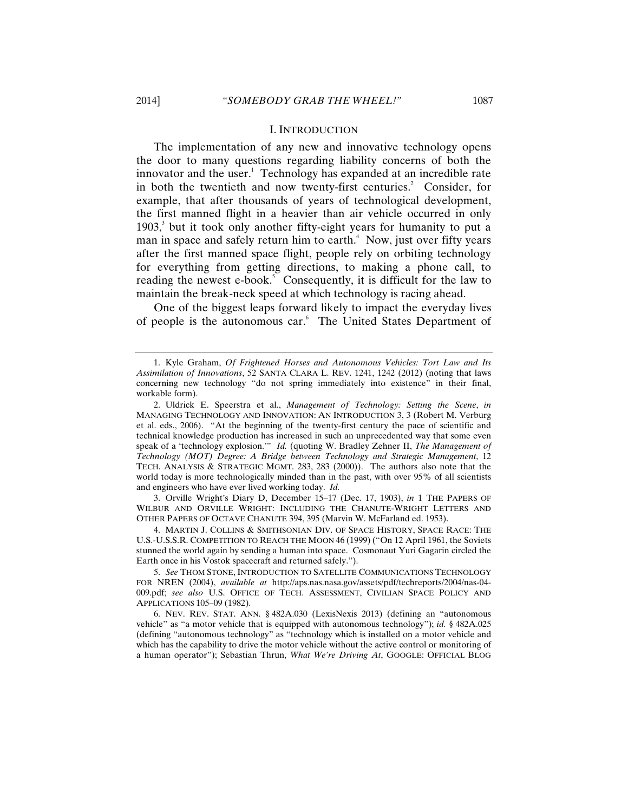#### I. INTRODUCTION

The implementation of any new and innovative technology opens the door to many questions regarding liability concerns of both the innovator and the user. $\frac{1}{1}$  Technology has expanded at an incredible rate in both the twentieth and now twenty-first centuries.<sup>2</sup> Consider, for example, that after thousands of years of technological development, the first manned flight in a heavier than air vehicle occurred in only  $1903$ ,<sup>3</sup> but it took only another fifty-eight years for humanity to put a man in space and safely return him to earth. $4$  Now, just over fifty years after the first manned space flight, people rely on orbiting technology for everything from getting directions, to making a phone call, to reading the newest e-book.<sup>5</sup> Consequently, it is difficult for the law to maintain the break-neck speed at which technology is racing ahead.

One of the biggest leaps forward likely to impact the everyday lives of people is the autonomous car.<sup>6</sup> The United States Department of

3. Orville Wright's Diary D, December 15–17 (Dec. 17, 1903), *in* 1 THE PAPERS OF WILBUR AND ORVILLE WRIGHT: INCLUDING THE CHANUTE-WRIGHT LETTERS AND OTHER PAPERS OF OCTAVE CHANUTE 394, 395 (Marvin W. McFarland ed. 1953).

4. MARTIN J. COLLINS & SMITHSONIAN DIV. OF SPACE HISTORY, SPACE RACE: THE U.S.-U.S.S.R. COMPETITION TO REACH THE MOON 46 (1999) ("On 12 April 1961, the Soviets stunned the world again by sending a human into space. Cosmonaut Yuri Gagarin circled the Earth once in his Vostok spacecraft and returned safely.").

5. *See* THOM STONE, INTRODUCTION TO SATELLITE COMMUNICATIONS TECHNOLOGY FOR NREN (2004), *available at* http://aps.nas.nasa.gov/assets/pdf/techreports/2004/nas-04- 009.pdf; *see also* U.S. OFFICE OF TECH. ASSESSMENT, CIVILIAN SPACE POLICY AND APPLICATIONS 105–09 (1982).

<sup>1.</sup> Kyle Graham, *Of Frightened Horses and Autonomous Vehicles: Tort Law and Its Assimilation of Innovations*, 52 SANTA CLARA L. REV. 1241, 1242 (2012) (noting that laws concerning new technology "do not spring immediately into existence" in their final, workable form).

<sup>2.</sup> Uldrick E. Speerstra et al., *Management of Technology: Setting the Scene*, *in* MANAGING TECHNOLOGY AND INNOVATION: AN INTRODUCTION 3, 3 (Robert M. Verburg et al. eds., 2006). "At the beginning of the twenty-first century the pace of scientific and technical knowledge production has increased in such an unprecedented way that some even speak of a 'technology explosion.'" *Id.* (quoting W. Bradley Zehner II, *The Management of Technology (MOT) Degree: A Bridge between Technology and Strategic Management*, 12 TECH. ANALYSIS & STRATEGIC MGMT. 283, 283 (2000)).The authors also note that the world today is more technologically minded than in the past, with over 95% of all scientists and engineers who have ever lived working today. *Id.*

<sup>6.</sup> NEV. REV. STAT. ANN. § 482A.030 (LexisNexis 2013) (defining an "autonomous vehicle" as "a motor vehicle that is equipped with autonomous technology"); *id.* § 482A.025 (defining "autonomous technology" as "technology which is installed on a motor vehicle and which has the capability to drive the motor vehicle without the active control or monitoring of a human operator"); Sebastian Thrun, *What We're Driving At*, GOOGLE: OFFICIAL BLOG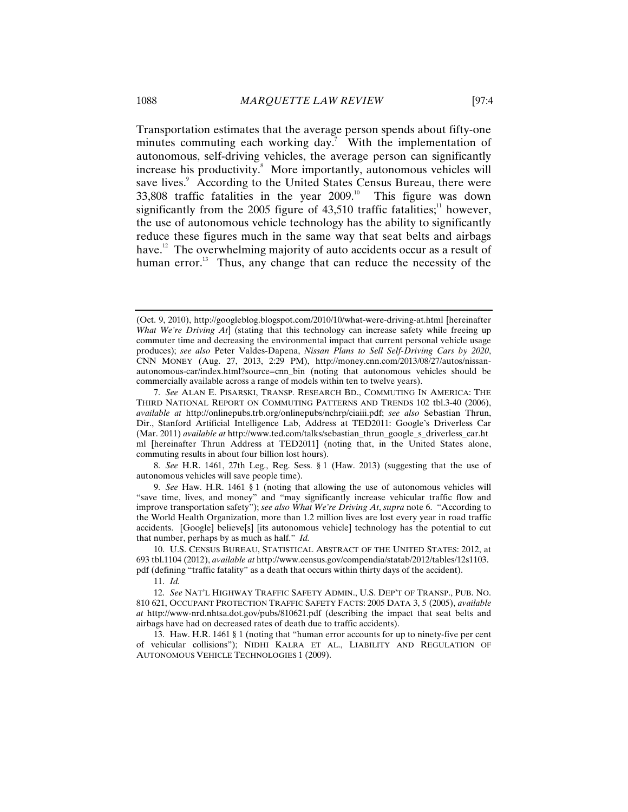Transportation estimates that the average person spends about fifty-one minutes commuting each working day.<sup>7</sup> With the implementation of autonomous, self-driving vehicles, the average person can significantly increase his productivity.<sup>8</sup> More importantly, autonomous vehicles will save lives.<sup>9</sup> According to the United States Census Bureau, there were  $33,808$  traffic fatalities in the year  $2009$ .<sup>10</sup> This figure was down significantly from the 2005 figure of  $43,510$  traffic fatalities;<sup>11</sup> however, the use of autonomous vehicle technology has the ability to significantly reduce these figures much in the same way that seat belts and airbags have.<sup>12</sup> The overwhelming majority of auto accidents occur as a result of human error.<sup>13</sup> Thus, any change that can reduce the necessity of the

8. *See* H.R. 1461, 27th Leg., Reg. Sess. § 1 (Haw. 2013) (suggesting that the use of autonomous vehicles will save people time).

9. *See* Haw. H.R. 1461 § 1 (noting that allowing the use of autonomous vehicles will "save time, lives, and money" and "may significantly increase vehicular traffic flow and improve transportation safety"); *see also What We're Driving At*, *supra* note 6. "According to the World Health Organization, more than 1.2 million lives are lost every year in road traffic accidents. [Google] believe[s] [its autonomous vehicle] technology has the potential to cut that number, perhaps by as much as half." *Id.*

10. U.S. CENSUS BUREAU, STATISTICAL ABSTRACT OF THE UNITED STATES: 2012, at 693 tbl.1104 (2012), *available at* http://www.census.gov/compendia/statab/2012/tables/12s1103. pdf (defining "traffic fatality" as a death that occurs within thirty days of the accident).

11. *Id.*

13. Haw. H.R. 1461 § 1 (noting that "human error accounts for up to ninety-five per cent of vehicular collisions"); NIDHI KALRA ET AL., LIABILITY AND REGULATION OF AUTONOMOUS VEHICLE TECHNOLOGIES 1 (2009).

<sup>(</sup>Oct. 9, 2010), http://googleblog.blogspot.com/2010/10/what-were-driving-at.html [hereinafter *What We're Driving At*] (stating that this technology can increase safety while freeing up commuter time and decreasing the environmental impact that current personal vehicle usage produces); *see also* Peter Valdes-Dapena, *Nissan Plans to Sell Self-Driving Cars by 2020*, CNN MONEY (Aug. 27, 2013, 2:29 PM), http://money.cnn.com/2013/08/27/autos/nissanautonomous-car/index.html?source=cnn\_bin (noting that autonomous vehicles should be commercially available across a range of models within ten to twelve years).

<sup>7.</sup> *See* ALAN E. PISARSKI, TRANSP. RESEARCH BD., COMMUTING IN AMERICA: THE THIRD NATIONAL REPORT ON COMMUTING PATTERNS AND TRENDS 102 tbl.3-40 (2006), *available at* http://onlinepubs.trb.org/onlinepubs/nchrp/ciaiii.pdf; *see also* Sebastian Thrun, Dir., Stanford Artificial Intelligence Lab, Address at TED2011: Google's Driverless Car (Mar. 2011) *available at* http://www.ted.com/talks/sebastian\_thrun\_google\_s\_driverless\_car.ht ml [hereinafter Thrun Address at TED2011] (noting that, in the United States alone, commuting results in about four billion lost hours).

<sup>12.</sup> *See* NAT'L HIGHWAY TRAFFIC SAFETY ADMIN., U.S. DEP'T OF TRANSP., PUB. NO. 810 621, OCCUPANT PROTECTION TRAFFIC SAFETY FACTS: 2005 DATA 3, 5 (2005), *available at* http://www-nrd.nhtsa.dot.gov/pubs/810621.pdf (describing the impact that seat belts and airbags have had on decreased rates of death due to traffic accidents).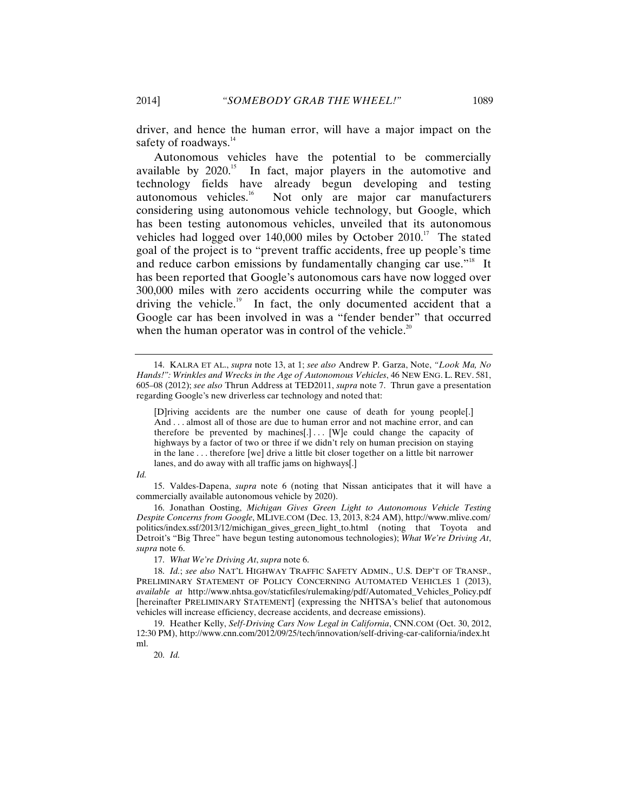driver, and hence the human error, will have a major impact on the safety of roadways.<sup>14</sup>

Autonomous vehicles have the potential to be commercially available by 2020.<sup>15</sup> In fact, major players in the automotive and technology fields have already begun developing and testing<br>autonomous vehicles.<sup>16</sup> Not only are maior car manufacturers Not only are major car manufacturers considering using autonomous vehicle technology, but Google, which has been testing autonomous vehicles, unveiled that its autonomous vehicles had logged over  $140,000$  miles by October  $2010$ .<sup>17</sup> The stated goal of the project is to "prevent traffic accidents, free up people's time and reduce carbon emissions by fundamentally changing car use."<sup>18</sup> It has been reported that Google's autonomous cars have now logged over 300,000 miles with zero accidents occurring while the computer was driving the vehicle.<sup>19</sup> In fact, the only documented accident that a Google car has been involved in was a "fender bender" that occurred when the human operator was in control of the vehicle.<sup>20</sup>

15. Valdes-Dapena, *supra* note 6 (noting that Nissan anticipates that it will have a commercially available autonomous vehicle by 2020).

16. Jonathan Oosting, *Michigan Gives Green Light to Autonomous Vehicle Testing Despite Concerns from Google*, MLIVE.COM (Dec. 13, 2013, 8:24 AM), http://www.mlive.com/ politics/index.ssf/2013/12/michigan\_gives\_green\_light\_to.html (noting that Toyota and Detroit's "Big Three" have begun testing autonomous technologies); *What We're Driving At*, *supra* note 6.

17. *What We're Driving At*, *supra* note 6.

18. *Id.*; *see also* NAT'L HIGHWAY TRAFFIC SAFETY ADMIN., U.S. DEP'T OF TRANSP., PRELIMINARY STATEMENT OF POLICY CONCERNING AUTOMATED VEHICLES 1 (2013), *available at* http://www.nhtsa.gov/staticfiles/rulemaking/pdf/Automated\_Vehicles\_Policy.pdf [hereinafter PRELIMINARY STATEMENT] (expressing the NHTSA's belief that autonomous vehicles will increase efficiency, decrease accidents, and decrease emissions).

19. Heather Kelly, *Self-Driving Cars Now Legal in California*, CNN.COM (Oct. 30, 2012, 12:30 PM), http://www.cnn.com/2012/09/25/tech/innovation/self-driving-car-california/index.ht ml.

20. *Id.*

<sup>14.</sup> KALRA ET AL., *supra* note 13, at 1; *see also* Andrew P. Garza, Note, *"Look Ma, No Hands!": Wrinkles and Wrecks in the Age of Autonomous Vehicles*, 46 NEW ENG. L. REV. 581, 605–08 (2012); *see also* Thrun Address at TED2011, *supra* note 7. Thrun gave a presentation regarding Google's new driverless car technology and noted that:

<sup>[</sup>D]riving accidents are the number one cause of death for young people[.] And . . . almost all of those are due to human error and not machine error, and can therefore be prevented by machines[.]... [W]e could change the capacity of highways by a factor of two or three if we didn't rely on human precision on staying in the lane . . . therefore [we] drive a little bit closer together on a little bit narrower lanes, and do away with all traffic jams on highways[.]

*Id.*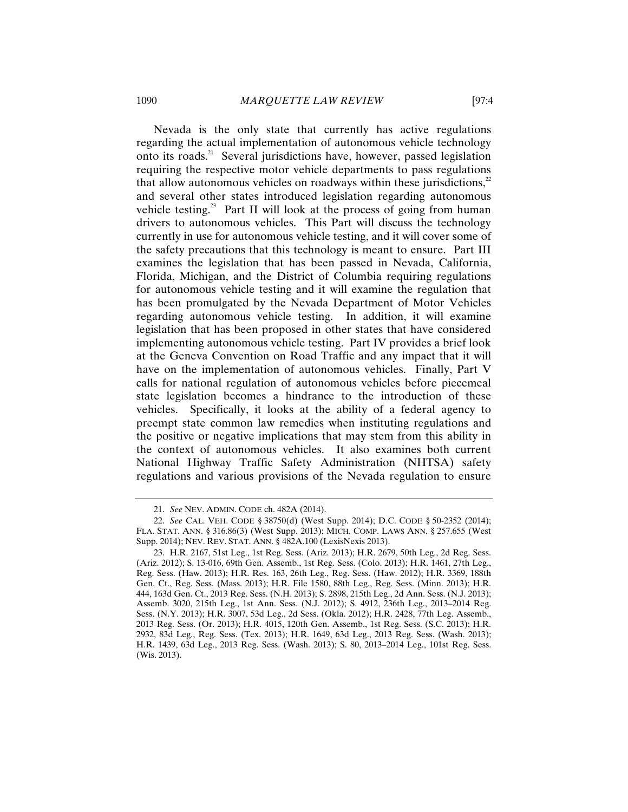Nevada is the only state that currently has active regulations regarding the actual implementation of autonomous vehicle technology onto its roads.<sup>21</sup> Several jurisdictions have, however, passed legislation requiring the respective motor vehicle departments to pass regulations that allow autonomous vehicles on roadways within these jurisdictions, $2^2$ and several other states introduced legislation regarding autonomous vehicle testing.<sup>23</sup> Part II will look at the process of going from human drivers to autonomous vehicles. This Part will discuss the technology currently in use for autonomous vehicle testing, and it will cover some of the safety precautions that this technology is meant to ensure. Part III examines the legislation that has been passed in Nevada, California, Florida, Michigan, and the District of Columbia requiring regulations for autonomous vehicle testing and it will examine the regulation that has been promulgated by the Nevada Department of Motor Vehicles regarding autonomous vehicle testing. In addition, it will examine legislation that has been proposed in other states that have considered implementing autonomous vehicle testing. Part IV provides a brief look at the Geneva Convention on Road Traffic and any impact that it will have on the implementation of autonomous vehicles. Finally, Part V calls for national regulation of autonomous vehicles before piecemeal state legislation becomes a hindrance to the introduction of these vehicles. Specifically, it looks at the ability of a federal agency to preempt state common law remedies when instituting regulations and the positive or negative implications that may stem from this ability in the context of autonomous vehicles. It also examines both current National Highway Traffic Safety Administration (NHTSA) safety regulations and various provisions of the Nevada regulation to ensure

<sup>21.</sup> *See* NEV. ADMIN. CODE ch. 482A (2014).

<sup>22.</sup> *See* CAL. VEH. CODE § 38750(d) (West Supp. 2014); D.C. CODE § 50-2352 (2014); FLA. STAT. ANN. § 316.86(3) (West Supp. 2013); MICH. COMP. LAWS ANN. § 257.655 (West Supp. 2014); NEV. REV. STAT. ANN. § 482A.100 (LexisNexis 2013).

<sup>23.</sup> H.R. 2167, 51st Leg., 1st Reg. Sess. (Ariz. 2013); H.R. 2679, 50th Leg., 2d Reg. Sess. (Ariz. 2012); S. 13-016, 69th Gen. Assemb., 1st Reg. Sess. (Colo. 2013); H.R. 1461, 27th Leg., Reg. Sess. (Haw. 2013); H.R. Res. 163, 26th Leg., Reg. Sess. (Haw. 2012); H.R. 3369, 188th Gen. Ct., Reg. Sess. (Mass. 2013); H.R. File 1580, 88th Leg., Reg. Sess. (Minn. 2013); H.R. 444, 163d Gen. Ct., 2013 Reg. Sess. (N.H. 2013); S. 2898, 215th Leg., 2d Ann. Sess. (N.J. 2013); Assemb. 3020, 215th Leg., 1st Ann. Sess. (N.J. 2012); S. 4912, 236th Leg., 2013–2014 Reg. Sess. (N.Y. 2013); H.R. 3007, 53d Leg., 2d Sess. (Okla. 2012); H.R. 2428, 77th Leg. Assemb., 2013 Reg. Sess. (Or. 2013); H.R. 4015, 120th Gen. Assemb., 1st Reg. Sess. (S.C. 2013); H.R. 2932, 83d Leg., Reg. Sess. (Tex. 2013); H.R. 1649, 63d Leg., 2013 Reg. Sess. (Wash. 2013); H.R. 1439, 63d Leg., 2013 Reg. Sess. (Wash. 2013); S. 80, 2013–2014 Leg., 101st Reg. Sess. (Wis. 2013).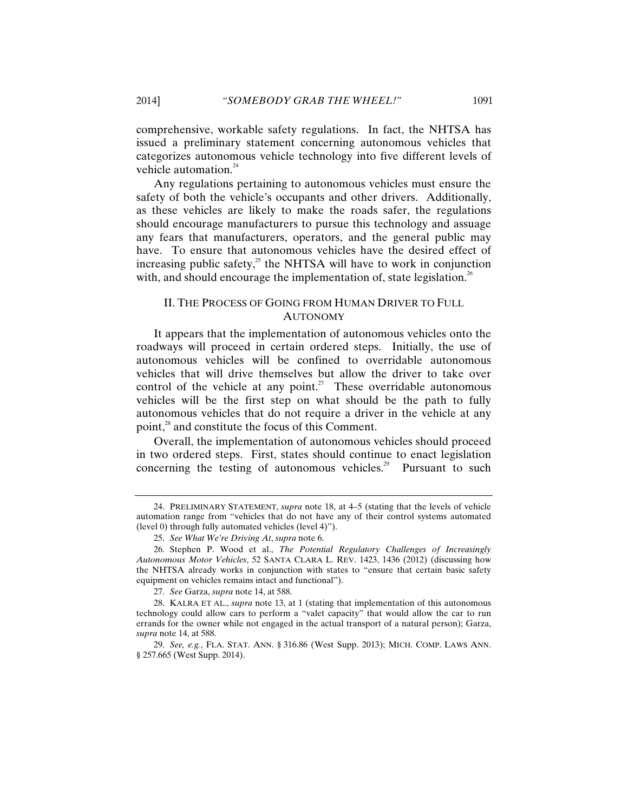comprehensive, workable safety regulations. In fact, the NHTSA has issued a preliminary statement concerning autonomous vehicles that categorizes autonomous vehicle technology into five different levels of vehicle automation.<sup>24</sup>

Any regulations pertaining to autonomous vehicles must ensure the safety of both the vehicle's occupants and other drivers. Additionally, as these vehicles are likely to make the roads safer, the regulations should encourage manufacturers to pursue this technology and assuage any fears that manufacturers, operators, and the general public may have. To ensure that autonomous vehicles have the desired effect of increasing public safety, $25$  the NHTSA will have to work in conjunction with, and should encourage the implementation of, state legislation.<sup>26</sup>

#### II. THE PROCESS OF GOING FROM HUMAN DRIVER TO FULL AUTONOMY

It appears that the implementation of autonomous vehicles onto the roadways will proceed in certain ordered steps. Initially, the use of autonomous vehicles will be confined to overridable autonomous vehicles that will drive themselves but allow the driver to take over control of the vehicle at any point.<sup>27</sup> These overridable autonomous vehicles will be the first step on what should be the path to fully autonomous vehicles that do not require a driver in the vehicle at any point,<sup>28</sup> and constitute the focus of this Comment.

Overall, the implementation of autonomous vehicles should proceed in two ordered steps. First, states should continue to enact legislation concerning the testing of autonomous vehicles.<sup>29</sup> Pursuant to such

<sup>24.</sup> PRELIMINARY STATEMENT, *supra* note 18, at 4–5 (stating that the levels of vehicle automation range from "vehicles that do not have any of their control systems automated (level 0) through fully automated vehicles (level 4)").

<sup>25.</sup> *See What We're Driving At*, *supra* note 6.

<sup>26.</sup> Stephen P. Wood et al., *The Potential Regulatory Challenges of Increasingly Autonomous Motor Vehicles*, 52 SANTA CLARA L. REV. 1423, 1436 (2012) (discussing how the NHTSA already works in conjunction with states to "ensure that certain basic safety equipment on vehicles remains intact and functional").

<sup>27.</sup> *See* Garza, *supra* note 14, at 588.

<sup>28.</sup> KALRA ET AL., *supra* note 13, at 1 (stating that implementation of this autonomous technology could allow cars to perform a "valet capacity" that would allow the car to run errands for the owner while not engaged in the actual transport of a natural person); Garza, *supra* note 14, at 588.

<sup>29.</sup> *See, e.g.*, FLA. STAT. ANN. § 316.86 (West Supp. 2013); MICH. COMP. LAWS ANN. § 257.665 (West Supp. 2014).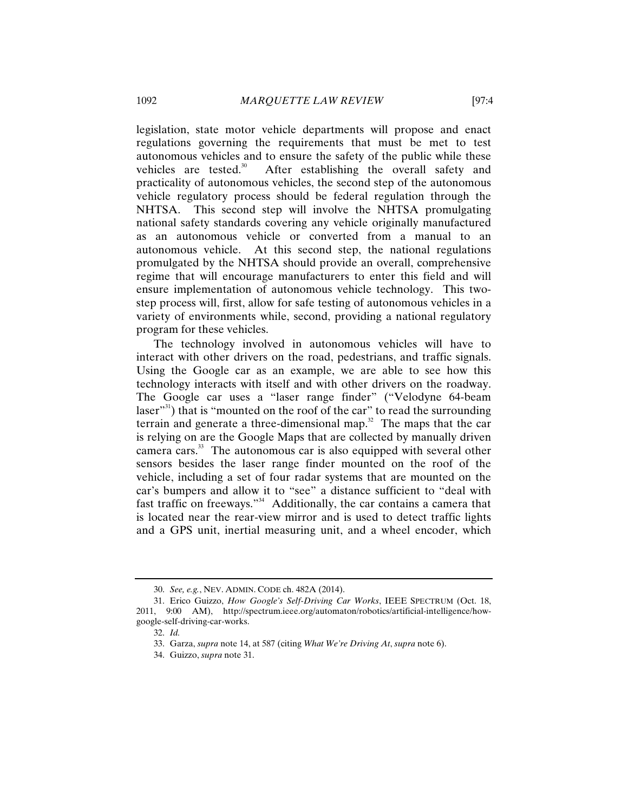legislation, state motor vehicle departments will propose and enact regulations governing the requirements that must be met to test autonomous vehicles and to ensure the safety of the public while these vehicles are tested. $30$  After establishing the overall safety and practicality of autonomous vehicles, the second step of the autonomous vehicle regulatory process should be federal regulation through the NHTSA. This second step will involve the NHTSA promulgating national safety standards covering any vehicle originally manufactured as an autonomous vehicle or converted from a manual to an autonomous vehicle. At this second step, the national regulations promulgated by the NHTSA should provide an overall, comprehensive regime that will encourage manufacturers to enter this field and will ensure implementation of autonomous vehicle technology. This twostep process will, first, allow for safe testing of autonomous vehicles in a variety of environments while, second, providing a national regulatory program for these vehicles.

The technology involved in autonomous vehicles will have to interact with other drivers on the road, pedestrians, and traffic signals. Using the Google car as an example, we are able to see how this technology interacts with itself and with other drivers on the roadway. The Google car uses a "laser range finder" ("Velodyne 64-beam laser"<sup>31</sup>) that is "mounted on the roof of the car" to read the surrounding terrain and generate a three-dimensional map. $32$  The maps that the car is relying on are the Google Maps that are collected by manually driven camera cars.<sup>33</sup> The autonomous car is also equipped with several other sensors besides the laser range finder mounted on the roof of the vehicle, including a set of four radar systems that are mounted on the car's bumpers and allow it to "see" a distance sufficient to "deal with fast traffic on freeways."34 Additionally, the car contains a camera that is located near the rear-view mirror and is used to detect traffic lights and a GPS unit, inertial measuring unit, and a wheel encoder, which

<sup>30.</sup> *See, e.g.*, NEV. ADMIN. CODE ch. 482A (2014).

<sup>31.</sup> Erico Guizzo, *How Google's Self-Driving Car Works*, IEEE SPECTRUM (Oct. 18, 2011, 9:00 AM), http://spectrum.ieee.org/automaton/robotics/artificial-intelligence/howgoogle-self-driving-car-works.

<sup>32.</sup> *Id.*

<sup>33.</sup> Garza, *supra* note 14, at 587 (citing *What We're Driving At*, *supra* note 6).

<sup>34.</sup> Guizzo, *supra* note 31.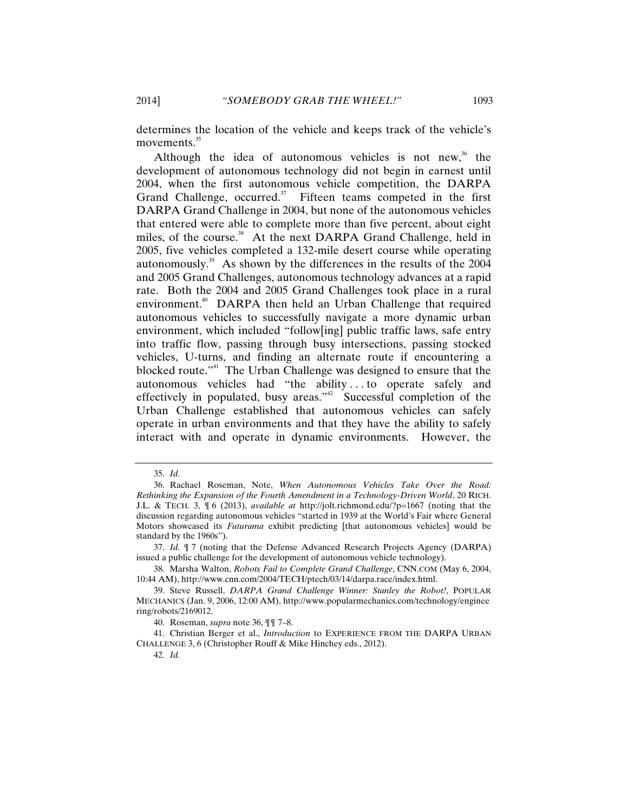determines the location of the vehicle and keeps track of the vehicle's movements.<sup>35</sup>

Although the idea of autonomous vehicles is not new, $36$  the development of autonomous technology did not begin in earnest until 2004, when the first autonomous vehicle competition, the DARPA Grand Challenge, occurred. $37$  Fifteen teams competed in the first DARPA Grand Challenge in 2004, but none of the autonomous vehicles that entered were able to complete more than five percent, about eight miles, of the course.<sup>38</sup> At the next DARPA Grand Challenge, held in 2005, five vehicles completed a 132-mile desert course while operating autonomously.39 As shown by the differences in the results of the 2004 and 2005 Grand Challenges, autonomous technology advances at a rapid rate. Both the 2004 and 2005 Grand Challenges took place in a rural environment.<sup>40</sup> DARPA then held an Urban Challenge that required autonomous vehicles to successfully navigate a more dynamic urban environment, which included "follow[ing] public traffic laws, safe entry into traffic flow, passing through busy intersections, passing stocked vehicles, U-turns, and finding an alternate route if encountering a blocked route."41 The Urban Challenge was designed to ensure that the autonomous vehicles had "the ability . . . to operate safely and effectively in populated, busy areas."<sup>42</sup> Successful completion of the Urban Challenge established that autonomous vehicles can safely operate in urban environments and that they have the ability to safely interact with and operate in dynamic environments. However, the

<sup>35.</sup> *Id.*

<sup>36.</sup> Rachael Roseman, Note, *When Autonomous Vehicles Take Over the Road: Rethinking the Expansion of the Fourth Amendment in a Technology-Driven World*, 20 RICH. J.L. & TECH. 3, ¶ 6 (2013), *available at* http://jolt.richmond.edu/?p=1667 (noting that the discussion regarding autonomous vehicles "started in 1939 at the World's Fair where General Motors showcased its *Futurama* exhibit predicting [that autonomous vehicles] would be standard by the 1960s").

<sup>37.</sup> *Id.* ¶ 7 (noting that the Defense Advanced Research Projects Agency (DARPA) issued a public challenge for the development of autonomous vehicle technology).

<sup>38.</sup> Marsha Walton, *Robots Fail to Complete Grand Challenge*, CNN.COM (May 6, 2004, 10:44 AM), http://www.cnn.com/2004/TECH/ptech/03/14/darpa.race/index.html.

<sup>39.</sup> Steve Russell, *DARPA Grand Challenge Winner: Stanley the Robot!*, POPULAR MECHANICS (Jan. 9, 2006, 12:00 AM), http://www.popularmechanics.com/technology/enginee ring/robots/2169012.

<sup>40.</sup> Roseman, *supra* note 36, ¶¶ 7–8.

<sup>41.</sup> Christian Berger et al., *Introduction* to EXPERIENCE FROM THE DARPA URBAN CHALLENGE 3, 6 (Christopher Rouff & Mike Hinchey eds., 2012).

<sup>42.</sup> *Id.*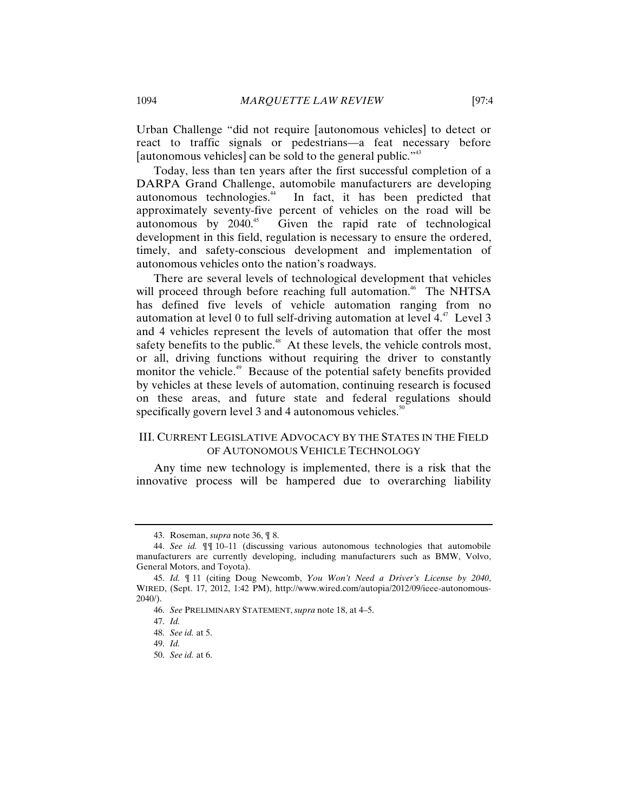Urban Challenge "did not require [autonomous vehicles] to detect or react to traffic signals or pedestrians—a feat necessary before [autonomous vehicles] can be sold to the general public."<sup>43</sup>

Today, less than ten years after the first successful completion of a DARPA Grand Challenge, automobile manufacturers are developing autonomous technologies.<sup>44</sup> In fact, it has been predicted that approximately seventy-five percent of vehicles on the road will be autonomous by  $2040<sup>45</sup>$  Given the rapid rate of technological development in this field, regulation is necessary to ensure the ordered, timely, and safety-conscious development and implementation of autonomous vehicles onto the nation's roadways.

There are several levels of technological development that vehicles will proceed through before reaching full automation.<sup>46</sup> The NHTSA has defined five levels of vehicle automation ranging from no automation at level 0 to full self-driving automation at level  $4<sup>47</sup>$  Level 3 and 4 vehicles represent the levels of automation that offer the most safety benefits to the public.<sup>48</sup> At these levels, the vehicle controls most, or all, driving functions without requiring the driver to constantly monitor the vehicle.<sup>49</sup> Because of the potential safety benefits provided by vehicles at these levels of automation, continuing research is focused on these areas, and future state and federal regulations should specifically govern level 3 and 4 autonomous vehicles.<sup>50</sup>

# III. CURRENT LEGISLATIVE ADVOCACY BY THE STATES IN THE FIELD OF AUTONOMOUS VEHICLE TECHNOLOGY

Any time new technology is implemented, there is a risk that the innovative process will be hampered due to overarching liability

<sup>43.</sup> Roseman, *supra* note 36, ¶ 8.

<sup>44.</sup> *See id.* ¶¶ 10–11 (discussing various autonomous technologies that automobile manufacturers are currently developing, including manufacturers such as BMW, Volvo, General Motors, and Toyota).

<sup>45.</sup> *Id.* ¶ 11 (citing Doug Newcomb, *You Won't Need a Driver's License by 2040*, WIRED, (Sept. 17, 2012, 1:42 PM), http://www.wired.com/autopia/2012/09/ieee-autonomous-2040/).

<sup>46.</sup> *See* PRELIMINARY STATEMENT, *supra* note 18, at 4–5.

<sup>47.</sup> *Id.*

<sup>48.</sup> *See id.* at 5.

<sup>49.</sup> *Id.*

<sup>50.</sup> *See id.* at 6.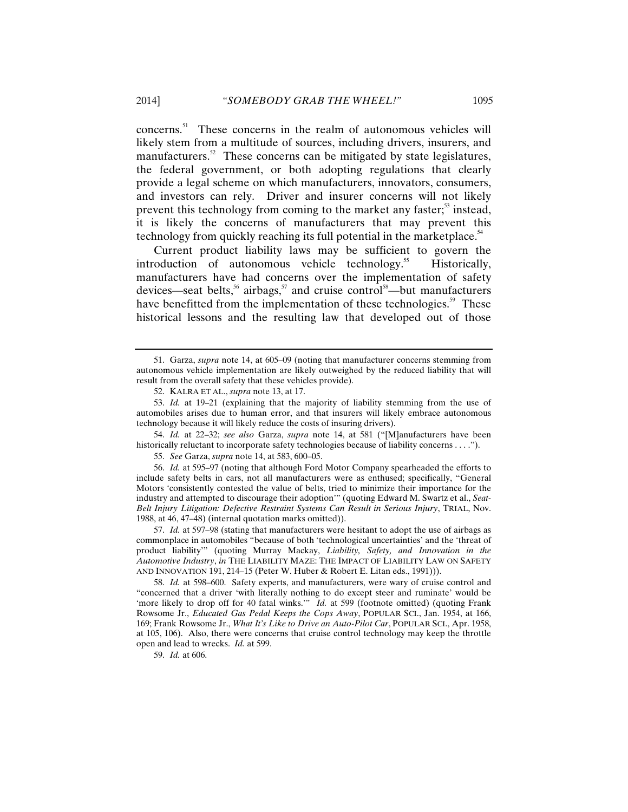concerns.<sup>51</sup> These concerns in the realm of autonomous vehicles will likely stem from a multitude of sources, including drivers, insurers, and manufacturers.<sup>52</sup> These concerns can be mitigated by state legislatures, the federal government, or both adopting regulations that clearly provide a legal scheme on which manufacturers, innovators, consumers, and investors can rely. Driver and insurer concerns will not likely prevent this technology from coming to the market any faster; $53$  instead, it is likely the concerns of manufacturers that may prevent this technology from quickly reaching its full potential in the marketplace.<sup>54</sup>

Current product liability laws may be sufficient to govern the introduction of autonomous vehicle technology.<sup>55</sup> Historically, manufacturers have had concerns over the implementation of safety devices—seat belts,<sup>56</sup> airbags,<sup>57</sup> and cruise control<sup>58</sup>—but manufacturers have benefitted from the implementation of these technologies.<sup>59</sup> These historical lessons and the resulting law that developed out of those

54. *Id.* at 22–32; *see also* Garza, *supra* note 14, at 581 ("[M]anufacturers have been historically reluctant to incorporate safety technologies because of liability concerns . . . .").

55. *See* Garza, *supra* note 14, at 583, 600–05.

56. *Id.* at 595–97 (noting that although Ford Motor Company spearheaded the efforts to include safety belts in cars, not all manufacturers were as enthused; specifically, "General Motors 'consistently contested the value of belts, tried to minimize their importance for the industry and attempted to discourage their adoption'" (quoting Edward M. Swartz et al., *Seat-Belt Injury Litigation: Defective Restraint Systems Can Result in Serious Injury*, TRIAL, Nov. 1988, at 46, 47–48) (internal quotation marks omitted)).

57. *Id.* at 597–98 (stating that manufacturers were hesitant to adopt the use of airbags as commonplace in automobiles "because of both 'technological uncertainties' and the 'threat of product liability'" (quoting Murray Mackay, *Liability, Safety, and Innovation in the Automotive Industry*, *in* THE LIABILITY MAZE: THE IMPACT OF LIABILITY LAW ON SAFETY AND INNOVATION 191, 214–15 (Peter W. Huber & Robert E. Litan eds., 1991))).

58. *Id.* at 598–600. Safety experts, and manufacturers, were wary of cruise control and "concerned that a driver 'with literally nothing to do except steer and ruminate' would be 'more likely to drop off for 40 fatal winks.'" *Id.* at 599 (footnote omitted) (quoting Frank Rowsome Jr., *Educated Gas Pedal Keeps the Cops Away*, POPULAR SCI., Jan. 1954, at 166, 169; Frank Rowsome Jr., *What It's Like to Drive an Auto-Pilot Car*, POPULAR SCI., Apr. 1958, at 105, 106). Also, there were concerns that cruise control technology may keep the throttle open and lead to wrecks. *Id.* at 599.

59. *Id.* at 606.

<sup>51.</sup> Garza, *supra* note 14, at 605–09 (noting that manufacturer concerns stemming from autonomous vehicle implementation are likely outweighed by the reduced liability that will result from the overall safety that these vehicles provide).

<sup>52.</sup> KALRA ET AL., *supra* note 13, at 17.

<sup>53.</sup> *Id.* at 19–21 (explaining that the majority of liability stemming from the use of automobiles arises due to human error, and that insurers will likely embrace autonomous technology because it will likely reduce the costs of insuring drivers).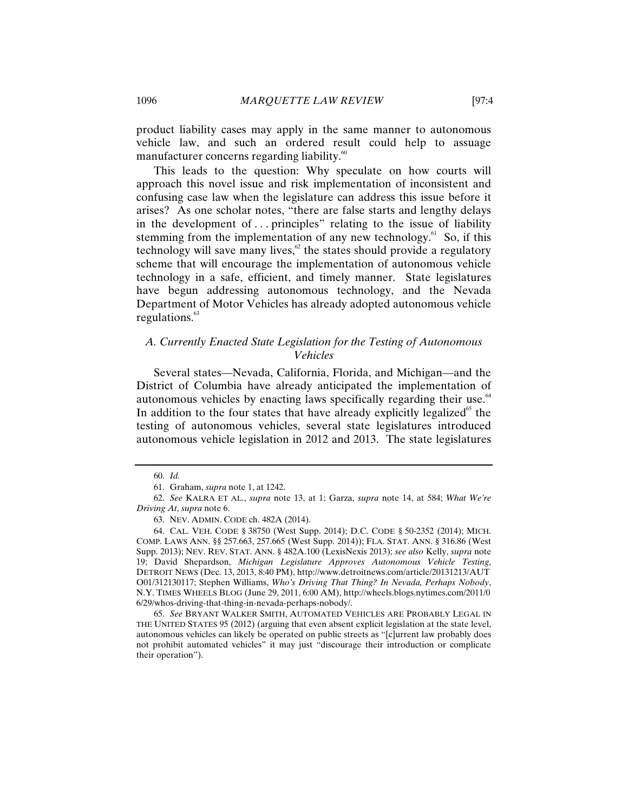product liability cases may apply in the same manner to autonomous vehicle law, and such an ordered result could help to assuage manufacturer concerns regarding liability.<sup>60</sup>

This leads to the question: Why speculate on how courts will approach this novel issue and risk implementation of inconsistent and confusing case law when the legislature can address this issue before it arises? As one scholar notes, "there are false starts and lengthy delays in the development of  $\ldots$  principles" relating to the issue of liability stemming from the implementation of any new technology. $61$  So, if this technology will save many lives, $62$  the states should provide a regulatory scheme that will encourage the implementation of autonomous vehicle technology in a safe, efficient, and timely manner. State legislatures have begun addressing autonomous technology, and the Nevada Department of Motor Vehicles has already adopted autonomous vehicle regulations. $63$ 

# *A. Currently Enacted State Legislation for the Testing of Autonomous Vehicles*

Several states—Nevada, California, Florida, and Michigan—and the District of Columbia have already anticipated the implementation of autonomous vehicles by enacting laws specifically regarding their use.<sup>64</sup> In addition to the four states that have already explicitly legalized<sup>65</sup> the testing of autonomous vehicles, several state legislatures introduced autonomous vehicle legislation in 2012 and 2013. The state legislatures

65. *See* BRYANT WALKER SMITH, AUTOMATED VEHICLES ARE PROBABLY LEGAL IN THE UNITED STATES 95 (2012) (arguing that even absent explicit legislation at the state level, autonomous vehicles can likely be operated on public streets as "[c]urrent law probably does not prohibit automated vehicles" it may just "discourage their introduction or complicate their operation").

<sup>60.</sup> *Id.*

<sup>61.</sup> Graham, *supra* note 1, at 1242.

<sup>62.</sup> *See* KALRA ET AL., *supra* note 13, at 1; Garza, *supra* note 14, at 584; *What We're Driving At*, *supra* note 6.

<sup>63.</sup> NEV. ADMIN. CODE ch. 482A (2014).

<sup>64.</sup> CAL. VEH. CODE § 38750 (West Supp. 2014); D.C. CODE § 50-2352 (2014); MICH. COMP. LAWS ANN. §§ 257.663, 257.665 (West Supp. 2014)); FLA. STAT. ANN. § 316.86 (West Supp. 2013); NEV. REV. STAT. ANN. § 482A.100 (LexisNexis 2013); *see also* Kelly, *supra* note 19; David Shepardson, *Michigan Legislature Approves Autonomous Vehicle Testing*, DETROIT NEWS (Dec. 13, 2013, 8:40 PM), http://www.detroitnews.com/article/20131213/AUT O01/312130117; Stephen Williams, *Who's Driving That Thing? In Nevada, Perhaps Nobody*, N.Y. TIMES WHEELS BLOG (June 29, 2011, 6:00 AM), http://wheels.blogs.nytimes.com/2011/0 6/29/whos-driving-that-thing-in-nevada-perhaps-nobody/.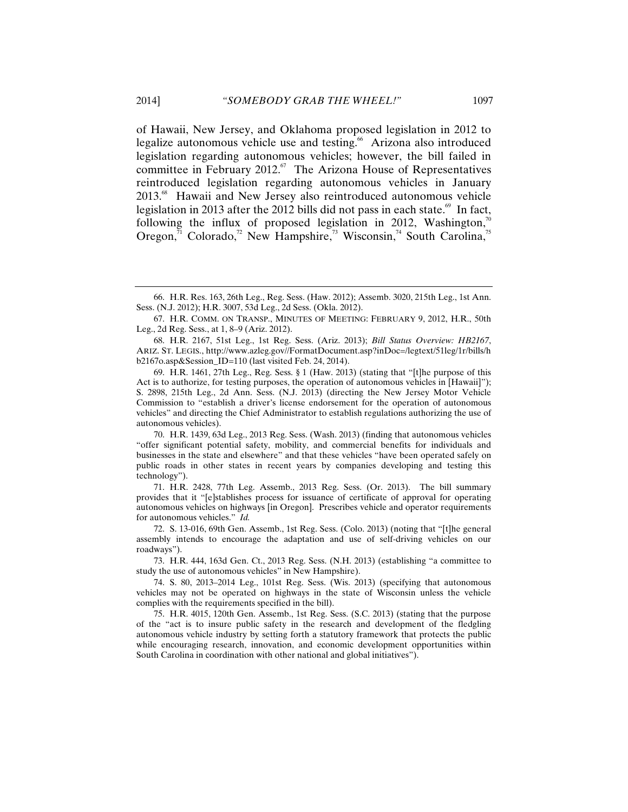of Hawaii, New Jersey, and Oklahoma proposed legislation in 2012 to legalize autonomous vehicle use and testing.<sup>66</sup> Arizona also introduced legislation regarding autonomous vehicles; however, the bill failed in committee in February 2012. $\degree$  The Arizona House of Representatives reintroduced legislation regarding autonomous vehicles in January 2013.<sup>68</sup> Hawaii and New Jersey also reintroduced autonomous vehicle legislation in 2013 after the 2012 bills did not pass in each state.<sup>69</sup> In fact, following the influx of proposed legislation in 2012, Washington, $\alpha$ Oregon, $\frac{5}{11}$  Colorado,<sup>72</sup> New Hampshire,<sup>73</sup> Wisconsin,<sup>74</sup> South Carolina,<sup>75</sup>

<sup>66.</sup> H.R. Res. 163, 26th Leg., Reg. Sess. (Haw. 2012); Assemb. 3020, 215th Leg., 1st Ann. Sess. (N.J. 2012); H.R. 3007, 53d Leg., 2d Sess. (Okla. 2012).

<sup>67.</sup> H.R. COMM. ON TRANSP., MINUTES OF MEETING: FEBRUARY 9, 2012, H.R., 50th Leg., 2d Reg. Sess., at 1, 8–9 (Ariz. 2012).

<sup>68.</sup> H.R. 2167, 51st Leg., 1st Reg. Sess. (Ariz. 2013); *Bill Status Overview: HB2167*, ARIZ. ST. LEGIS., http://www.azleg.gov//FormatDocument.asp?inDoc=/legtext/51leg/1r/bills/h b2167o.asp&Session\_ID=110 (last visited Feb. 24, 2014).

<sup>69.</sup> H.R. 1461, 27th Leg., Reg. Sess. § 1 (Haw. 2013) (stating that "[t]he purpose of this Act is to authorize, for testing purposes, the operation of autonomous vehicles in [Hawaii]"); S. 2898, 215th Leg., 2d Ann. Sess. (N.J. 2013) (directing the New Jersey Motor Vehicle Commission to "establish a driver's license endorsement for the operation of autonomous vehicles" and directing the Chief Administrator to establish regulations authorizing the use of autonomous vehicles).

<sup>70.</sup> H.R. 1439, 63d Leg., 2013 Reg. Sess. (Wash. 2013) (finding that autonomous vehicles "offer significant potential safety, mobility, and commercial benefits for individuals and businesses in the state and elsewhere" and that these vehicles "have been operated safely on public roads in other states in recent years by companies developing and testing this technology").

<sup>71.</sup> H.R. 2428, 77th Leg. Assemb., 2013 Reg. Sess. (Or. 2013). The bill summary provides that it "[e]stablishes process for issuance of certificate of approval for operating autonomous vehicles on highways [in Oregon]. Prescribes vehicle and operator requirements for autonomous vehicles." *Id.*

<sup>72.</sup> S. 13-016, 69th Gen. Assemb., 1st Reg. Sess. (Colo. 2013) (noting that "[t]he general assembly intends to encourage the adaptation and use of self-driving vehicles on our roadways").

<sup>73.</sup> H.R. 444, 163d Gen. Ct., 2013 Reg. Sess. (N.H. 2013) (establishing "a committee to study the use of autonomous vehicles" in New Hampshire).

<sup>74.</sup> S. 80, 2013–2014 Leg., 101st Reg. Sess. (Wis. 2013) (specifying that autonomous vehicles may not be operated on highways in the state of Wisconsin unless the vehicle complies with the requirements specified in the bill).

<sup>75.</sup> H.R. 4015, 120th Gen. Assemb., 1st Reg. Sess. (S.C. 2013) (stating that the purpose of the "act is to insure public safety in the research and development of the fledgling autonomous vehicle industry by setting forth a statutory framework that protects the public while encouraging research, innovation, and economic development opportunities within South Carolina in coordination with other national and global initiatives").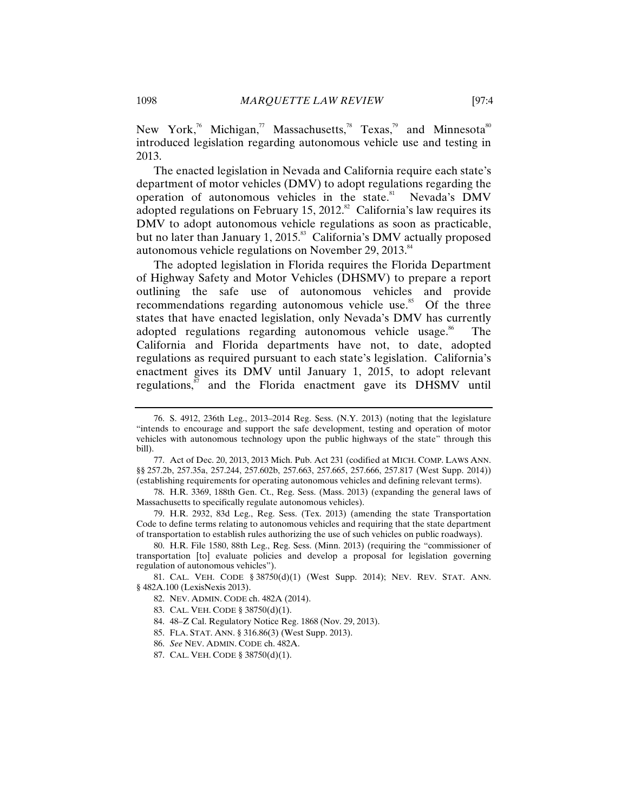New York,<sup>76</sup> Michigan,<sup>77</sup> Massachusetts,<sup>78</sup> Texas,<sup>79</sup> and Minnesota<sup>80</sup> introduced legislation regarding autonomous vehicle use and testing in 2013.

The enacted legislation in Nevada and California require each state's department of motor vehicles (DMV) to adopt regulations regarding the operation of autonomous vehicles in the state.<sup>81</sup> Nevada's DMV adopted regulations on February 15, 2012.<sup>82</sup> California's law requires its DMV to adopt autonomous vehicle regulations as soon as practicable, but no later than January 1,  $2015$ .<sup>83</sup> California's DMV actually proposed autonomous vehicle regulations on November 29, 2013. $84$ 

The adopted legislation in Florida requires the Florida Department of Highway Safety and Motor Vehicles (DHSMV) to prepare a report outlining the safe use of autonomous vehicles and provide recommendations regarding autonomous vehicle use.<sup>85</sup> Of the three states that have enacted legislation, only Nevada's DMV has currently adopted regulations regarding autonomous vehicle usage.<sup>86</sup> The California and Florida departments have not, to date, adopted regulations as required pursuant to each state's legislation. California's enactment gives its DMV until January 1, 2015, to adopt relevant regulations, $s<sup>87</sup>$  and the Florida enactment gave its DHSMV until

- 82. NEV. ADMIN. CODE ch. 482A (2014).
- 83. CAL. VEH. CODE § 38750(d)(1).
- 84. 48–Z Cal. Regulatory Notice Reg. 1868 (Nov. 29, 2013).
- 85. FLA. STAT. ANN. § 316.86(3) (West Supp. 2013).
- 86. *See* NEV. ADMIN. CODE ch. 482A.
- 87. CAL. VEH. CODE § 38750(d)(1).

<sup>76.</sup> S. 4912, 236th Leg., 2013–2014 Reg. Sess. (N.Y. 2013) (noting that the legislature "intends to encourage and support the safe development, testing and operation of motor vehicles with autonomous technology upon the public highways of the state" through this bill).

<sup>77.</sup> Act of Dec. 20, 2013, 2013 Mich. Pub. Act 231 (codified at MICH. COMP. LAWS ANN. §§ 257.2b, 257.35a, 257.244, 257.602b, 257.663, 257.665, 257.666, 257.817 (West Supp. 2014)) (establishing requirements for operating autonomous vehicles and defining relevant terms).

<sup>78.</sup> H.R. 3369, 188th Gen. Ct., Reg. Sess. (Mass. 2013) (expanding the general laws of Massachusetts to specifically regulate autonomous vehicles).

<sup>79.</sup> H.R. 2932, 83d Leg., Reg. Sess. (Tex. 2013) (amending the state Transportation Code to define terms relating to autonomous vehicles and requiring that the state department of transportation to establish rules authorizing the use of such vehicles on public roadways).

<sup>80.</sup> H.R. File 1580, 88th Leg., Reg. Sess. (Minn. 2013) (requiring the "commissioner of transportation [to] evaluate policies and develop a proposal for legislation governing regulation of autonomous vehicles").

<sup>81.</sup> CAL. VEH. CODE § 38750(d)(1) (West Supp. 2014); NEV. REV. STAT. ANN. § 482A.100 (LexisNexis 2013).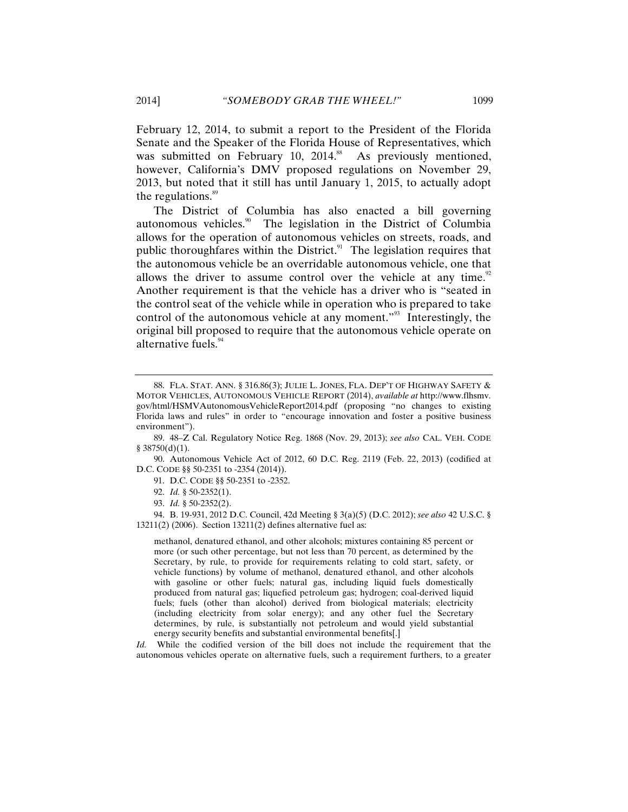February 12, 2014, to submit a report to the President of the Florida Senate and the Speaker of the Florida House of Representatives, which was submitted on February 10, 2014.<sup>88</sup> As previously mentioned, however, California's DMV proposed regulations on November 29, 2013, but noted that it still has until January 1, 2015, to actually adopt the regulations.<sup>89</sup>

The District of Columbia has also enacted a bill governing autonomous vehicles.<sup>90</sup> The legislation in the District of Columbia allows for the operation of autonomous vehicles on streets, roads, and public thoroughfares within the District. $91$  The legislation requires that the autonomous vehicle be an overridable autonomous vehicle, one that allows the driver to assume control over the vehicle at any time. $92$ Another requirement is that the vehicle has a driver who is "seated in the control seat of the vehicle while in operation who is prepared to take control of the autonomous vehicle at any moment."<sup>93</sup> Interestingly, the original bill proposed to require that the autonomous vehicle operate on alternative fuels.<sup>94</sup>

90. Autonomous Vehicle Act of 2012, 60 D.C. Reg. 2119 (Feb. 22, 2013) (codified at D.C. CODE §§ 50-2351 to -2354 (2014)).

- 92. *Id.* § 50-2352(1).
- 93. *Id.* § 50-2352(2).

94. B. 19-931, 2012 D.C. Council, 42d Meeting § 3(a)(5) (D.C. 2012); *see also* 42 U.S.C. § 13211(2) (2006). Section 13211(2) defines alternative fuel as:

methanol, denatured ethanol, and other alcohols; mixtures containing 85 percent or more (or such other percentage, but not less than 70 percent, as determined by the Secretary, by rule, to provide for requirements relating to cold start, safety, or vehicle functions) by volume of methanol, denatured ethanol, and other alcohols with gasoline or other fuels; natural gas, including liquid fuels domestically produced from natural gas; liquefied petroleum gas; hydrogen; coal-derived liquid fuels; fuels (other than alcohol) derived from biological materials; electricity (including electricity from solar energy); and any other fuel the Secretary determines, by rule, is substantially not petroleum and would yield substantial energy security benefits and substantial environmental benefits[.]

*Id.* While the codified version of the bill does not include the requirement that the autonomous vehicles operate on alternative fuels, such a requirement furthers, to a greater

<sup>88.</sup> FLA. STAT. ANN. § 316.86(3); JULIE L. JONES, FLA. DEP'T OF HIGHWAY SAFETY & MOTOR VEHICLES, AUTONOMOUS VEHICLE REPORT (2014), *available at* http://www.flhsmv. gov/html/HSMVAutonomousVehicleReport2014.pdf (proposing "no changes to existing Florida laws and rules" in order to "encourage innovation and foster a positive business environment").

<sup>89. 48–</sup>Z Cal. Regulatory Notice Reg. 1868 (Nov. 29, 2013); *see also* CAL. VEH. CODE  $§$  38750(d)(1).

<sup>91.</sup> D.C. CODE §§ 50-2351 to -2352.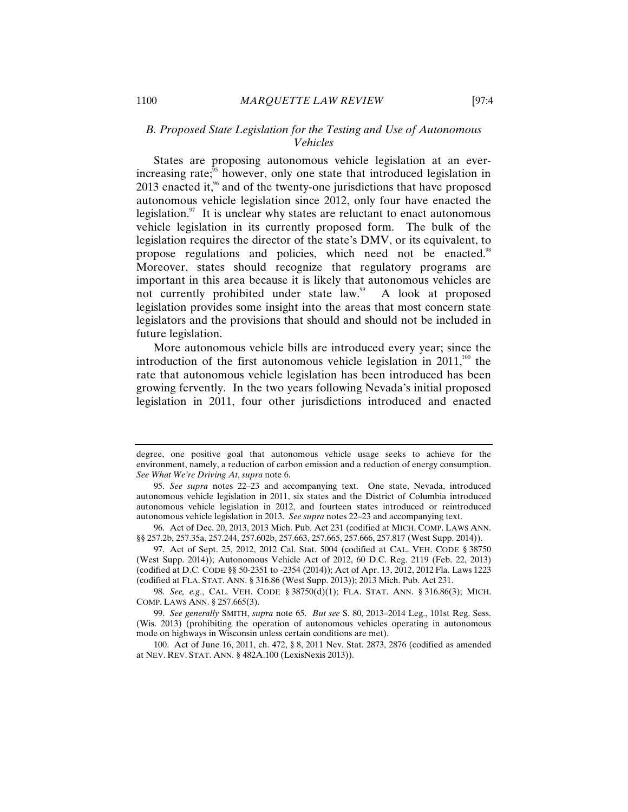# *B. Proposed State Legislation for the Testing and Use of Autonomous Vehicles*

States are proposing autonomous vehicle legislation at an everincreasing rate; $\delta$ <sup>5</sup> however, only one state that introduced legislation in 2013 enacted it, $\frac{9}{6}$  and of the twenty-one jurisdictions that have proposed autonomous vehicle legislation since 2012, only four have enacted the legislation. $\frac{97}{11}$  It is unclear why states are reluctant to enact autonomous vehicle legislation in its currently proposed form. The bulk of the legislation requires the director of the state's DMV, or its equivalent, to propose regulations and policies, which need not be enacted.<sup>98</sup> Moreover, states should recognize that regulatory programs are important in this area because it is likely that autonomous vehicles are not currently prohibited under state law.<sup>99</sup> A look at proposed legislation provides some insight into the areas that most concern state legislators and the provisions that should and should not be included in future legislation.

More autonomous vehicle bills are introduced every year; since the introduction of the first autonomous vehicle legislation in  $2011$ ,<sup>100</sup> the rate that autonomous vehicle legislation has been introduced has been growing fervently. In the two years following Nevada's initial proposed legislation in 2011, four other jurisdictions introduced and enacted

97. Act of Sept. 25, 2012, 2012 Cal. Stat. 5004 (codified at CAL. VEH. CODE § 38750 (West Supp. 2014)); Autonomous Vehicle Act of 2012, 60 D.C. Reg. 2119 (Feb. 22, 2013) (codified at D.C. CODE §§ 50-2351 to -2354 (2014)); Act of Apr. 13, 2012, 2012 Fla. Laws 1223 (codified at FLA. STAT. ANN. § 316.86 (West Supp. 2013)); 2013 Mich. Pub. Act 231.

98. *See, e.g.*, CAL. VEH. CODE § 38750(d)(1); FLA. STAT. ANN. § 316.86(3); MICH. COMP. LAWS ANN. § 257.665(3).

99. *See generally* SMITH, *supra* note 65. *But see* S. 80, 2013–2014 Leg., 101st Reg. Sess. (Wis. 2013) (prohibiting the operation of autonomous vehicles operating in autonomous mode on highways in Wisconsin unless certain conditions are met).

100. Act of June 16, 2011, ch. 472, § 8, 2011 Nev. Stat. 2873, 2876 (codified as amended at NEV. REV. STAT. ANN. § 482A.100 (LexisNexis 2013)).

degree, one positive goal that autonomous vehicle usage seeks to achieve for the environment, namely, a reduction of carbon emission and a reduction of energy consumption. *See What We're Driving At*, *supra* note 6.

<sup>95.</sup> *See supra* notes 22–23 and accompanying text. One state, Nevada, introduced autonomous vehicle legislation in 2011, six states and the District of Columbia introduced autonomous vehicle legislation in 2012, and fourteen states introduced or reintroduced autonomous vehicle legislation in 2013. *See supra* notes 22–23 and accompanying text.

<sup>96.</sup> Act of Dec. 20, 2013, 2013 Mich. Pub. Act 231 (codified at MICH. COMP. LAWS ANN. §§ 257.2b, 257.35a, 257.244, 257.602b, 257.663, 257.665, 257.666, 257.817 (West Supp. 2014)).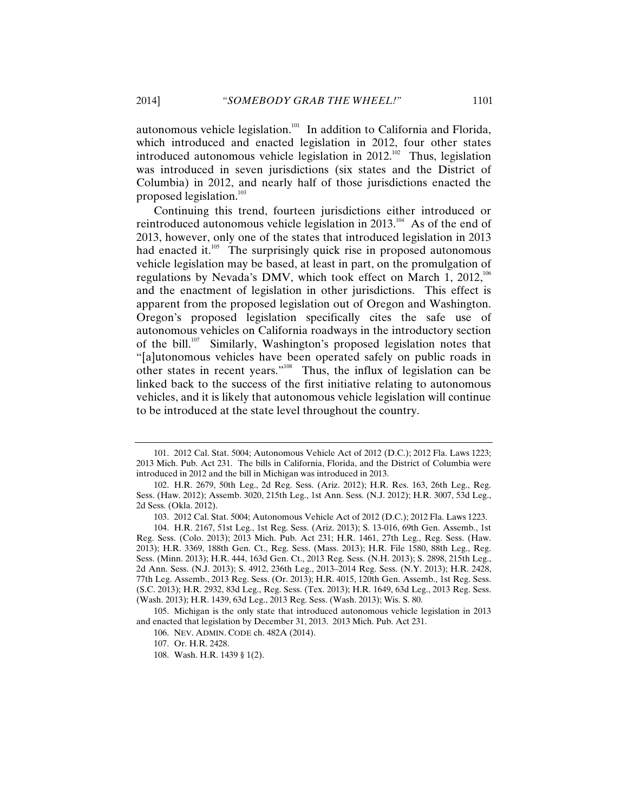autonomous vehicle legislation.<sup>101</sup> In addition to California and Florida, which introduced and enacted legislation in 2012, four other states introduced autonomous vehicle legislation in  $2012^{102}$  Thus, legislation was introduced in seven jurisdictions (six states and the District of Columbia) in 2012, and nearly half of those jurisdictions enacted the proposed legislation.<sup>103</sup>

Continuing this trend, fourteen jurisdictions either introduced or reintroduced autonomous vehicle legislation in 2013.<sup>104</sup> As of the end of 2013, however, only one of the states that introduced legislation in 2013 had enacted it. $105$  The surprisingly quick rise in proposed autonomous vehicle legislation may be based, at least in part, on the promulgation of regulations by Nevada's DMV, which took effect on March 1,  $2012$ ,<sup>106</sup> and the enactment of legislation in other jurisdictions. This effect is apparent from the proposed legislation out of Oregon and Washington. Oregon's proposed legislation specifically cites the safe use of autonomous vehicles on California roadways in the introductory section of the bill.107 Similarly, Washington's proposed legislation notes that "[a]utonomous vehicles have been operated safely on public roads in other states in recent years."108 Thus, the influx of legislation can be linked back to the success of the first initiative relating to autonomous vehicles, and it is likely that autonomous vehicle legislation will continue to be introduced at the state level throughout the country.

108. Wash. H.R. 1439 § 1(2).

<sup>101. 2012</sup> Cal. Stat. 5004; Autonomous Vehicle Act of 2012 (D.C.); 2012 Fla. Laws 1223; 2013 Mich. Pub. Act 231. The bills in California, Florida, and the District of Columbia were introduced in 2012 and the bill in Michigan was introduced in 2013.

<sup>102.</sup> H.R. 2679, 50th Leg., 2d Reg. Sess. (Ariz. 2012); H.R. Res. 163, 26th Leg., Reg. Sess. (Haw. 2012); Assemb. 3020, 215th Leg., 1st Ann. Sess. (N.J. 2012); H.R. 3007, 53d Leg., 2d Sess. (Okla. 2012).

<sup>103. 2012</sup> Cal. Stat. 5004; Autonomous Vehicle Act of 2012 (D.C.); 2012 Fla. Laws 1223.

<sup>104.</sup> H.R. 2167, 51st Leg., 1st Reg. Sess. (Ariz. 2013); S. 13-016, 69th Gen. Assemb., 1st Reg. Sess. (Colo. 2013); 2013 Mich. Pub. Act 231; H.R. 1461, 27th Leg., Reg. Sess. (Haw. 2013); H.R. 3369, 188th Gen. Ct., Reg. Sess. (Mass. 2013); H.R. File 1580, 88th Leg., Reg. Sess. (Minn. 2013); H.R. 444, 163d Gen. Ct., 2013 Reg. Sess. (N.H. 2013); S. 2898, 215th Leg., 2d Ann. Sess. (N.J. 2013); S. 4912, 236th Leg., 2013–2014 Reg. Sess. (N.Y. 2013); H.R. 2428, 77th Leg. Assemb., 2013 Reg. Sess. (Or. 2013); H.R. 4015, 120th Gen. Assemb., 1st Reg. Sess. (S.C. 2013); H.R. 2932, 83d Leg., Reg. Sess. (Tex. 2013); H.R. 1649, 63d Leg., 2013 Reg. Sess. (Wash. 2013); H.R. 1439, 63d Leg., 2013 Reg. Sess. (Wash. 2013); Wis. S. 80.

<sup>105.</sup> Michigan is the only state that introduced autonomous vehicle legislation in 2013 and enacted that legislation by December 31, 2013. 2013 Mich. Pub. Act 231.

<sup>106.</sup> NEV. ADMIN. CODE ch. 482A (2014).

<sup>107.</sup> Or. H.R. 2428.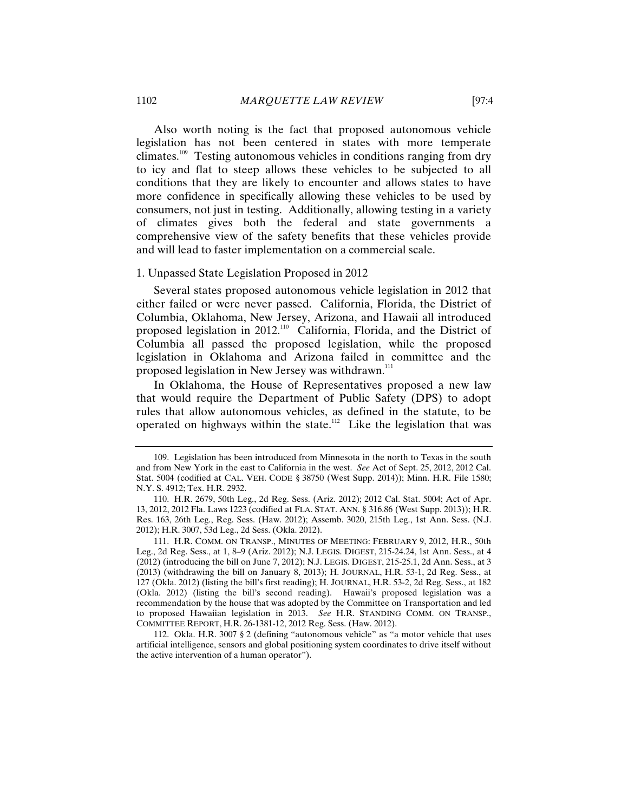Also worth noting is the fact that proposed autonomous vehicle legislation has not been centered in states with more temperate climates.109 Testing autonomous vehicles in conditions ranging from dry to icy and flat to steep allows these vehicles to be subjected to all conditions that they are likely to encounter and allows states to have more confidence in specifically allowing these vehicles to be used by consumers, not just in testing. Additionally, allowing testing in a variety of climates gives both the federal and state governments a comprehensive view of the safety benefits that these vehicles provide and will lead to faster implementation on a commercial scale.

#### 1. Unpassed State Legislation Proposed in 2012

Several states proposed autonomous vehicle legislation in 2012 that either failed or were never passed. California, Florida, the District of Columbia, Oklahoma, New Jersey, Arizona, and Hawaii all introduced proposed legislation in 2012.<sup>110</sup> California, Florida, and the District of Columbia all passed the proposed legislation, while the proposed legislation in Oklahoma and Arizona failed in committee and the proposed legislation in New Jersey was withdrawn.<sup>111</sup>

In Oklahoma, the House of Representatives proposed a new law that would require the Department of Public Safety (DPS) to adopt rules that allow autonomous vehicles, as defined in the statute, to be operated on highways within the state.<sup>112</sup> Like the legislation that was

<sup>109.</sup> Legislation has been introduced from Minnesota in the north to Texas in the south and from New York in the east to California in the west. *See* Act of Sept. 25, 2012, 2012 Cal. Stat. 5004 (codified at CAL. VEH. CODE § 38750 (West Supp. 2014)); Minn. H.R. File 1580; N.Y. S. 4912; Tex. H.R. 2932.

<sup>110.</sup> H.R. 2679, 50th Leg., 2d Reg. Sess. (Ariz. 2012); 2012 Cal. Stat. 5004; Act of Apr. 13, 2012, 2012 Fla. Laws 1223 (codified at FLA. STAT. ANN. § 316.86 (West Supp. 2013)); H.R. Res. 163, 26th Leg., Reg. Sess. (Haw. 2012); Assemb. 3020, 215th Leg., 1st Ann. Sess. (N.J. 2012); H.R. 3007, 53d Leg., 2d Sess. (Okla. 2012).

<sup>111.</sup> H.R. COMM. ON TRANSP., MINUTES OF MEETING: FEBRUARY 9, 2012, H.R., 50th Leg., 2d Reg. Sess., at 1, 8–9 (Ariz. 2012); N.J. LEGIS. DIGEST, 215-24.24, 1st Ann. Sess., at 4 (2012) (introducing the bill on June 7, 2012); N.J. LEGIS. DIGEST, 215-25.1, 2d Ann. Sess., at 3 (2013) (withdrawing the bill on January 8, 2013); H. JOURNAL, H.R. 53-1, 2d Reg. Sess., at 127 (Okla. 2012) (listing the bill's first reading); H. JOURNAL, H.R. 53-2, 2d Reg. Sess., at 182 (Okla. 2012) (listing the bill's second reading). Hawaii's proposed legislation was a recommendation by the house that was adopted by the Committee on Transportation and led to proposed Hawaiian legislation in 2013. *See* H.R. STANDING COMM. ON TRANSP., COMMITTEE REPORT, H.R. 26-1381-12, 2012 Reg. Sess. (Haw. 2012).

<sup>112.</sup> Okla. H.R. 3007 § 2 (defining "autonomous vehicle" as "a motor vehicle that uses artificial intelligence, sensors and global positioning system coordinates to drive itself without the active intervention of a human operator").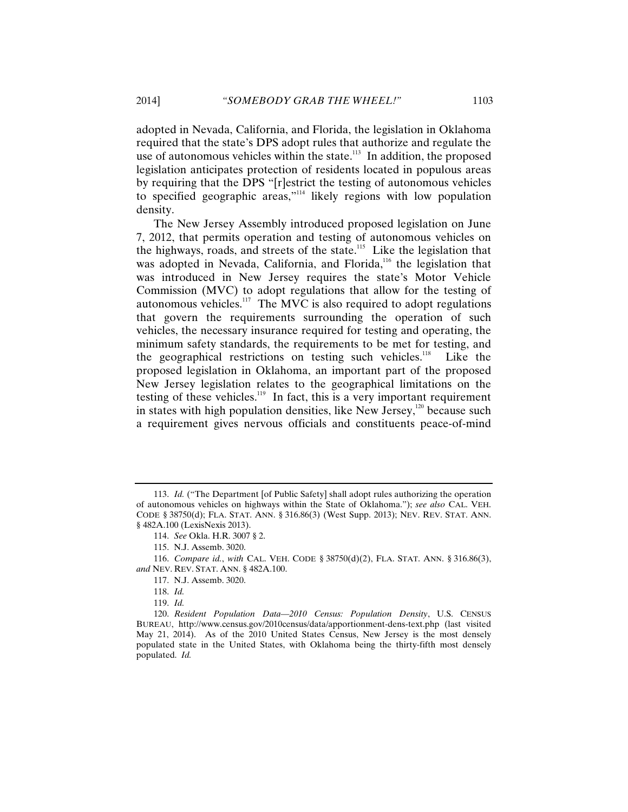adopted in Nevada, California, and Florida, the legislation in Oklahoma required that the state's DPS adopt rules that authorize and regulate the use of autonomous vehicles within the state.<sup>113</sup> In addition, the proposed legislation anticipates protection of residents located in populous areas by requiring that the DPS "[r]estrict the testing of autonomous vehicles to specified geographic areas,"114 likely regions with low population density.

The New Jersey Assembly introduced proposed legislation on June 7, 2012, that permits operation and testing of autonomous vehicles on the highways, roads, and streets of the state.<sup>115</sup> Like the legislation that was adopted in Nevada, California, and Florida,<sup>116</sup> the legislation that was introduced in New Jersey requires the state's Motor Vehicle Commission (MVC) to adopt regulations that allow for the testing of autonomous vehicles.<sup>117</sup> The MVC is also required to adopt regulations that govern the requirements surrounding the operation of such vehicles, the necessary insurance required for testing and operating, the minimum safety standards, the requirements to be met for testing, and the geographical restrictions on testing such vehicles.<sup>118</sup> Like the proposed legislation in Oklahoma, an important part of the proposed New Jersey legislation relates to the geographical limitations on the testing of these vehicles.<sup>119</sup> In fact, this is a very important requirement in states with high population densities, like New Jersey,<sup>120</sup> because such a requirement gives nervous officials and constituents peace-of-mind

<sup>113.</sup> *Id.* ("The Department [of Public Safety] shall adopt rules authorizing the operation of autonomous vehicles on highways within the State of Oklahoma."); *see also* CAL. VEH. CODE § 38750(d); FLA. STAT. ANN. § 316.86(3) (West Supp. 2013); NEV. REV. STAT. ANN. § 482A.100 (LexisNexis 2013).

<sup>114.</sup> *See* Okla. H.R. 3007 § 2.

<sup>115.</sup> N.J. Assemb. 3020.

<sup>116.</sup> *Compare id.*, *with* CAL. VEH. CODE § 38750(d)(2), FLA. STAT. ANN. § 316.86(3), *and* NEV. REV. STAT. ANN. § 482A.100.

<sup>117.</sup> N.J. Assemb. 3020.

<sup>118.</sup> *Id.*

<sup>119.</sup> *Id.*

<sup>120.</sup> *Resident Population Data—2010 Census: Population Density*, U.S. CENSUS BUREAU, http://www.census.gov/2010census/data/apportionment-dens-text.php (last visited May 21, 2014). As of the 2010 United States Census, New Jersey is the most densely populated state in the United States, with Oklahoma being the thirty-fifth most densely populated. *Id.*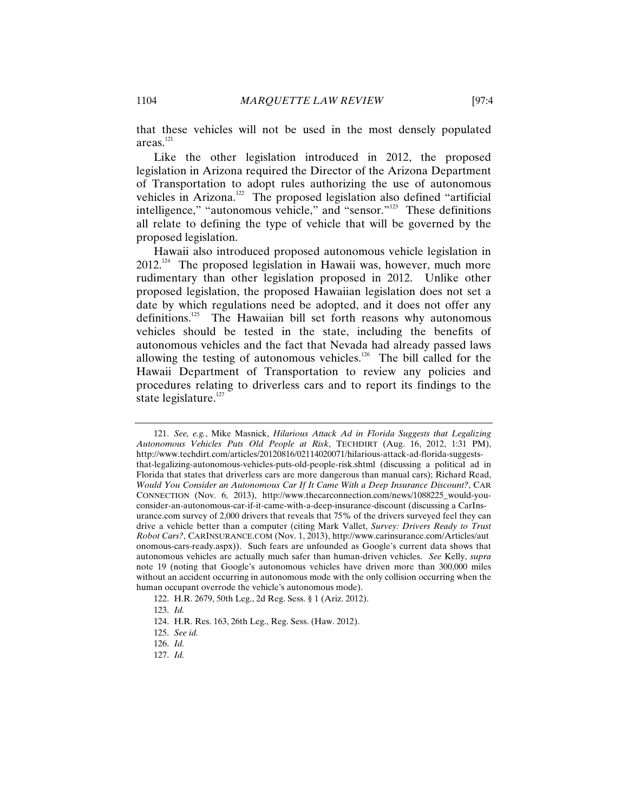that these vehicles will not be used in the most densely populated areas.121

Like the other legislation introduced in 2012, the proposed legislation in Arizona required the Director of the Arizona Department of Transportation to adopt rules authorizing the use of autonomous vehicles in Arizona.<sup>122</sup> The proposed legislation also defined "artificial intelligence," "autonomous vehicle," and "sensor."123 These definitions all relate to defining the type of vehicle that will be governed by the proposed legislation.

Hawaii also introduced proposed autonomous vehicle legislation in  $2012$ <sup>124</sup> The proposed legislation in Hawaii was, however, much more rudimentary than other legislation proposed in 2012. Unlike other proposed legislation, the proposed Hawaiian legislation does not set a date by which regulations need be adopted, and it does not offer any definitions.<sup>125</sup> The Hawaiian bill set forth reasons why autonomous vehicles should be tested in the state, including the benefits of autonomous vehicles and the fact that Nevada had already passed laws allowing the testing of autonomous vehicles.<sup>126</sup> The bill called for the Hawaii Department of Transportation to review any policies and procedures relating to driverless cars and to report its findings to the state legislature. $127$ 

121. *See, e.g.*, Mike Masnick, *Hilarious Attack Ad in Florida Suggests that Legalizing Autonomous Vehicles Puts Old People at Risk*, TECHDIRT (Aug. 16, 2012, 1:31 PM), http://www.techdirt.com/articles/20120816/02114020071/hilarious-attack-ad-florida-suggeststhat-legalizing-autonomous-vehicles-puts-old-people-risk.shtml (discussing a political ad in Florida that states that driverless cars are more dangerous than manual cars); Richard Read, *Would You Consider an Autonomous Car If It Came With a Deep Insurance Discount?*, CAR CONNECTION (Nov. 6, 2013), http://www.thecarconnection.com/news/1088225\_would-youconsider-an-autonomous-car-if-it-came-with-a-deep-insurance-discount (discussing a CarInsurance.com survey of 2,000 drivers that reveals that 75% of the drivers surveyed feel they can drive a vehicle better than a computer (citing Mark Vallet, *Survey: Drivers Ready to Trust Robot Cars?*, CARINSURANCE.COM (Nov. 1, 2013), http://www.carinsurance.com/Articles/aut onomous-cars-ready.aspx)). Such fears are unfounded as Google's current data shows that autonomous vehicles are actually much safer than human-driven vehicles. *See* Kelly, *supra*  note 19 (noting that Google's autonomous vehicles have driven more than 300,000 miles without an accident occurring in autonomous mode with the only collision occurring when the human occupant overrode the vehicle's autonomous mode).

127. *Id.*

<sup>122.</sup> H.R. 2679, 50th Leg., 2d Reg. Sess. § 1 (Ariz. 2012).

<sup>123.</sup> *Id.*

<sup>124.</sup> H.R. Res. 163, 26th Leg., Reg. Sess. (Haw. 2012).

<sup>125.</sup> *See id.*

<sup>126.</sup> *Id.*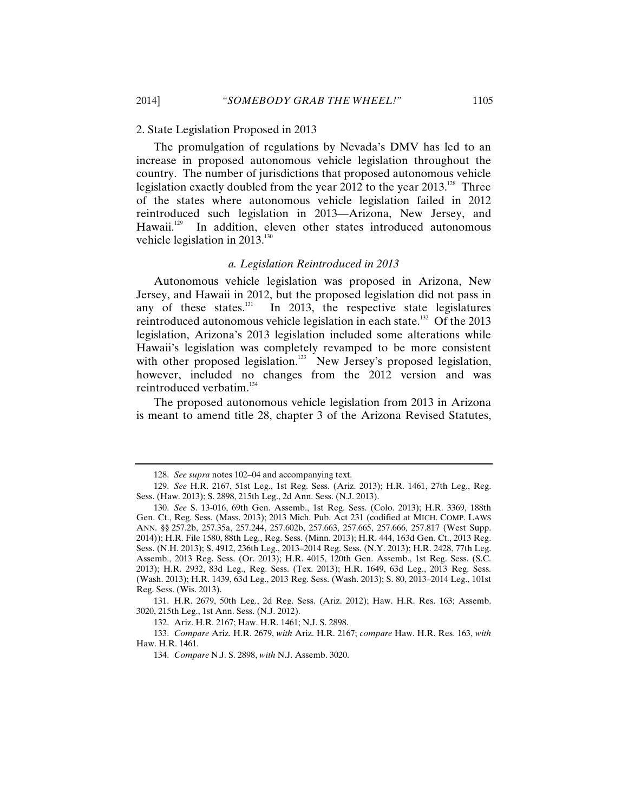2. State Legislation Proposed in 2013

The promulgation of regulations by Nevada's DMV has led to an increase in proposed autonomous vehicle legislation throughout the country. The number of jurisdictions that proposed autonomous vehicle legislation exactly doubled from the year 2012 to the year  $2013^{128}$  Three of the states where autonomous vehicle legislation failed in 2012 reintroduced such legislation in 2013—Arizona, New Jersey, and Hawaii.<sup>129</sup> In addition, eleven other states introduced autonomous vehicle legislation in  $2013$ <sup>130</sup>

#### *a. Legislation Reintroduced in 2013*

Autonomous vehicle legislation was proposed in Arizona, New Jersey, and Hawaii in 2012, but the proposed legislation did not pass in any of these states. $^{131}$  In 2013, the respective state legislatures reintroduced autonomous vehicle legislation in each state.<sup>132</sup> Of the 2013 legislation, Arizona's 2013 legislation included some alterations while Hawaii's legislation was completely revamped to be more consistent with other proposed legislation.<sup>133</sup> New Jersey's proposed legislation, however, included no changes from the 2012 version and was reintroduced verbatim.<sup>134</sup>

The proposed autonomous vehicle legislation from 2013 in Arizona is meant to amend title 28, chapter 3 of the Arizona Revised Statutes,

131. H.R. 2679, 50th Leg., 2d Reg. Sess. (Ariz. 2012); Haw. H.R. Res. 163; Assemb. 3020, 215th Leg., 1st Ann. Sess. (N.J. 2012).

132. Ariz. H.R. 2167; Haw. H.R. 1461; N.J. S. 2898.

<sup>128.</sup> *See supra* notes 102–04 and accompanying text.

<sup>129.</sup> *See* H.R. 2167, 51st Leg., 1st Reg. Sess. (Ariz. 2013); H.R. 1461, 27th Leg., Reg. Sess. (Haw. 2013); S. 2898, 215th Leg., 2d Ann. Sess. (N.J. 2013).

<sup>130.</sup> *See* S. 13-016, 69th Gen. Assemb., 1st Reg. Sess. (Colo. 2013); H.R. 3369, 188th Gen. Ct., Reg. Sess. (Mass. 2013); 2013 Mich. Pub. Act 231 (codified at MICH. COMP. LAWS ANN. §§ 257.2b, 257.35a, 257.244, 257.602b, 257.663, 257.665, 257.666, 257.817 (West Supp. 2014)); H.R. File 1580, 88th Leg., Reg. Sess. (Minn. 2013); H.R. 444, 163d Gen. Ct., 2013 Reg. Sess. (N.H. 2013); S. 4912, 236th Leg., 2013–2014 Reg. Sess. (N.Y. 2013); H.R. 2428, 77th Leg. Assemb., 2013 Reg. Sess. (Or. 2013); H.R. 4015, 120th Gen. Assemb., 1st Reg. Sess. (S.C. 2013); H.R. 2932, 83d Leg., Reg. Sess. (Tex. 2013); H.R. 1649, 63d Leg., 2013 Reg. Sess. (Wash. 2013); H.R. 1439, 63d Leg., 2013 Reg. Sess. (Wash. 2013); S. 80, 2013–2014 Leg., 101st Reg. Sess. (Wis. 2013).

<sup>133.</sup> *Compare* Ariz. H.R. 2679, *with* Ariz. H.R. 2167; *compare* Haw. H.R. Res. 163, *with* Haw. H.R. 1461.

<sup>134.</sup> *Compare* N.J. S. 2898, *with* N.J. Assemb. 3020.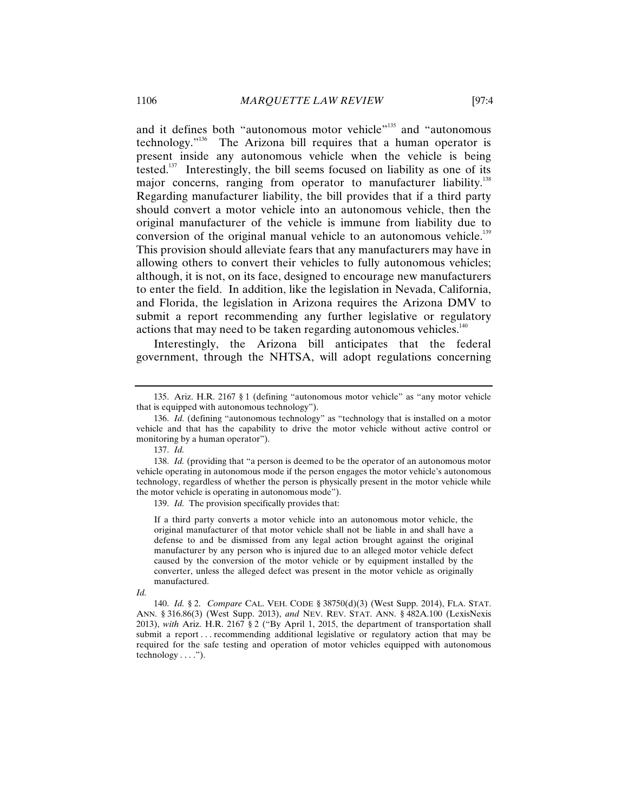and it defines both "autonomous motor vehicle"<sup>135</sup> and "autonomous technology."<sup>136</sup> The Arizona bill requires that a human operator is present inside any autonomous vehicle when the vehicle is being tested.<sup>137</sup> Interestingly, the bill seems focused on liability as one of its major concerns, ranging from operator to manufacturer liability.<sup>138</sup> Regarding manufacturer liability, the bill provides that if a third party should convert a motor vehicle into an autonomous vehicle, then the original manufacturer of the vehicle is immune from liability due to conversion of the original manual vehicle to an autonomous vehicle.<sup>139</sup> This provision should alleviate fears that any manufacturers may have in allowing others to convert their vehicles to fully autonomous vehicles; although, it is not, on its face, designed to encourage new manufacturers to enter the field. In addition, like the legislation in Nevada, California, and Florida, the legislation in Arizona requires the Arizona DMV to submit a report recommending any further legislative or regulatory actions that may need to be taken regarding autonomous vehicles.<sup>140</sup>

Interestingly, the Arizona bill anticipates that the federal government, through the NHTSA, will adopt regulations concerning

139. *Id.* The provision specifically provides that:

If a third party converts a motor vehicle into an autonomous motor vehicle, the original manufacturer of that motor vehicle shall not be liable in and shall have a defense to and be dismissed from any legal action brought against the original manufacturer by any person who is injured due to an alleged motor vehicle defect caused by the conversion of the motor vehicle or by equipment installed by the converter, unless the alleged defect was present in the motor vehicle as originally manufactured.

<sup>135.</sup> Ariz. H.R. 2167 § 1 (defining "autonomous motor vehicle" as "any motor vehicle that is equipped with autonomous technology").

<sup>136.</sup> *Id.* (defining "autonomous technology" as "technology that is installed on a motor vehicle and that has the capability to drive the motor vehicle without active control or monitoring by a human operator").

<sup>137.</sup> *Id.*

<sup>138.</sup> *Id.* (providing that "a person is deemed to be the operator of an autonomous motor vehicle operating in autonomous mode if the person engages the motor vehicle's autonomous technology, regardless of whether the person is physically present in the motor vehicle while the motor vehicle is operating in autonomous mode").

*Id.*

<sup>140.</sup> *Id.* § 2. *Compare* CAL. VEH. CODE § 38750(d)(3) (West Supp. 2014), FLA. STAT. ANN. § 316.86(3) (West Supp. 2013), *and* NEV. REV. STAT. ANN. § 482A.100 (LexisNexis 2013), *with* Ariz. H.R. 2167 § 2 ("By April 1, 2015, the department of transportation shall submit a report . . . recommending additional legislative or regulatory action that may be required for the safe testing and operation of motor vehicles equipped with autonomous  $technology \ldots$ ").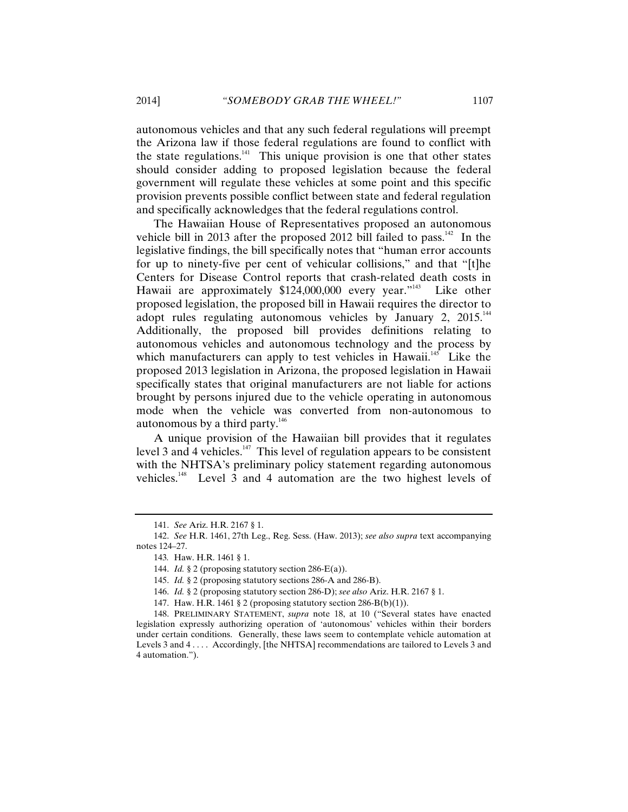autonomous vehicles and that any such federal regulations will preempt the Arizona law if those federal regulations are found to conflict with the state regulations. $141$  This unique provision is one that other states should consider adding to proposed legislation because the federal government will regulate these vehicles at some point and this specific provision prevents possible conflict between state and federal regulation and specifically acknowledges that the federal regulations control.

The Hawaiian House of Representatives proposed an autonomous vehicle bill in 2013 after the proposed 2012 bill failed to pass.<sup>142</sup> In the legislative findings, the bill specifically notes that "human error accounts for up to ninety-five per cent of vehicular collisions," and that "[t]he Centers for Disease Control reports that crash-related death costs in Hawaii are approximately \$124,000,000 every year."<sup>143</sup> Like other proposed legislation, the proposed bill in Hawaii requires the director to adopt rules regulating autonomous vehicles by January 2, 2015.<sup>144</sup> Additionally, the proposed bill provides definitions relating to autonomous vehicles and autonomous technology and the process by which manufacturers can apply to test vehicles in Hawaii.<sup>145</sup> Like the proposed 2013 legislation in Arizona, the proposed legislation in Hawaii specifically states that original manufacturers are not liable for actions brought by persons injured due to the vehicle operating in autonomous mode when the vehicle was converted from non-autonomous to autonomous by a third party. $146$ 

A unique provision of the Hawaiian bill provides that it regulates level 3 and 4 vehicles.<sup>147</sup> This level of regulation appears to be consistent with the NHTSA's preliminary policy statement regarding autonomous vehicles.148 Level 3 and 4 automation are the two highest levels of

<sup>141.</sup> *See* Ariz. H.R. 2167 § 1.

<sup>142.</sup> *See* H.R. 1461, 27th Leg., Reg. Sess. (Haw. 2013); *see also supra* text accompanying notes 124–27.

<sup>143</sup>*.* Haw. H.R. 1461 § 1.

<sup>144.</sup> *Id.* § 2 (proposing statutory section 286-E(a)).

<sup>145.</sup> *Id.* § 2 (proposing statutory sections 286-A and 286-B).

<sup>146.</sup> *Id.* § 2 (proposing statutory section 286-D); *see also* Ariz. H.R. 2167 § 1.

<sup>147.</sup> Haw. H.R. 1461 § 2 (proposing statutory section 286-B(b)(1)).

<sup>148.</sup> PRELIMINARY STATEMENT, *supra* note 18, at 10 ("Several states have enacted legislation expressly authorizing operation of 'autonomous' vehicles within their borders under certain conditions. Generally, these laws seem to contemplate vehicle automation at Levels 3 and 4 . . . . Accordingly, [the NHTSA] recommendations are tailored to Levels 3 and 4 automation.").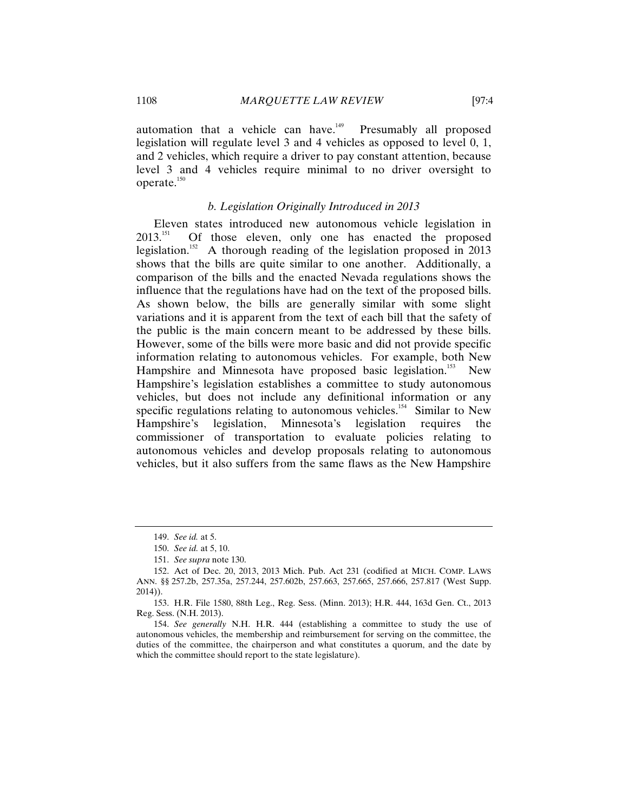automation that a vehicle can have. $149$  Presumably all proposed legislation will regulate level 3 and 4 vehicles as opposed to level 0, 1, and 2 vehicles, which require a driver to pay constant attention, because level 3 and 4 vehicles require minimal to no driver oversight to operate. $150$ 

#### *b. Legislation Originally Introduced in 2013*

Eleven states introduced new autonomous vehicle legislation in 2013<sup>151</sup> Of those eleven only one has enacted the proposed Of those eleven, only one has enacted the proposed legislation.<sup>152</sup> A thorough reading of the legislation proposed in 2013 shows that the bills are quite similar to one another. Additionally, a comparison of the bills and the enacted Nevada regulations shows the influence that the regulations have had on the text of the proposed bills. As shown below, the bills are generally similar with some slight variations and it is apparent from the text of each bill that the safety of the public is the main concern meant to be addressed by these bills. However, some of the bills were more basic and did not provide specific information relating to autonomous vehicles. For example, both New Hampshire and Minnesota have proposed basic legislation.<sup>153</sup> New Hampshire's legislation establishes a committee to study autonomous vehicles, but does not include any definitional information or any specific regulations relating to autonomous vehicles.<sup>154</sup> Similar to New Hampshire's legislation, Minnesota's legislation requires the commissioner of transportation to evaluate policies relating to autonomous vehicles and develop proposals relating to autonomous vehicles, but it also suffers from the same flaws as the New Hampshire

<sup>149.</sup> *See id.* at 5.

<sup>150.</sup> *See id.* at 5, 10.

<sup>151.</sup> *See supra* note 130.

<sup>152.</sup> Act of Dec. 20, 2013, 2013 Mich. Pub. Act 231 (codified at MICH. COMP. LAWS ANN. §§ 257.2b, 257.35a, 257.244, 257.602b, 257.663, 257.665, 257.666, 257.817 (West Supp. 2014)).

<sup>153.</sup> H.R. File 1580, 88th Leg., Reg. Sess. (Minn. 2013); H.R. 444, 163d Gen. Ct., 2013 Reg. Sess. (N.H. 2013).

<sup>154.</sup> *See generally* N.H. H.R. 444 (establishing a committee to study the use of autonomous vehicles, the membership and reimbursement for serving on the committee, the duties of the committee, the chairperson and what constitutes a quorum, and the date by which the committee should report to the state legislature).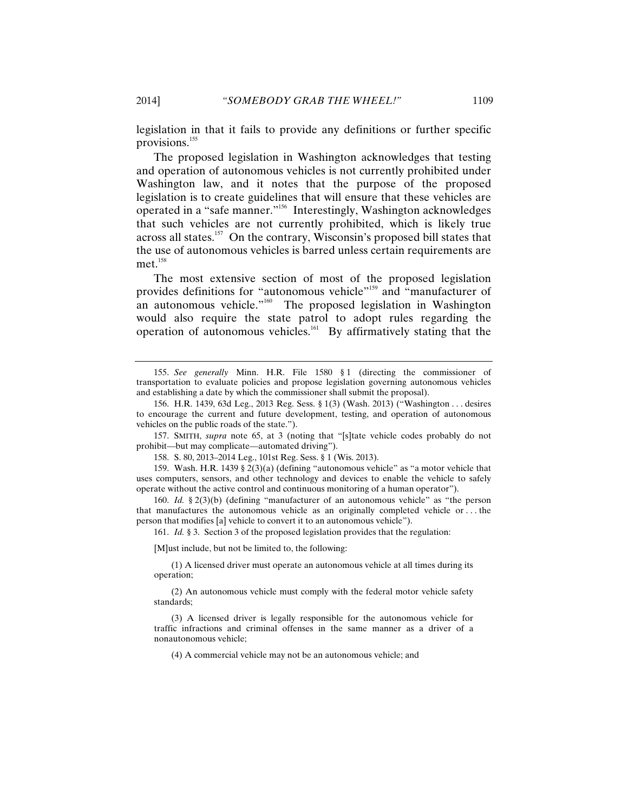legislation in that it fails to provide any definitions or further specific provisions.<sup>155</sup>

The proposed legislation in Washington acknowledges that testing and operation of autonomous vehicles is not currently prohibited under Washington law, and it notes that the purpose of the proposed legislation is to create guidelines that will ensure that these vehicles are operated in a "safe manner."156 Interestingly, Washington acknowledges that such vehicles are not currently prohibited, which is likely true across all states.<sup>157</sup> On the contrary, Wisconsin's proposed bill states that the use of autonomous vehicles is barred unless certain requirements are  $met.^{158}$ 

The most extensive section of most of the proposed legislation provides definitions for "autonomous vehicle"<sup>159</sup> and "manufacturer of an autonomous vehicle."<sup>160</sup> The proposed legislation in Washington would also require the state patrol to adopt rules regarding the operation of autonomous vehicles.<sup>161</sup> By affirmatively stating that the

157. SMITH, *supra* note 65, at 3 (noting that "[s]tate vehicle codes probably do not prohibit—but may complicate—automated driving").

158. S. 80, 2013–2014 Leg., 101st Reg. Sess. § 1 (Wis. 2013).

159. Wash. H.R. 1439 § 2(3)(a) (defining "autonomous vehicle" as "a motor vehicle that uses computers, sensors, and other technology and devices to enable the vehicle to safely operate without the active control and continuous monitoring of a human operator").

160. *Id.* § 2(3)(b) (defining "manufacturer of an autonomous vehicle" as "the person that manufactures the autonomous vehicle as an originally completed vehicle or . . . the person that modifies [a] vehicle to convert it to an autonomous vehicle").

161. *Id.* § 3. Section 3 of the proposed legislation provides that the regulation:

[M]ust include, but not be limited to, the following:

 (1) A licensed driver must operate an autonomous vehicle at all times during its operation;

 (2) An autonomous vehicle must comply with the federal motor vehicle safety standards;

 (3) A licensed driver is legally responsible for the autonomous vehicle for traffic infractions and criminal offenses in the same manner as a driver of a nonautonomous vehicle;

(4) A commercial vehicle may not be an autonomous vehicle; and

<sup>155.</sup> *See generally* Minn. H.R. File 1580 § 1 (directing the commissioner of transportation to evaluate policies and propose legislation governing autonomous vehicles and establishing a date by which the commissioner shall submit the proposal).

<sup>156.</sup> H.R. 1439, 63d Leg., 2013 Reg. Sess. § 1(3) (Wash. 2013) ("Washington . . . desires to encourage the current and future development, testing, and operation of autonomous vehicles on the public roads of the state.").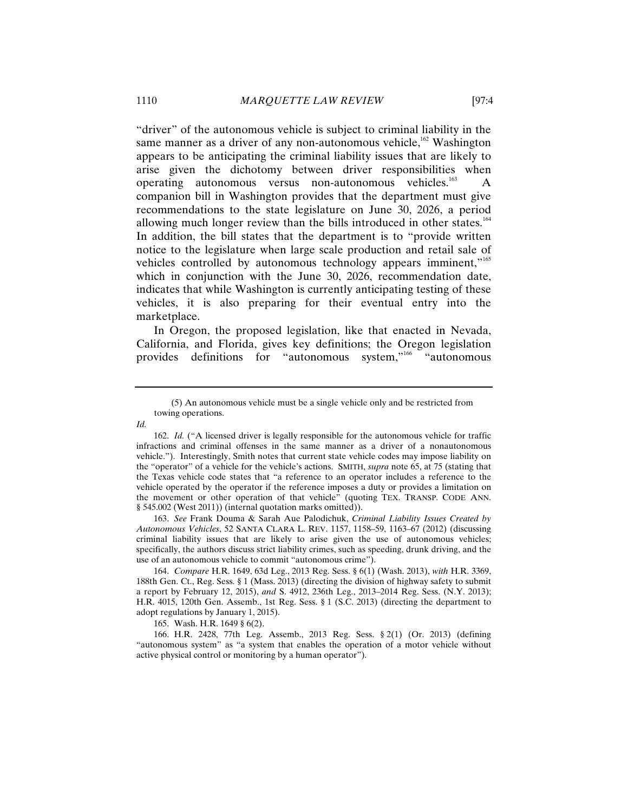"driver" of the autonomous vehicle is subject to criminal liability in the same manner as a driver of any non-autonomous vehicle, $162$  Washington appears to be anticipating the criminal liability issues that are likely to arise given the dichotomy between driver responsibilities when operating autonomous versus non-autonomous vehicles.<sup>163</sup> A companion bill in Washington provides that the department must give recommendations to the state legislature on June 30, 2026, a period allowing much longer review than the bills introduced in other states.<sup>164</sup> In addition, the bill states that the department is to "provide written notice to the legislature when large scale production and retail sale of vehicles controlled by autonomous technology appears imminent,"<sup>165</sup> which in conjunction with the June 30, 2026, recommendation date, indicates that while Washington is currently anticipating testing of these vehicles, it is also preparing for their eventual entry into the marketplace.

In Oregon, the proposed legislation, like that enacted in Nevada, California, and Florida, gives key definitions; the Oregon legislation provides definitions for "autonomous system,"<sup>166</sup> "autonomous

163. *See* Frank Douma & Sarah Aue Palodichuk, *Criminal Liability Issues Created by Autonomous Vehicles*, 52 SANTA CLARA L. REV. 1157, 1158–59, 1163–67 (2012) (discussing criminal liability issues that are likely to arise given the use of autonomous vehicles; specifically, the authors discuss strict liability crimes, such as speeding, drunk driving, and the use of an autonomous vehicle to commit "autonomous crime").

164. *Compare* H.R. 1649, 63d Leg., 2013 Reg. Sess. § 6(1) (Wash. 2013), *with* H.R. 3369, 188th Gen. Ct., Reg. Sess. § 1 (Mass. 2013) (directing the division of highway safety to submit a report by February 12, 2015), *and* S. 4912, 236th Leg., 2013–2014 Reg. Sess. (N.Y. 2013); H.R. 4015, 120th Gen. Assemb., 1st Reg. Sess. § 1 (S.C. 2013) (directing the department to adopt regulations by January 1, 2015).

165. Wash. H.R. 1649 § 6(2).

166. H.R. 2428, 77th Leg. Assemb., 2013 Reg. Sess. § 2(1) (Or. 2013) (defining "autonomous system" as "a system that enables the operation of a motor vehicle without active physical control or monitoring by a human operator").

 <sup>(5)</sup> An autonomous vehicle must be a single vehicle only and be restricted from towing operations.

*Id.*

<sup>162.</sup> *Id.* ("A licensed driver is legally responsible for the autonomous vehicle for traffic infractions and criminal offenses in the same manner as a driver of a nonautonomous vehicle."). Interestingly, Smith notes that current state vehicle codes may impose liability on the "operator" of a vehicle for the vehicle's actions. SMITH, *supra* note 65, at 75 (stating that the Texas vehicle code states that "a reference to an operator includes a reference to the vehicle operated by the operator if the reference imposes a duty or provides a limitation on the movement or other operation of that vehicle" (quoting TEX. TRANSP. CODE ANN. § 545.002 (West 2011)) (internal quotation marks omitted)).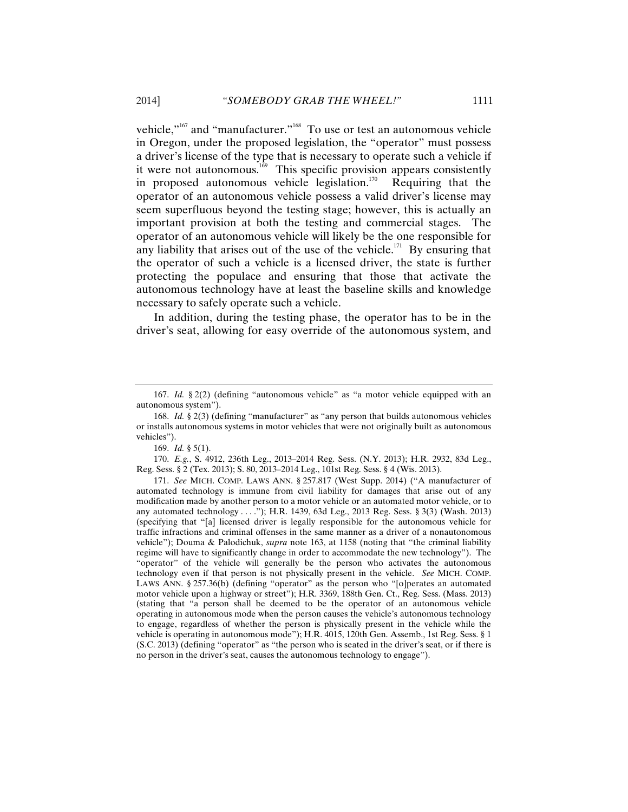vehicle,"167 and "manufacturer."168 To use or test an autonomous vehicle in Oregon, under the proposed legislation, the "operator" must possess a driver's license of the type that is necessary to operate such a vehicle if it were not autonomous.<sup>169</sup> This specific provision appears consistently in proposed autonomous vehicle legislation.<sup>170</sup> Requiring that the operator of an autonomous vehicle possess a valid driver's license may seem superfluous beyond the testing stage; however, this is actually an important provision at both the testing and commercial stages. The operator of an autonomous vehicle will likely be the one responsible for any liability that arises out of the use of the vehicle.<sup>171</sup> By ensuring that the operator of such a vehicle is a licensed driver, the state is further protecting the populace and ensuring that those that activate the autonomous technology have at least the baseline skills and knowledge necessary to safely operate such a vehicle.

In addition, during the testing phase, the operator has to be in the driver's seat, allowing for easy override of the autonomous system, and

170. *E.g.*, S. 4912, 236th Leg., 2013–2014 Reg. Sess. (N.Y. 2013); H.R. 2932, 83d Leg., Reg. Sess. § 2 (Tex. 2013); S. 80, 2013–2014 Leg., 101st Reg. Sess. § 4 (Wis. 2013).

171. *See* MICH. COMP. LAWS ANN. § 257.817 (West Supp. 2014) ("A manufacturer of automated technology is immune from civil liability for damages that arise out of any modification made by another person to a motor vehicle or an automated motor vehicle, or to any automated technology . . . ."); H.R. 1439, 63d Leg., 2013 Reg. Sess. § 3(3) (Wash. 2013) (specifying that "[a] licensed driver is legally responsible for the autonomous vehicle for traffic infractions and criminal offenses in the same manner as a driver of a nonautonomous vehicle"); Douma & Palodichuk, *supra* note 163, at 1158 (noting that "the criminal liability regime will have to significantly change in order to accommodate the new technology"). The "operator" of the vehicle will generally be the person who activates the autonomous technology even if that person is not physically present in the vehicle. *See* MICH. COMP. LAWS ANN. § 257.36(b) (defining "operator" as the person who "[o]perates an automated motor vehicle upon a highway or street"); H.R. 3369, 188th Gen. Ct., Reg. Sess. (Mass. 2013) (stating that "a person shall be deemed to be the operator of an autonomous vehicle operating in autonomous mode when the person causes the vehicle's autonomous technology to engage, regardless of whether the person is physically present in the vehicle while the vehicle is operating in autonomous mode"); H.R. 4015, 120th Gen. Assemb., 1st Reg. Sess. § 1 (S.C. 2013) (defining "operator" as "the person who is seated in the driver's seat, or if there is no person in the driver's seat, causes the autonomous technology to engage").

<sup>167.</sup> *Id.* § 2(2) (defining "autonomous vehicle" as "a motor vehicle equipped with an autonomous system").

<sup>168.</sup> *Id.* § 2(3) (defining "manufacturer" as "any person that builds autonomous vehicles or installs autonomous systems in motor vehicles that were not originally built as autonomous vehicles").

<sup>169.</sup> *Id.* § 5(1).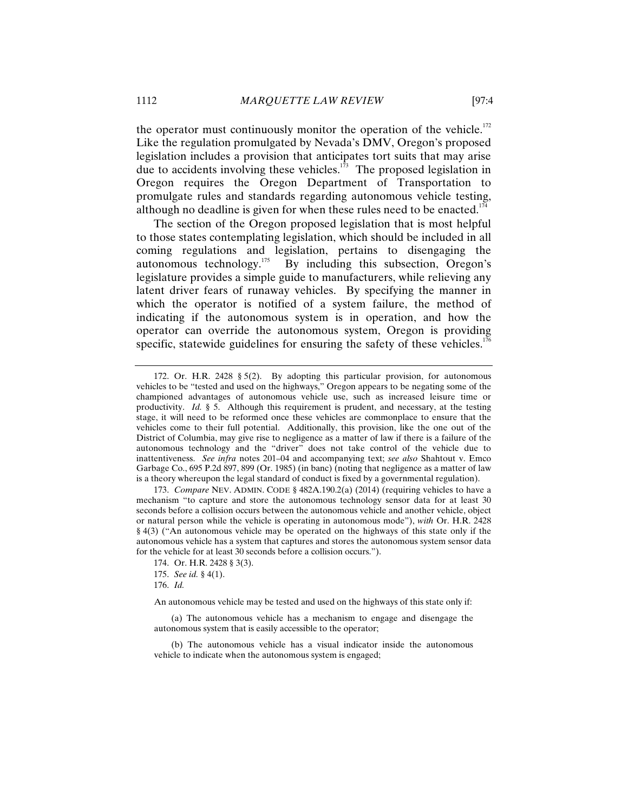the operator must continuously monitor the operation of the vehicle. $172$ Like the regulation promulgated by Nevada's DMV, Oregon's proposed legislation includes a provision that anticipates tort suits that may arise due to accidents involving these vehicles.<sup>173</sup> The proposed legislation in Oregon requires the Oregon Department of Transportation to promulgate rules and standards regarding autonomous vehicle testing, although no deadline is given for when these rules need to be enacted.<sup>174</sup>

The section of the Oregon proposed legislation that is most helpful to those states contemplating legislation, which should be included in all coming regulations and legislation, pertains to disengaging the autonomous technology.175 By including this subsection, Oregon's legislature provides a simple guide to manufacturers, while relieving any latent driver fears of runaway vehicles. By specifying the manner in which the operator is notified of a system failure, the method of indicating if the autonomous system is in operation, and how the operator can override the autonomous system, Oregon is providing specific, statewide guidelines for ensuring the safety of these vehicles.<sup>176</sup>

176. *Id.*

An autonomous vehicle may be tested and used on the highways of this state only if:

 (a) The autonomous vehicle has a mechanism to engage and disengage the autonomous system that is easily accessible to the operator;

 (b) The autonomous vehicle has a visual indicator inside the autonomous vehicle to indicate when the autonomous system is engaged;

<sup>172.</sup> Or. H.R. 2428 § 5(2). By adopting this particular provision, for autonomous vehicles to be "tested and used on the highways," Oregon appears to be negating some of the championed advantages of autonomous vehicle use, such as increased leisure time or productivity. *Id.* § 5. Although this requirement is prudent, and necessary, at the testing stage, it will need to be reformed once these vehicles are commonplace to ensure that the vehicles come to their full potential. Additionally, this provision, like the one out of the District of Columbia, may give rise to negligence as a matter of law if there is a failure of the autonomous technology and the "driver" does not take control of the vehicle due to inattentiveness. *See infra* notes 201–04 and accompanying text; *see also* Shahtout v. Emco Garbage Co., 695 P.2d 897, 899 (Or. 1985) (in banc) (noting that negligence as a matter of law is a theory whereupon the legal standard of conduct is fixed by a governmental regulation).

<sup>173.</sup> *Compare* NEV. ADMIN. CODE § 482A.190.2(a) (2014) (requiring vehicles to have a mechanism "to capture and store the autonomous technology sensor data for at least 30 seconds before a collision occurs between the autonomous vehicle and another vehicle, object or natural person while the vehicle is operating in autonomous mode"), *with* Or. H.R. 2428 § 4(3) ("An autonomous vehicle may be operated on the highways of this state only if the autonomous vehicle has a system that captures and stores the autonomous system sensor data for the vehicle for at least 30 seconds before a collision occurs.").

<sup>174.</sup> Or. H.R. 2428 § 3(3).

<sup>175.</sup> *See id.* § 4(1).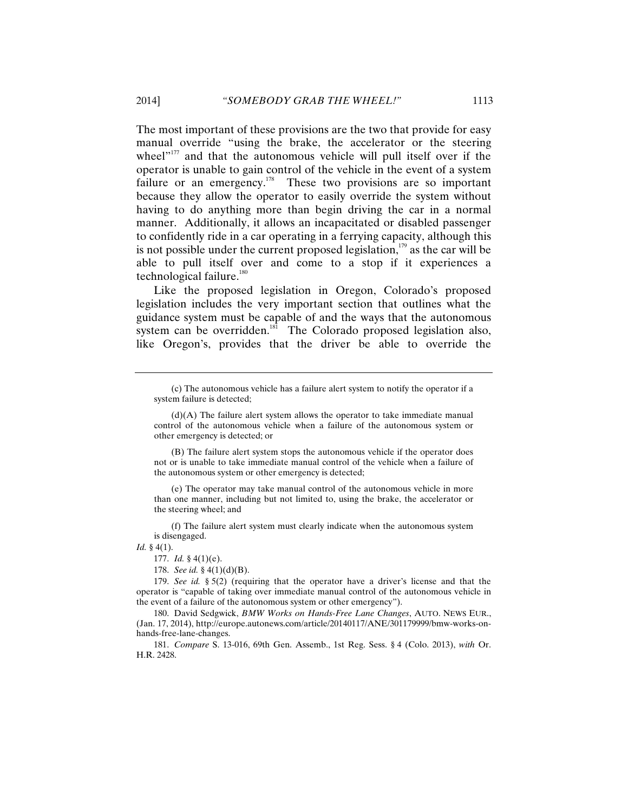The most important of these provisions are the two that provide for easy manual override "using the brake, the accelerator or the steering wheel $v<sup>177</sup>$  and that the autonomous vehicle will pull itself over if the operator is unable to gain control of the vehicle in the event of a system failure or an emergency.<sup>178</sup> These two provisions are so important because they allow the operator to easily override the system without having to do anything more than begin driving the car in a normal manner. Additionally, it allows an incapacitated or disabled passenger to confidently ride in a car operating in a ferrying capacity, although this is not possible under the current proposed legislation, $179$  as the car will be able to pull itself over and come to a stop if it experiences a technological failure.<sup>180</sup>

Like the proposed legislation in Oregon, Colorado's proposed legislation includes the very important section that outlines what the guidance system must be capable of and the ways that the autonomous system can be overridden. $\frac{181}{181}$  The Colorado proposed legislation also, like Oregon's, provides that the driver be able to override the

 (B) The failure alert system stops the autonomous vehicle if the operator does not or is unable to take immediate manual control of the vehicle when a failure of the autonomous system or other emergency is detected;

 (e) The operator may take manual control of the autonomous vehicle in more than one manner, including but not limited to, using the brake, the accelerator or the steering wheel; and

 (f) The failure alert system must clearly indicate when the autonomous system is disengaged.

*Id.* § 4(1).

177. *Id.* § 4(1)(e).

178. *See id.* § 4(1)(d)(B).

179. *See id.* § 5(2) (requiring that the operator have a driver's license and that the operator is "capable of taking over immediate manual control of the autonomous vehicle in the event of a failure of the autonomous system or other emergency").

180. David Sedgwick, *BMW Works on Hands-Free Lane Changes*, AUTO. NEWS EUR., (Jan. 17, 2014), http://europe.autonews.com/article/20140117/ANE/301179999/bmw-works-onhands-free-lane-changes.

181. *Compare* S. 13-016, 69th Gen. Assemb., 1st Reg. Sess. § 4 (Colo. 2013), *with* Or. H.R. 2428.

 <sup>(</sup>c) The autonomous vehicle has a failure alert system to notify the operator if a system failure is detected;

 <sup>(</sup>d)(A) The failure alert system allows the operator to take immediate manual control of the autonomous vehicle when a failure of the autonomous system or other emergency is detected; or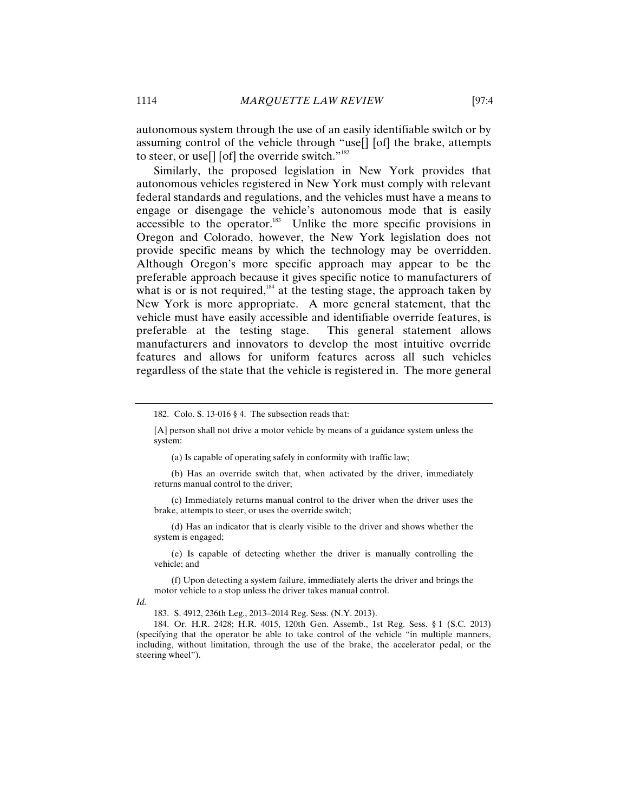autonomous system through the use of an easily identifiable switch or by assuming control of the vehicle through "use[] [of] the brake, attempts to steer, or use[] [of] the override switch." $182$ 

Similarly, the proposed legislation in New York provides that autonomous vehicles registered in New York must comply with relevant federal standards and regulations, and the vehicles must have a means to engage or disengage the vehicle's autonomous mode that is easily accessible to the operator.<sup>183</sup> Unlike the more specific provisions in Oregon and Colorado, however, the New York legislation does not provide specific means by which the technology may be overridden. Although Oregon's more specific approach may appear to be the preferable approach because it gives specific notice to manufacturers of what is or is not required,  $\frac{184}{10}$  at the testing stage, the approach taken by New York is more appropriate. A more general statement, that the vehicle must have easily accessible and identifiable override features, is preferable at the testing stage. This general statement allows manufacturers and innovators to develop the most intuitive override features and allows for uniform features across all such vehicles regardless of the state that the vehicle is registered in. The more general

(a) Is capable of operating safely in conformity with traffic law;

 (b) Has an override switch that, when activated by the driver, immediately returns manual control to the driver;

 (c) Immediately returns manual control to the driver when the driver uses the brake, attempts to steer, or uses the override switch;

 (d) Has an indicator that is clearly visible to the driver and shows whether the system is engaged;

 (e) Is capable of detecting whether the driver is manually controlling the vehicle; and

 (f) Upon detecting a system failure, immediately alerts the driver and brings the motor vehicle to a stop unless the driver takes manual control.

*Id.*

183. S. 4912, 236th Leg., 2013–2014 Reg. Sess. (N.Y. 2013).

184. Or. H.R. 2428; H.R. 4015, 120th Gen. Assemb., 1st Reg. Sess. § 1 (S.C. 2013) (specifying that the operator be able to take control of the vehicle "in multiple manners, including, without limitation, through the use of the brake, the accelerator pedal, or the steering wheel").

<sup>182.</sup> Colo. S. 13-016 § 4. The subsection reads that:

<sup>[</sup>A] person shall not drive a motor vehicle by means of a guidance system unless the system: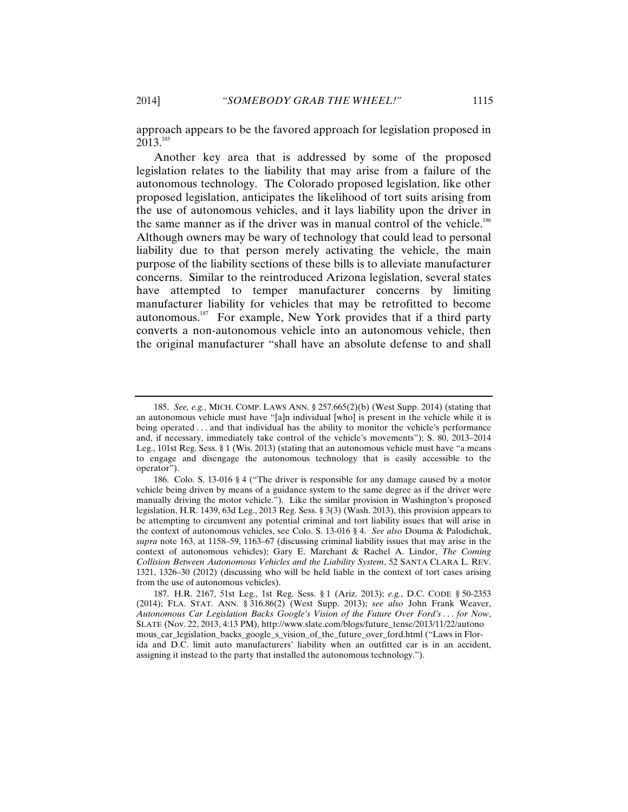approach appears to be the favored approach for legislation proposed in  $2013^{185}$ 

Another key area that is addressed by some of the proposed legislation relates to the liability that may arise from a failure of the autonomous technology. The Colorado proposed legislation, like other proposed legislation, anticipates the likelihood of tort suits arising from the use of autonomous vehicles, and it lays liability upon the driver in the same manner as if the driver was in manual control of the vehicle.<sup>186</sup> Although owners may be wary of technology that could lead to personal liability due to that person merely activating the vehicle, the main purpose of the liability sections of these bills is to alleviate manufacturer concerns. Similar to the reintroduced Arizona legislation, several states have attempted to temper manufacturer concerns by limiting manufacturer liability for vehicles that may be retrofitted to become autonomous.<sup>187</sup> For example, New York provides that if a third party converts a non-autonomous vehicle into an autonomous vehicle, then the original manufacturer "shall have an absolute defense to and shall

<sup>185.</sup> *See, e.g.*, MICH. COMP. LAWS ANN. § 257.665(2)(b) (West Supp. 2014) (stating that an autonomous vehicle must have "[a]n individual [who] is present in the vehicle while it is being operated . . . and that individual has the ability to monitor the vehicle's performance and, if necessary, immediately take control of the vehicle's movements"); S. 80, 2013–2014 Leg., 101st Reg. Sess. § 1 (Wis. 2013) (stating that an autonomous vehicle must have "a means to engage and disengage the autonomous technology that is easily accessible to the operator").

<sup>186.</sup> Colo. S. 13-016 § 4 ("The driver is responsible for any damage caused by a motor vehicle being driven by means of a guidance system to the same degree as if the driver were manually driving the motor vehicle."). Like the similar provision in Washington's proposed legislation, H.R. 1439, 63d Leg., 2013 Reg. Sess. § 3(3) (Wash. 2013), this provision appears to be attempting to circumvent any potential criminal and tort liability issues that will arise in the context of autonomous vehicles, see Colo. S. 13-016 § 4. *See also* Douma & Palodichuk, *supra* note 163, at 1158–59, 1163–67 (discussing criminal liability issues that may arise in the context of autonomous vehicles); Gary E. Marchant & Rachel A. Lindor, *The Coming Collision Between Autonomous Vehicles and the Liability System*, 52 SANTA CLARA L. REV. 1321, 1326–30 (2012) (discussing who will be held liable in the context of tort cases arising from the use of autonomous vehicles).

<sup>187.</sup> H.R. 2167, 51st Leg., 1st Reg. Sess. § 1 (Ariz. 2013); *e.g.*, D.C. CODE § 50-2353 (2014); FLA. STAT. ANN. § 316.86(2) (West Supp. 2013); *see also* John Frank Weaver, *Autonomous Car Legislation Backs Google's Vision of the Future Over Ford's . . . for Now*, SLATE (Nov. 22, 2013, 4:13 PM), http://www.slate.com/blogs/future\_tense/2013/11/22/autono mous\_car\_legislation\_backs\_google\_s\_vision\_of\_the\_future\_over\_ford.html ("Laws in Florida and D.C. limit auto manufacturers' liability when an outfitted car is in an accident, assigning it instead to the party that installed the autonomous technology.").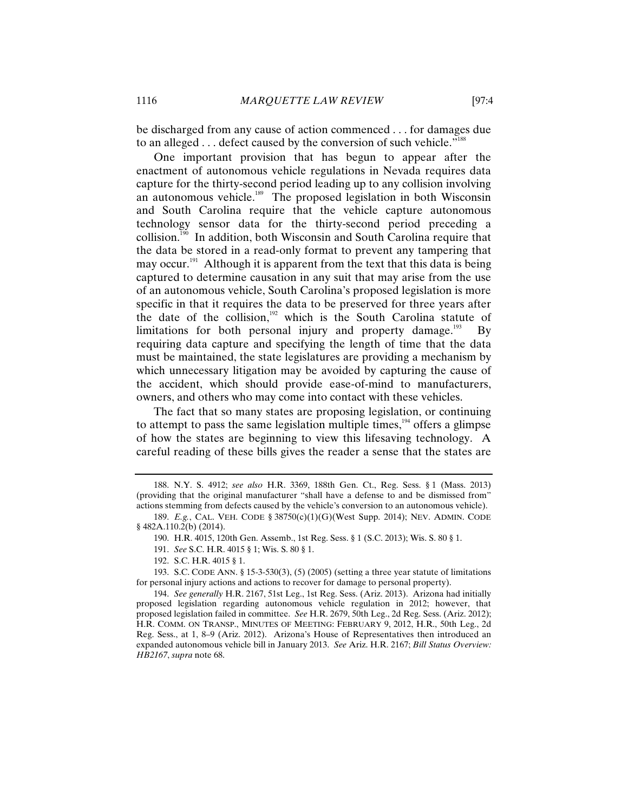be discharged from any cause of action commenced . . . for damages due to an alleged . . . defect caused by the conversion of such vehicle."<sup>188</sup>

One important provision that has begun to appear after the enactment of autonomous vehicle regulations in Nevada requires data capture for the thirty-second period leading up to any collision involving an autonomous vehicle.<sup>189</sup> The proposed legislation in both Wisconsin and South Carolina require that the vehicle capture autonomous technology sensor data for the thirty-second period preceding a collision.190 In addition, both Wisconsin and South Carolina require that the data be stored in a read-only format to prevent any tampering that may occur.<sup>191</sup> Although it is apparent from the text that this data is being captured to determine causation in any suit that may arise from the use of an autonomous vehicle, South Carolina's proposed legislation is more specific in that it requires the data to be preserved for three years after the date of the collision, $192$  which is the South Carolina statute of limitations for both personal injury and property damage.<sup>193</sup> By requiring data capture and specifying the length of time that the data must be maintained, the state legislatures are providing a mechanism by which unnecessary litigation may be avoided by capturing the cause of the accident, which should provide ease-of-mind to manufacturers, owners, and others who may come into contact with these vehicles.

The fact that so many states are proposing legislation, or continuing to attempt to pass the same legislation multiple times, $194$  offers a glimpse of how the states are beginning to view this lifesaving technology. A careful reading of these bills gives the reader a sense that the states are

<sup>188.</sup> N.Y. S. 4912; *see also* H.R. 3369, 188th Gen. Ct., Reg. Sess. § 1 (Mass. 2013) (providing that the original manufacturer "shall have a defense to and be dismissed from" actions stemming from defects caused by the vehicle's conversion to an autonomous vehicle).

<sup>189.</sup> *E.g.*, CAL. VEH. CODE § 38750(c)(1)(G)(West Supp. 2014); NEV. ADMIN. CODE § 482A.110.2(b) (2014).

<sup>190.</sup> H.R. 4015, 120th Gen. Assemb., 1st Reg. Sess. § 1 (S.C. 2013); Wis. S. 80 § 1.

<sup>191.</sup> *See* S.C. H.R. 4015 § 1; Wis. S. 80 § 1.

<sup>192.</sup> S.C. H.R. 4015 § 1.

<sup>193.</sup> S.C. CODE ANN. § 15-3-530(3), (5) (2005) (setting a three year statute of limitations for personal injury actions and actions to recover for damage to personal property).

<sup>194.</sup> *See generally* H.R. 2167, 51st Leg., 1st Reg. Sess. (Ariz. 2013). Arizona had initially proposed legislation regarding autonomous vehicle regulation in 2012; however, that proposed legislation failed in committee. *See* H.R. 2679, 50th Leg., 2d Reg. Sess. (Ariz. 2012); H.R. COMM. ON TRANSP., MINUTES OF MEETING: FEBRUARY 9, 2012, H.R., 50th Leg., 2d Reg. Sess., at 1, 8–9 (Ariz. 2012). Arizona's House of Representatives then introduced an expanded autonomous vehicle bill in January 2013. *See* Ariz. H.R. 2167; *Bill Status Overview: HB2167*, *supra* note 68.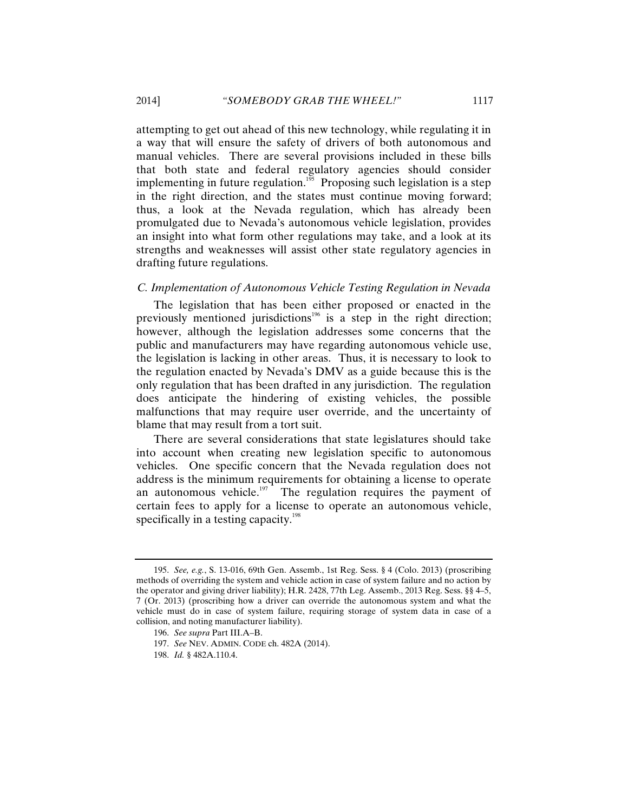attempting to get out ahead of this new technology, while regulating it in a way that will ensure the safety of drivers of both autonomous and manual vehicles. There are several provisions included in these bills that both state and federal regulatory agencies should consider implementing in future regulation.<sup>195</sup> Proposing such legislation is a step in the right direction, and the states must continue moving forward; thus, a look at the Nevada regulation, which has already been promulgated due to Nevada's autonomous vehicle legislation, provides an insight into what form other regulations may take, and a look at its strengths and weaknesses will assist other state regulatory agencies in drafting future regulations.

## *C. Implementation of Autonomous Vehicle Testing Regulation in Nevada*

The legislation that has been either proposed or enacted in the previously mentioned jurisdictions<sup>196</sup> is a step in the right direction; however, although the legislation addresses some concerns that the public and manufacturers may have regarding autonomous vehicle use, the legislation is lacking in other areas. Thus, it is necessary to look to the regulation enacted by Nevada's DMV as a guide because this is the only regulation that has been drafted in any jurisdiction. The regulation does anticipate the hindering of existing vehicles, the possible malfunctions that may require user override, and the uncertainty of blame that may result from a tort suit.

There are several considerations that state legislatures should take into account when creating new legislation specific to autonomous vehicles. One specific concern that the Nevada regulation does not address is the minimum requirements for obtaining a license to operate an autonomous vehicle.<sup>197</sup> The regulation requires the payment of certain fees to apply for a license to operate an autonomous vehicle, specifically in a testing capacity.<sup>198</sup>

<sup>195.</sup> *See, e.g.*, S. 13-016, 69th Gen. Assemb., 1st Reg. Sess. § 4 (Colo. 2013) (proscribing methods of overriding the system and vehicle action in case of system failure and no action by the operator and giving driver liability); H.R. 2428, 77th Leg. Assemb., 2013 Reg. Sess. §§ 4–5, 7 (Or. 2013) (proscribing how a driver can override the autonomous system and what the vehicle must do in case of system failure, requiring storage of system data in case of a collision, and noting manufacturer liability).

<sup>196.</sup> *See supra* Part III.A–B.

<sup>197.</sup> *See* NEV. ADMIN. CODE ch. 482A (2014).

<sup>198.</sup> *Id.* § 482A.110.4.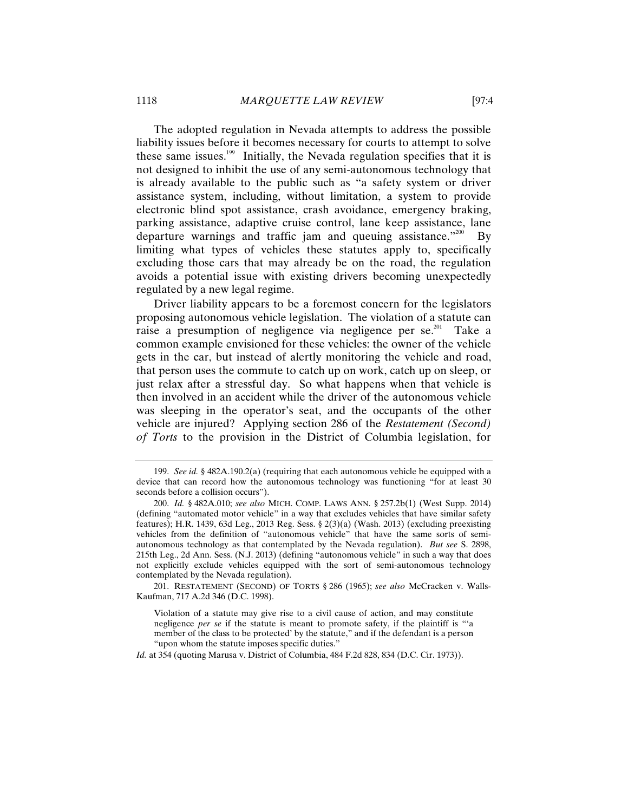The adopted regulation in Nevada attempts to address the possible liability issues before it becomes necessary for courts to attempt to solve these same issues.<sup>199</sup> Initially, the Nevada regulation specifies that it is not designed to inhibit the use of any semi-autonomous technology that is already available to the public such as "a safety system or driver assistance system, including, without limitation, a system to provide electronic blind spot assistance, crash avoidance, emergency braking, parking assistance, adaptive cruise control, lane keep assistance, lane departure warnings and traffic jam and queuing assistance. $1200$  By limiting what types of vehicles these statutes apply to, specifically excluding those cars that may already be on the road, the regulation avoids a potential issue with existing drivers becoming unexpectedly regulated by a new legal regime.

Driver liability appears to be a foremost concern for the legislators proposing autonomous vehicle legislation. The violation of a statute can raise a presumption of negligence via negligence per se.<sup>201</sup> Take a common example envisioned for these vehicles: the owner of the vehicle gets in the car, but instead of alertly monitoring the vehicle and road, that person uses the commute to catch up on work, catch up on sleep, or just relax after a stressful day. So what happens when that vehicle is then involved in an accident while the driver of the autonomous vehicle was sleeping in the operator's seat, and the occupants of the other vehicle are injured? Applying section 286 of the *Restatement (Second) of Torts* to the provision in the District of Columbia legislation, for

201. RESTATEMENT (SECOND) OF TORTS § 286 (1965); *see also* McCracken v. Walls-Kaufman, 717 A.2d 346 (D.C. 1998).

*Id.* at 354 (quoting Marusa v. District of Columbia, 484 F.2d 828, 834 (D.C. Cir. 1973)).

<sup>199.</sup> *See id.* § 482A.190.2(a) (requiring that each autonomous vehicle be equipped with a device that can record how the autonomous technology was functioning "for at least 30 seconds before a collision occurs").

<sup>200.</sup> *Id.* § 482A.010; *see also* MICH. COMP. LAWS ANN. § 257.2b(1) (West Supp. 2014) (defining "automated motor vehicle" in a way that excludes vehicles that have similar safety features); H.R. 1439, 63d Leg., 2013 Reg. Sess. § 2(3)(a) (Wash. 2013) (excluding preexisting vehicles from the definition of "autonomous vehicle" that have the same sorts of semiautonomous technology as that contemplated by the Nevada regulation). *But see* S. 2898, 215th Leg., 2d Ann. Sess. (N.J. 2013) (defining "autonomous vehicle" in such a way that does not explicitly exclude vehicles equipped with the sort of semi-autonomous technology contemplated by the Nevada regulation).

Violation of a statute may give rise to a civil cause of action, and may constitute negligence *per se* if the statute is meant to promote safety, if the plaintiff is "'a member of the class to be protected' by the statute," and if the defendant is a person "upon whom the statute imposes specific duties."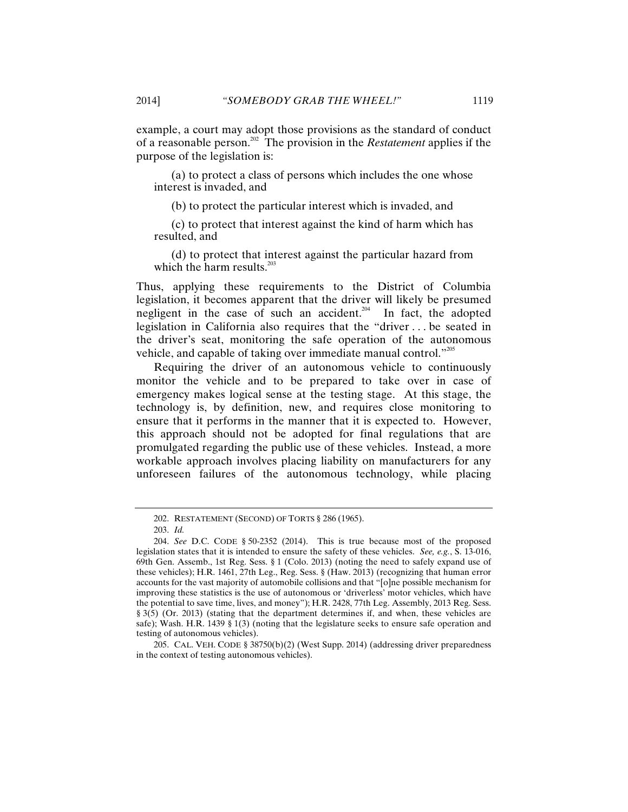example, a court may adopt those provisions as the standard of conduct of a reasonable person.202 The provision in the *Restatement* applies if the purpose of the legislation is:

 (a) to protect a class of persons which includes the one whose interest is invaded, and

(b) to protect the particular interest which is invaded, and

 (c) to protect that interest against the kind of harm which has resulted, and

 (d) to protect that interest against the particular hazard from which the harm results. $^{203}$ 

Thus, applying these requirements to the District of Columbia legislation, it becomes apparent that the driver will likely be presumed negligent in the case of such an accident.<sup>204</sup> In fact, the adopted legislation in California also requires that the "driver . . . be seated in the driver's seat, monitoring the safe operation of the autonomous vehicle, and capable of taking over immediate manual control."205

Requiring the driver of an autonomous vehicle to continuously monitor the vehicle and to be prepared to take over in case of emergency makes logical sense at the testing stage. At this stage, the technology is, by definition, new, and requires close monitoring to ensure that it performs in the manner that it is expected to. However, this approach should not be adopted for final regulations that are promulgated regarding the public use of these vehicles. Instead, a more workable approach involves placing liability on manufacturers for any unforeseen failures of the autonomous technology, while placing

<sup>202.</sup> RESTATEMENT (SECOND) OF TORTS § 286 (1965).

<sup>203.</sup> *Id.*

<sup>204.</sup> *See* D.C. CODE § 50-2352 (2014). This is true because most of the proposed legislation states that it is intended to ensure the safety of these vehicles. *See, e.g.*, S. 13-016, 69th Gen. Assemb., 1st Reg. Sess. § 1 (Colo. 2013) (noting the need to safely expand use of these vehicles); H.R. 1461, 27th Leg., Reg. Sess. § (Haw. 2013) (recognizing that human error accounts for the vast majority of automobile collisions and that "[o]ne possible mechanism for improving these statistics is the use of autonomous or 'driverless' motor vehicles, which have the potential to save time, lives, and money"); H.R. 2428, 77th Leg. Assembly, 2013 Reg. Sess. § 3(5) (Or. 2013) (stating that the department determines if, and when, these vehicles are safe); Wash. H.R. 1439 § 1(3) (noting that the legislature seeks to ensure safe operation and testing of autonomous vehicles).

<sup>205.</sup> CAL. VEH. CODE § 38750(b)(2) (West Supp. 2014) (addressing driver preparedness in the context of testing autonomous vehicles).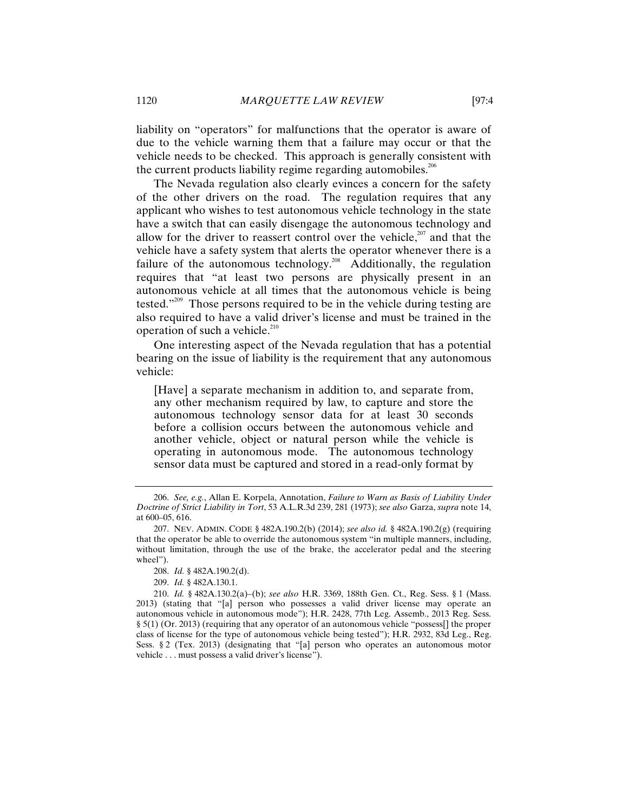liability on "operators" for malfunctions that the operator is aware of due to the vehicle warning them that a failure may occur or that the vehicle needs to be checked. This approach is generally consistent with the current products liability regime regarding automobiles.<sup>206</sup>

The Nevada regulation also clearly evinces a concern for the safety of the other drivers on the road. The regulation requires that any applicant who wishes to test autonomous vehicle technology in the state have a switch that can easily disengage the autonomous technology and allow for the driver to reassert control over the vehicle, $207$  and that the vehicle have a safety system that alerts the operator whenever there is a failure of the autonomous technology.<sup>208</sup> Additionally, the regulation requires that "at least two persons are physically present in an autonomous vehicle at all times that the autonomous vehicle is being tested."209 Those persons required to be in the vehicle during testing are also required to have a valid driver's license and must be trained in the operation of such a vehicle.<sup>210</sup>

One interesting aspect of the Nevada regulation that has a potential bearing on the issue of liability is the requirement that any autonomous vehicle:

[Have] a separate mechanism in addition to, and separate from, any other mechanism required by law, to capture and store the autonomous technology sensor data for at least 30 seconds before a collision occurs between the autonomous vehicle and another vehicle, object or natural person while the vehicle is operating in autonomous mode. The autonomous technology sensor data must be captured and stored in a read-only format by

<sup>206.</sup> *See, e.g.*, Allan E. Korpela, Annotation, *Failure to Warn as Basis of Liability Under Doctrine of Strict Liability in Tort*, 53 A.L.R.3d 239, 281 (1973); *see also* Garza, *supra* note 14, at 600–05, 616.

<sup>207.</sup> NEV. ADMIN. CODE § 482A.190.2(b) (2014); *see also id.* § 482A.190.2(g) (requiring that the operator be able to override the autonomous system "in multiple manners, including, without limitation, through the use of the brake, the accelerator pedal and the steering wheel").

<sup>208.</sup> *Id.* § 482A.190.2(d).

<sup>209.</sup> *Id.* § 482A.130.1.

<sup>210.</sup> *Id.* § 482A.130.2(a)–(b); *see also* H.R. 3369, 188th Gen. Ct., Reg. Sess. § 1 (Mass. 2013) (stating that "[a] person who possesses a valid driver license may operate an autonomous vehicle in autonomous mode"); H.R. 2428, 77th Leg. Assemb., 2013 Reg. Sess. § 5(1) (Or. 2013) (requiring that any operator of an autonomous vehicle "possess[] the proper class of license for the type of autonomous vehicle being tested"); H.R. 2932, 83d Leg., Reg. Sess. § 2 (Tex. 2013) (designating that "[a] person who operates an autonomous motor vehicle . . . must possess a valid driver's license").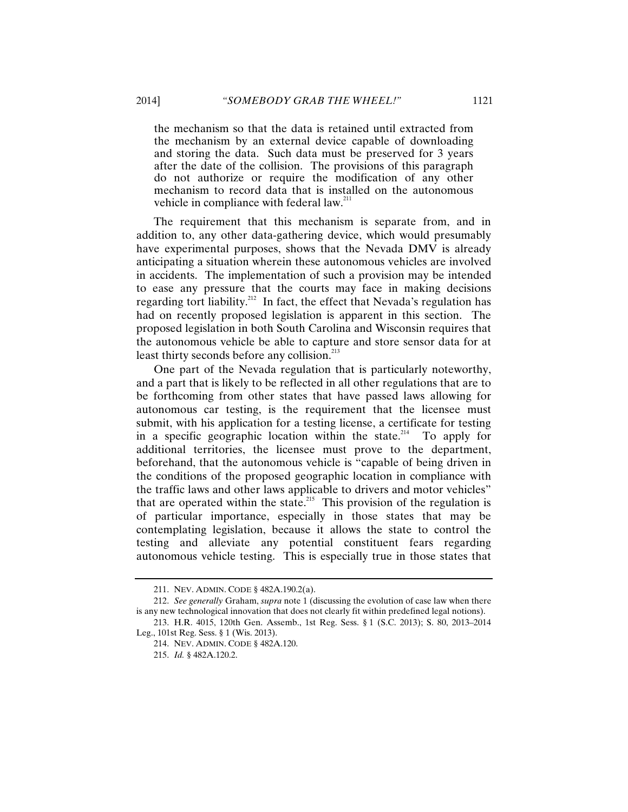the mechanism so that the data is retained until extracted from the mechanism by an external device capable of downloading and storing the data. Such data must be preserved for 3 years after the date of the collision. The provisions of this paragraph do not authorize or require the modification of any other mechanism to record data that is installed on the autonomous vehicle in compliance with federal law.<sup>211</sup>

The requirement that this mechanism is separate from, and in addition to, any other data-gathering device, which would presumably have experimental purposes, shows that the Nevada DMV is already anticipating a situation wherein these autonomous vehicles are involved in accidents. The implementation of such a provision may be intended to ease any pressure that the courts may face in making decisions regarding tort liability.<sup>212</sup> In fact, the effect that Nevada's regulation has had on recently proposed legislation is apparent in this section. The proposed legislation in both South Carolina and Wisconsin requires that the autonomous vehicle be able to capture and store sensor data for at least thirty seconds before any collision.<sup>213</sup>

One part of the Nevada regulation that is particularly noteworthy, and a part that is likely to be reflected in all other regulations that are to be forthcoming from other states that have passed laws allowing for autonomous car testing, is the requirement that the licensee must submit, with his application for a testing license, a certificate for testing in a specific geographic location within the state.<sup>214</sup> To apply for additional territories, the licensee must prove to the department, beforehand, that the autonomous vehicle is "capable of being driven in the conditions of the proposed geographic location in compliance with the traffic laws and other laws applicable to drivers and motor vehicles" that are operated within the state.<sup>215</sup> This provision of the regulation is of particular importance, especially in those states that may be contemplating legislation, because it allows the state to control the testing and alleviate any potential constituent fears regarding autonomous vehicle testing. This is especially true in those states that

<sup>211.</sup> NEV. ADMIN. CODE § 482A.190.2(a).

<sup>212.</sup> *See generally* Graham, *supra* note 1 (discussing the evolution of case law when there is any new technological innovation that does not clearly fit within predefined legal notions).

<sup>213.</sup> H.R. 4015, 120th Gen. Assemb., 1st Reg. Sess. § 1 (S.C. 2013); S. 80, 2013–2014 Leg., 101st Reg. Sess. § 1 (Wis. 2013).

<sup>214.</sup> NEV. ADMIN. CODE § 482A.120.

<sup>215.</sup> *Id.* § 482A.120.2.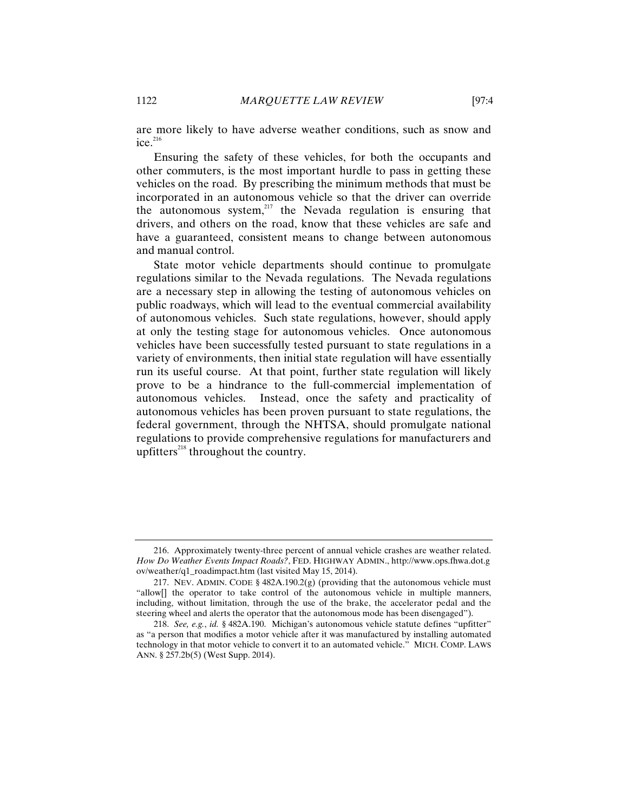are more likely to have adverse weather conditions, such as snow and  $\mathrm{ice.}^{216}$ 

Ensuring the safety of these vehicles, for both the occupants and other commuters, is the most important hurdle to pass in getting these vehicles on the road. By prescribing the minimum methods that must be incorporated in an autonomous vehicle so that the driver can override the autonomous system, $217$  the Nevada regulation is ensuring that drivers, and others on the road, know that these vehicles are safe and have a guaranteed, consistent means to change between autonomous and manual control.

State motor vehicle departments should continue to promulgate regulations similar to the Nevada regulations. The Nevada regulations are a necessary step in allowing the testing of autonomous vehicles on public roadways, which will lead to the eventual commercial availability of autonomous vehicles. Such state regulations, however, should apply at only the testing stage for autonomous vehicles. Once autonomous vehicles have been successfully tested pursuant to state regulations in a variety of environments, then initial state regulation will have essentially run its useful course. At that point, further state regulation will likely prove to be a hindrance to the full-commercial implementation of autonomous vehicles. Instead, once the safety and practicality of autonomous vehicles has been proven pursuant to state regulations, the federal government, through the NHTSA, should promulgate national regulations to provide comprehensive regulations for manufacturers and upfitters<sup>218</sup> throughout the country.

<sup>216.</sup> Approximately twenty-three percent of annual vehicle crashes are weather related. *How Do Weather Events Impact Roads?*, FED. HIGHWAY ADMIN., http://www.ops.fhwa.dot.g ov/weather/q1\_roadimpact.htm (last visited May 15, 2014).

<sup>217.</sup> NEV. ADMIN. CODE §  $482A.190.2(g)$  (providing that the autonomous vehicle must "allow[] the operator to take control of the autonomous vehicle in multiple manners, including, without limitation, through the use of the brake, the accelerator pedal and the steering wheel and alerts the operator that the autonomous mode has been disengaged").

<sup>218.</sup> *See, e.g.*, *id.* § 482A.190. Michigan's autonomous vehicle statute defines "upfitter" as "a person that modifies a motor vehicle after it was manufactured by installing automated technology in that motor vehicle to convert it to an automated vehicle." MICH. COMP. LAWS ANN. § 257.2b(5) (West Supp. 2014).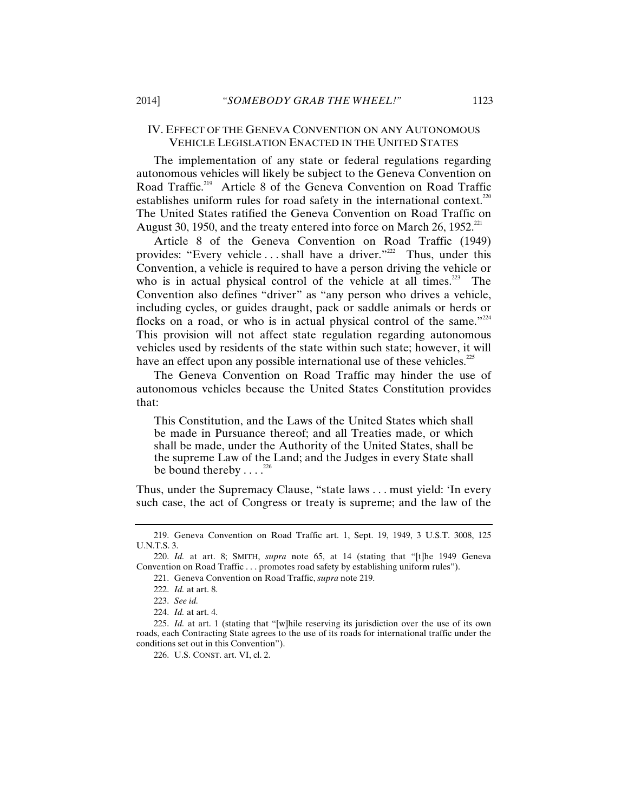#### IV. EFFECT OF THE GENEVA CONVENTION ON ANY AUTONOMOUS VEHICLE LEGISLATION ENACTED IN THE UNITED STATES

The implementation of any state or federal regulations regarding autonomous vehicles will likely be subject to the Geneva Convention on Road Traffic.<sup>219</sup> Article 8 of the Geneva Convention on Road Traffic establishes uniform rules for road safety in the international context.<sup>220</sup> The United States ratified the Geneva Convention on Road Traffic on August 30, 1950, and the treaty entered into force on March 26, 1952.<sup>221</sup>

Article 8 of the Geneva Convention on Road Traffic (1949) provides: "Every vehicle ... shall have a driver."<sup>222</sup> Thus, under this Convention, a vehicle is required to have a person driving the vehicle or who is in actual physical control of the vehicle at all times. $^{223}$  The Convention also defines "driver" as "any person who drives a vehicle, including cycles, or guides draught, pack or saddle animals or herds or flocks on a road, or who is in actual physical control of the same."<sup>224</sup> This provision will not affect state regulation regarding autonomous vehicles used by residents of the state within such state; however, it will have an effect upon any possible international use of these vehicles.<sup>225</sup>

The Geneva Convention on Road Traffic may hinder the use of autonomous vehicles because the United States Constitution provides that:

This Constitution, and the Laws of the United States which shall be made in Pursuance thereof; and all Treaties made, or which shall be made, under the Authority of the United States, shall be the supreme Law of the Land; and the Judges in every State shall be bound thereby  $\ldots$ <sup>226</sup>

Thus, under the Supremacy Clause, "state laws . . . must yield: 'In every such case, the act of Congress or treaty is supreme; and the law of the

226. U.S. CONST. art. VI, cl. 2.

<sup>219.</sup> Geneva Convention on Road Traffic art. 1, Sept. 19, 1949, 3 U.S.T. 3008, 125 U.N.T.S. 3.

<sup>220.</sup> *Id.* at art. 8; SMITH, *supra* note 65, at 14 (stating that "[t]he 1949 Geneva Convention on Road Traffic . . . promotes road safety by establishing uniform rules").

<sup>221.</sup> Geneva Convention on Road Traffic, *supra* note 219.

<sup>222.</sup> *Id.* at art. 8.

<sup>223.</sup> *See id.*

<sup>224.</sup> *Id.* at art. 4.

<sup>225.</sup> *Id.* at art. 1 (stating that "[w]hile reserving its jurisdiction over the use of its own roads, each Contracting State agrees to the use of its roads for international traffic under the conditions set out in this Convention").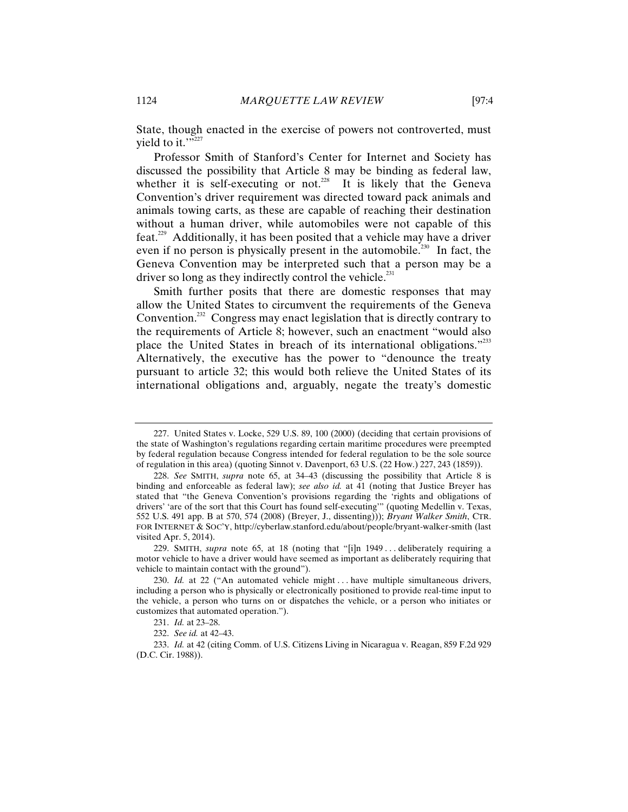State, though enacted in the exercise of powers not controverted, must vield to it." $\frac{1}{227}$ 

Professor Smith of Stanford's Center for Internet and Society has discussed the possibility that Article 8 may be binding as federal law, whether it is self-executing or not.<sup>228</sup> It is likely that the Geneva Convention's driver requirement was directed toward pack animals and animals towing carts, as these are capable of reaching their destination without a human driver, while automobiles were not capable of this feat.<sup>229</sup> Additionally, it has been posited that a vehicle may have a driver even if no person is physically present in the automobile.<sup>230</sup> In fact, the Geneva Convention may be interpreted such that a person may be a driver so long as they indirectly control the vehicle.<sup>231</sup>

Smith further posits that there are domestic responses that may allow the United States to circumvent the requirements of the Geneva Convention.<sup>232</sup> Congress may enact legislation that is directly contrary to the requirements of Article 8; however, such an enactment "would also place the United States in breach of its international obligations."<sup>233</sup> Alternatively, the executive has the power to "denounce the treaty pursuant to article 32; this would both relieve the United States of its international obligations and, arguably, negate the treaty's domestic

<sup>227.</sup> United States v. Locke, 529 U.S. 89, 100 (2000) (deciding that certain provisions of the state of Washington's regulations regarding certain maritime procedures were preempted by federal regulation because Congress intended for federal regulation to be the sole source of regulation in this area) (quoting Sinnot v. Davenport, 63 U.S. (22 How.) 227, 243 (1859)).

<sup>228.</sup> *See* SMITH, *supra* note 65, at 34–43 (discussing the possibility that Article 8 is binding and enforceable as federal law); *see also id.* at 41 (noting that Justice Breyer has stated that "the Geneva Convention's provisions regarding the 'rights and obligations of drivers' 'are of the sort that this Court has found self-executing'" (quoting Medellin v. Texas, 552 U.S. 491 app. B at 570, 574 (2008) (Breyer, J., dissenting))); *Bryant Walker Smith*, CTR. FOR INTERNET & SOC'Y, http://cyberlaw.stanford.edu/about/people/bryant-walker-smith (last visited Apr. 5, 2014).

<sup>229.</sup> SMITH, *supra* note 65, at 18 (noting that "[i]n 1949 . . . deliberately requiring a motor vehicle to have a driver would have seemed as important as deliberately requiring that vehicle to maintain contact with the ground").

<sup>230.</sup> *Id.* at 22 ("An automated vehicle might . . . have multiple simultaneous drivers, including a person who is physically or electronically positioned to provide real-time input to the vehicle, a person who turns on or dispatches the vehicle, or a person who initiates or customizes that automated operation.").

<sup>231.</sup> *Id.* at 23–28.

<sup>232.</sup> *See id.* at 42–43.

<sup>233.</sup> *Id.* at 42 (citing Comm. of U.S. Citizens Living in Nicaragua v. Reagan, 859 F.2d 929 (D.C. Cir. 1988)).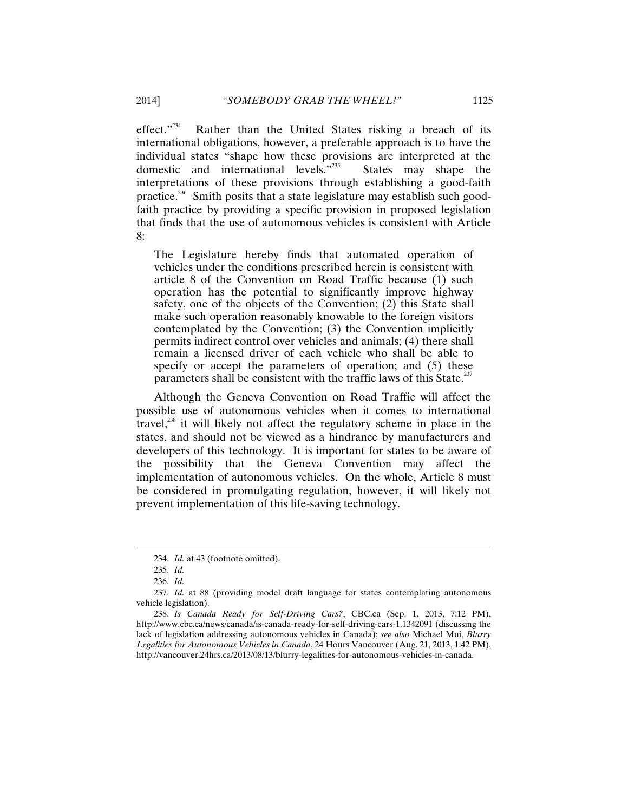effect. $1234$  Rather than the United States risking a breach of its international obligations, however, a preferable approach is to have the individual states "shape how these provisions are interpreted at the domestic and international levels."235 States may shape the interpretations of these provisions through establishing a good-faith practice.236 Smith posits that a state legislature may establish such goodfaith practice by providing a specific provision in proposed legislation that finds that the use of autonomous vehicles is consistent with Article 8:

The Legislature hereby finds that automated operation of vehicles under the conditions prescribed herein is consistent with article 8 of the Convention on Road Traffic because (1) such operation has the potential to significantly improve highway safety, one of the objects of the Convention; (2) this State shall make such operation reasonably knowable to the foreign visitors contemplated by the Convention; (3) the Convention implicitly permits indirect control over vehicles and animals; (4) there shall remain a licensed driver of each vehicle who shall be able to specify or accept the parameters of operation; and (5) these parameters shall be consistent with the traffic laws of this State.<sup>237</sup>

Although the Geneva Convention on Road Traffic will affect the possible use of autonomous vehicles when it comes to international travel, $^{238}$  it will likely not affect the regulatory scheme in place in the states, and should not be viewed as a hindrance by manufacturers and developers of this technology. It is important for states to be aware of the possibility that the Geneva Convention may affect the implementation of autonomous vehicles. On the whole, Article 8 must be considered in promulgating regulation, however, it will likely not prevent implementation of this life-saving technology.

<sup>234.</sup> *Id.* at 43 (footnote omitted).

<sup>235.</sup> *Id.*

<sup>236.</sup> *Id.*

<sup>237.</sup> *Id.* at 88 (providing model draft language for states contemplating autonomous vehicle legislation).

<sup>238.</sup> *Is Canada Ready for Self-Driving Cars?*, CBC.ca (Sep. 1, 2013, 7:12 PM), http://www.cbc.ca/news/canada/is-canada-ready-for-self-driving-cars-1.1342091 (discussing the lack of legislation addressing autonomous vehicles in Canada); *see also* Michael Mui, *Blurry Legalities for Autonomous Vehicles in Canada*, 24 Hours Vancouver (Aug. 21, 2013, 1:42 PM), http://vancouver.24hrs.ca/2013/08/13/blurry-legalities-for-autonomous-vehicles-in-canada.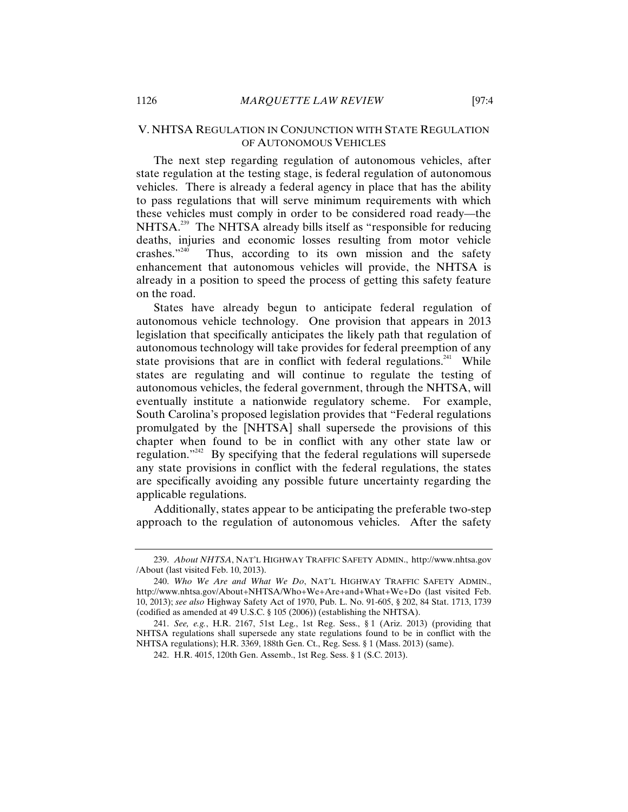### V. NHTSA REGULATION IN CONJUNCTION WITH STATE REGULATION OF AUTONOMOUS VEHICLES

The next step regarding regulation of autonomous vehicles, after state regulation at the testing stage, is federal regulation of autonomous vehicles. There is already a federal agency in place that has the ability to pass regulations that will serve minimum requirements with which these vehicles must comply in order to be considered road ready—the NHTSA.<sup>239</sup> The NHTSA already bills itself as "responsible for reducing deaths, injuries and economic losses resulting from motor vehicle crashes.<sup> $240$ </sup> Thus, according to its own mission and the safety Thus, according to its own mission and the safety enhancement that autonomous vehicles will provide, the NHTSA is already in a position to speed the process of getting this safety feature on the road.

States have already begun to anticipate federal regulation of autonomous vehicle technology. One provision that appears in 2013 legislation that specifically anticipates the likely path that regulation of autonomous technology will take provides for federal preemption of any state provisions that are in conflict with federal regulations.<sup>241</sup> While states are regulating and will continue to regulate the testing of autonomous vehicles, the federal government, through the NHTSA, will eventually institute a nationwide regulatory scheme. For example, South Carolina's proposed legislation provides that "Federal regulations promulgated by the [NHTSA] shall supersede the provisions of this chapter when found to be in conflict with any other state law or regulation."242 By specifying that the federal regulations will supersede any state provisions in conflict with the federal regulations, the states are specifically avoiding any possible future uncertainty regarding the applicable regulations.

Additionally, states appear to be anticipating the preferable two-step approach to the regulation of autonomous vehicles. After the safety

<sup>239.</sup> *About NHTSA*, NAT'L HIGHWAY TRAFFIC SAFETY ADMIN., http://www.nhtsa.gov /About (last visited Feb. 10, 2013).

<sup>240.</sup> *Who We Are and What We Do*, NAT'L HIGHWAY TRAFFIC SAFETY ADMIN., http://www.nhtsa.gov/About+NHTSA/Who+We+Are+and+What+We+Do (last visited Feb. 10, 2013); *see also* Highway Safety Act of 1970, Pub. L. No. 91-605, § 202, 84 Stat. 1713, 1739 (codified as amended at 49 U.S.C. § 105 (2006)) (establishing the NHTSA).

<sup>241.</sup> *See, e.g.*, H.R. 2167, 51st Leg., 1st Reg. Sess., § 1 (Ariz. 2013) (providing that NHTSA regulations shall supersede any state regulations found to be in conflict with the NHTSA regulations); H.R. 3369, 188th Gen. Ct., Reg. Sess. § 1 (Mass. 2013) (same).

<sup>242.</sup> H.R. 4015, 120th Gen. Assemb., 1st Reg. Sess. § 1 (S.C. 2013).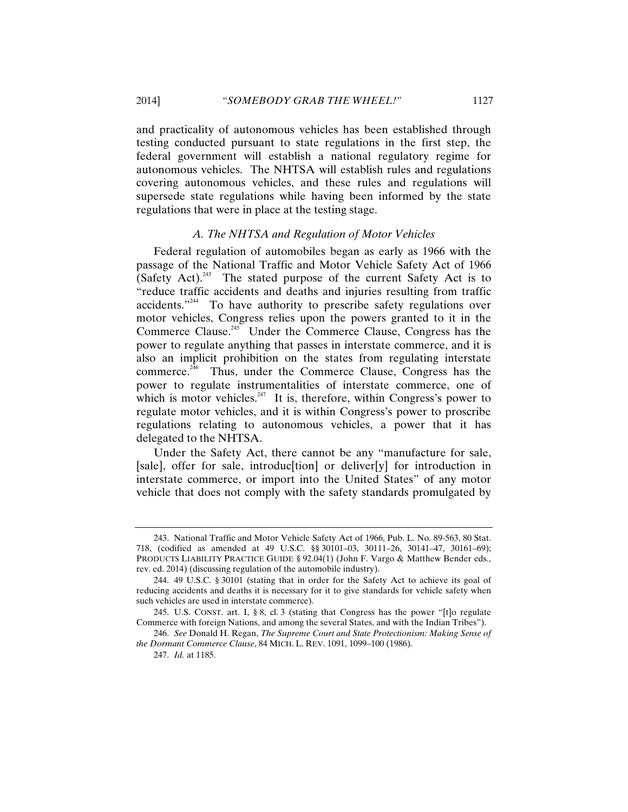and practicality of autonomous vehicles has been established through testing conducted pursuant to state regulations in the first step, the federal government will establish a national regulatory regime for autonomous vehicles. The NHTSA will establish rules and regulations covering autonomous vehicles, and these rules and regulations will supersede state regulations while having been informed by the state regulations that were in place at the testing stage.

#### *A. The NHTSA and Regulation of Motor Vehicles*

Federal regulation of automobiles began as early as 1966 with the passage of the National Traffic and Motor Vehicle Safety Act of 1966 (Safety Act).<sup>243</sup> The stated purpose of the current Safety Act is to "reduce traffic accidents and deaths and injuries resulting from traffic accidents."244 To have authority to prescribe safety regulations over motor vehicles, Congress relies upon the powers granted to it in the Commerce Clause.<sup>245</sup> Under the Commerce Clause, Congress has the power to regulate anything that passes in interstate commerce, and it is also an implicit prohibition on the states from regulating interstate commerce.246 Thus, under the Commerce Clause, Congress has the power to regulate instrumentalities of interstate commerce, one of which is motor vehicles.<sup>247</sup> It is, therefore, within Congress's power to regulate motor vehicles, and it is within Congress's power to proscribe regulations relating to autonomous vehicles, a power that it has delegated to the NHTSA.

Under the Safety Act, there cannot be any "manufacture for sale, [sale], offer for sale, introduction] or deliver[y] for introduction in interstate commerce, or import into the United States" of any motor vehicle that does not comply with the safety standards promulgated by

<sup>243.</sup> National Traffic and Motor Vehicle Safety Act of 1966, Pub. L. No. 89-563, 80 Stat. 718, (codified as amended at 49 U.S.C. §§ 30101–03, 30111–26, 30141–47, 30161–69); PRODUCTS LIABILITY PRACTICE GUIDE § 92.04(1) (John F. Vargo & Matthew Bender eds., rev. ed. 2014) (discussing regulation of the automobile industry).

<sup>244. 49</sup> U.S.C. § 30101 (stating that in order for the Safety Act to achieve its goal of reducing accidents and deaths it is necessary for it to give standards for vehicle safety when such vehicles are used in interstate commerce).

<sup>245.</sup> U.S. CONST. art. I,  $\S$  8, cl. 3 (stating that Congress has the power "[t]o regulate Commerce with foreign Nations, and among the several States, and with the Indian Tribes").

<sup>246.</sup> *See* Donald H. Regan, *The Supreme Court and State Protectionism: Making Sense of the Dormant Commerce Clause*, 84 MICH. L. REV. 1091, 1099–100 (1986).

<sup>247.</sup> *Id.* at 1185.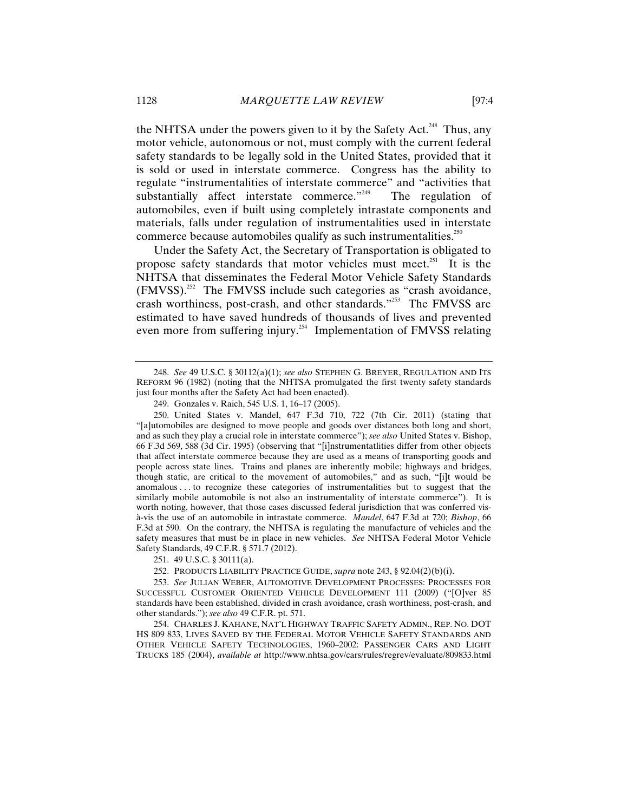the NHTSA under the powers given to it by the Safety Act.<sup>248</sup> Thus, any motor vehicle, autonomous or not, must comply with the current federal safety standards to be legally sold in the United States, provided that it is sold or used in interstate commerce. Congress has the ability to regulate "instrumentalities of interstate commerce" and "activities that substantially affect interstate commerce."<sup>249</sup> The regulation of automobiles, even if built using completely intrastate components and materials, falls under regulation of instrumentalities used in interstate commerce because automobiles qualify as such instrumentalities.<sup>250</sup>

Under the Safety Act, the Secretary of Transportation is obligated to propose safety standards that motor vehicles must meet. $^{251}$  It is the NHTSA that disseminates the Federal Motor Vehicle Safety Standards  $(FMVSS)$ .<sup>252</sup> The FMVSS include such categories as "crash avoidance, crash worthiness, post-crash, and other standards."<sup>253</sup> The FMVSS are estimated to have saved hundreds of thousands of lives and prevented even more from suffering injury.<sup>254</sup> Implementation of FMVSS relating

<sup>248.</sup> *See* 49 U.S.C. § 30112(a)(1); *see also* STEPHEN G. BREYER, REGULATION AND ITS REFORM 96 (1982) (noting that the NHTSA promulgated the first twenty safety standards just four months after the Safety Act had been enacted).

<sup>249.</sup> Gonzales v. Raich, 545 U.S. 1, 16–17 (2005).

<sup>250.</sup> United States v. Mandel, 647 F.3d 710, 722 (7th Cir. 2011) (stating that "[a]utomobiles are designed to move people and goods over distances both long and short, and as such they play a crucial role in interstate commerce"); *see also* United States v. Bishop, 66 F.3d 569, 588 (3d Cir. 1995) (observing that "[i]nstrumentatlities differ from other objects that affect interstate commerce because they are used as a means of transporting goods and people across state lines. Trains and planes are inherently mobile; highways and bridges, though static, are critical to the movement of automobiles," and as such, "[i]t would be anomalous . . . to recognize these categories of instrumentalities but to suggest that the similarly mobile automobile is not also an instrumentality of interstate commerce"). It is worth noting, however, that those cases discussed federal jurisdiction that was conferred visà-vis the use of an automobile in intrastate commerce. *Mandel*, 647 F.3d at 720; *Bishop*, 66 F.3d at 590. On the contrary, the NHTSA is regulating the manufacture of vehicles and the safety measures that must be in place in new vehicles. *See* NHTSA Federal Motor Vehicle Safety Standards, 49 C.F.R. § 571.7 (2012).

<sup>251. 49</sup> U.S.C. § 30111(a).

<sup>252.</sup> PRODUCTS LIABILITY PRACTICE GUIDE, *supra* note 243, § 92.04(2)(b)(i).

<sup>253.</sup> *See* JULIAN WEBER, AUTOMOTIVE DEVELOPMENT PROCESSES: PROCESSES FOR SUCCESSFUL CUSTOMER ORIENTED VEHICLE DEVELOPMENT 111 (2009) ("[O]ver 85 standards have been established, divided in crash avoidance, crash worthiness, post-crash, and other standards."); *see also* 49 C.F.R. pt. 571.

<sup>254.</sup> CHARLES J. KAHANE, NAT'L HIGHWAY TRAFFIC SAFETY ADMIN., REP. NO. DOT HS 809 833, LIVES SAVED BY THE FEDERAL MOTOR VEHICLE SAFETY STANDARDS AND OTHER VEHICLE SAFETY TECHNOLOGIES, 1960–2002: PASSENGER CARS AND LIGHT TRUCKS 185 (2004), *available at* http://www.nhtsa.gov/cars/rules/regrev/evaluate/809833.html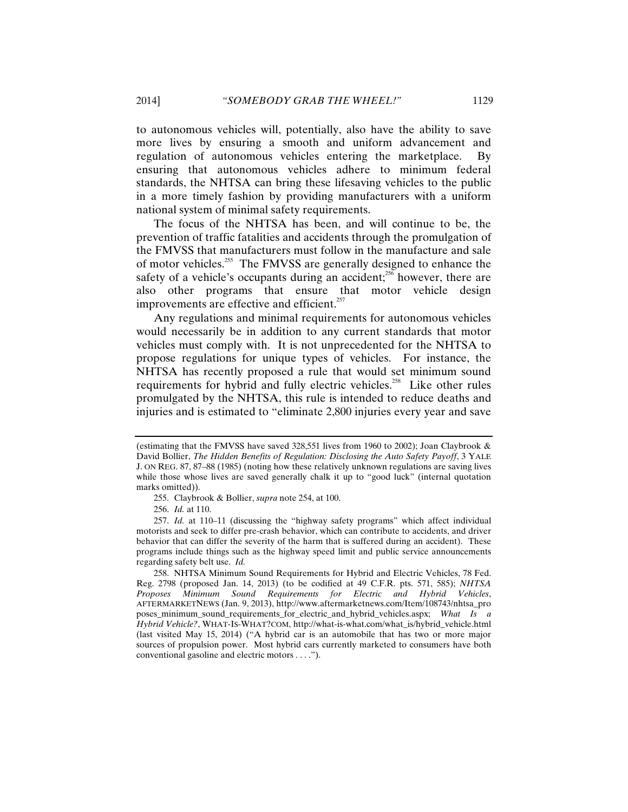to autonomous vehicles will, potentially, also have the ability to save more lives by ensuring a smooth and uniform advancement and regulation of autonomous vehicles entering the marketplace. By ensuring that autonomous vehicles adhere to minimum federal standards, the NHTSA can bring these lifesaving vehicles to the public in a more timely fashion by providing manufacturers with a uniform national system of minimal safety requirements.

The focus of the NHTSA has been, and will continue to be, the prevention of traffic fatalities and accidents through the promulgation of the FMVSS that manufacturers must follow in the manufacture and sale of motor vehicles.<sup>255</sup> The FMVSS are generally designed to enhance the safety of a vehicle's occupants during an accident; $^{256}$  however, there are also other programs that ensure that motor vehicle design improvements are effective and efficient.<sup>257</sup>

Any regulations and minimal requirements for autonomous vehicles would necessarily be in addition to any current standards that motor vehicles must comply with. It is not unprecedented for the NHTSA to propose regulations for unique types of vehicles. For instance, the NHTSA has recently proposed a rule that would set minimum sound requirements for hybrid and fully electric vehicles.<sup>258</sup> Like other rules promulgated by the NHTSA, this rule is intended to reduce deaths and injuries and is estimated to "eliminate 2,800 injuries every year and save

<sup>(</sup>estimating that the FMVSS have saved 328,551 lives from 1960 to 2002); Joan Claybrook & David Bollier, *The Hidden Benefits of Regulation: Disclosing the Auto Safety Payoff*, 3 YALE J. ON REG. 87, 87–88 (1985) (noting how these relatively unknown regulations are saving lives while those whose lives are saved generally chalk it up to "good luck" (internal quotation marks omitted)).

<sup>255.</sup> Claybrook & Bollier, *supra* note 254, at 100.

<sup>256.</sup> *Id.* at 110.

<sup>257.</sup> *Id.* at 110–11 (discussing the "highway safety programs" which affect individual motorists and seek to differ pre-crash behavior, which can contribute to accidents, and driver behavior that can differ the severity of the harm that is suffered during an accident). These programs include things such as the highway speed limit and public service announcements regarding safety belt use. *Id.*

<sup>258.</sup> NHTSA Minimum Sound Requirements for Hybrid and Electric Vehicles, 78 Fed. Reg. 2798 (proposed Jan. 14, 2013) (to be codified at 49 C.F.R. pts. 571, 585); *NHTSA Proposes Minimum Sound Requirements for Electric and Hybrid Vehicles*, AFTERMARKETNEWS (Jan. 9, 2013), http://www.aftermarketnews.com/Item/108743/nhtsa\_pro poses\_minimum\_sound\_requirements\_for\_electric\_and\_hybrid\_vehicles.aspx; *What Is a Hybrid Vehicle?*, WHAT-IS-WHAT?COM, http://what-is-what.com/what\_is/hybrid\_vehicle.html (last visited May 15, 2014) ("A hybrid car is an automobile that has two or more major sources of propulsion power. Most hybrid cars currently marketed to consumers have both conventional gasoline and electric motors . . . .").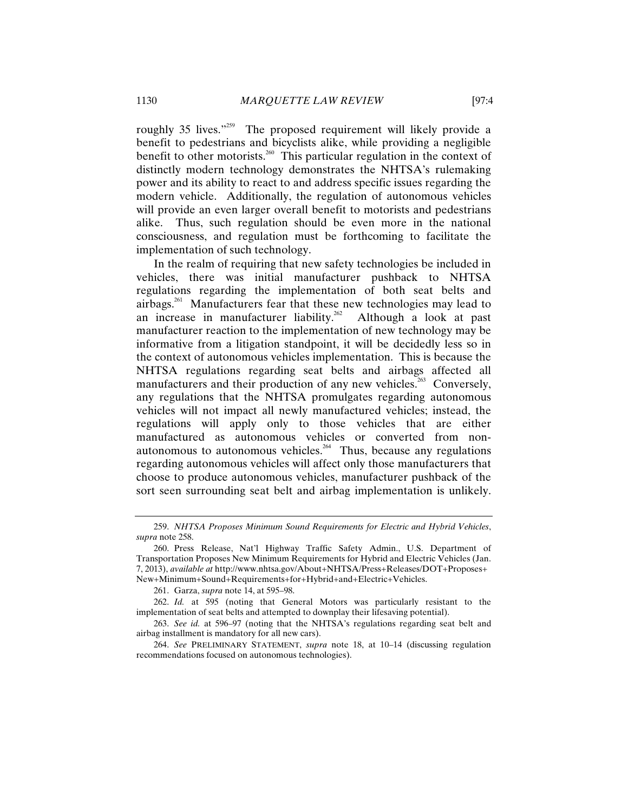roughly 35 lives."<sup>259</sup> The proposed requirement will likely provide a benefit to pedestrians and bicyclists alike, while providing a negligible benefit to other motorists.<sup>260</sup> This particular regulation in the context of distinctly modern technology demonstrates the NHTSA's rulemaking power and its ability to react to and address specific issues regarding the modern vehicle. Additionally, the regulation of autonomous vehicles will provide an even larger overall benefit to motorists and pedestrians alike. Thus, such regulation should be even more in the national consciousness, and regulation must be forthcoming to facilitate the implementation of such technology.

In the realm of requiring that new safety technologies be included in vehicles, there was initial manufacturer pushback to NHTSA regulations regarding the implementation of both seat belts and airbags.261 Manufacturers fear that these new technologies may lead to an increase in manufacturer liability.<sup>262</sup> Although a look at past manufacturer reaction to the implementation of new technology may be informative from a litigation standpoint, it will be decidedly less so in the context of autonomous vehicles implementation. This is because the NHTSA regulations regarding seat belts and airbags affected all manufacturers and their production of any new vehicles.<sup>263</sup> Conversely, any regulations that the NHTSA promulgates regarding autonomous vehicles will not impact all newly manufactured vehicles; instead, the regulations will apply only to those vehicles that are either manufactured as autonomous vehicles or converted from nonautonomous to autonomous vehicles.<sup>264</sup> Thus, because any regulations regarding autonomous vehicles will affect only those manufacturers that choose to produce autonomous vehicles, manufacturer pushback of the sort seen surrounding seat belt and airbag implementation is unlikely.

261. Garza, *supra* note 14, at 595–98.

<sup>259.</sup> *NHTSA Proposes Minimum Sound Requirements for Electric and Hybrid Vehicles*, *supra* note 258.

<sup>260.</sup> Press Release, Nat'l Highway Traffic Safety Admin., U.S. Department of Transportation Proposes New Minimum Requirements for Hybrid and Electric Vehicles (Jan. 7, 2013), *available at* http://www.nhtsa.gov/About+NHTSA/Press+Releases/DOT+Proposes+ New+Minimum+Sound+Requirements+for+Hybrid+and+Electric+Vehicles.

<sup>262.</sup> *Id.* at 595 (noting that General Motors was particularly resistant to the implementation of seat belts and attempted to downplay their lifesaving potential).

<sup>263.</sup> *See id.* at 596–97 (noting that the NHTSA's regulations regarding seat belt and airbag installment is mandatory for all new cars).

<sup>264.</sup> *See* PRELIMINARY STATEMENT, *supra* note 18, at 10–14 (discussing regulation recommendations focused on autonomous technologies).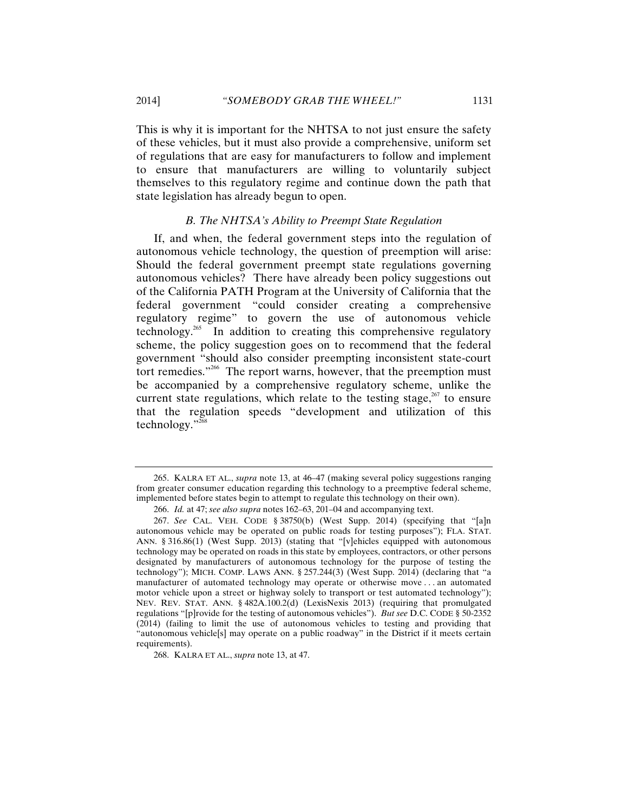This is why it is important for the NHTSA to not just ensure the safety of these vehicles, but it must also provide a comprehensive, uniform set of regulations that are easy for manufacturers to follow and implement to ensure that manufacturers are willing to voluntarily subject themselves to this regulatory regime and continue down the path that state legislation has already begun to open.

#### *B. The NHTSA's Ability to Preempt State Regulation*

If, and when, the federal government steps into the regulation of autonomous vehicle technology, the question of preemption will arise: Should the federal government preempt state regulations governing autonomous vehicles? There have already been policy suggestions out of the California PATH Program at the University of California that the federal government "could consider creating a comprehensive regulatory regime" to govern the use of autonomous vehicle technology.<sup>265</sup> In addition to creating this comprehensive regulatory scheme, the policy suggestion goes on to recommend that the federal government "should also consider preempting inconsistent state-court tort remedies."266 The report warns, however, that the preemption must be accompanied by a comprehensive regulatory scheme, unlike the current state regulations, which relate to the testing stage, $267$  to ensure that the regulation speeds "development and utilization of this technology."268

<sup>265.</sup> KALRA ET AL., *supra* note 13, at 46–47 (making several policy suggestions ranging from greater consumer education regarding this technology to a preemptive federal scheme, implemented before states begin to attempt to regulate this technology on their own).

<sup>266.</sup> *Id.* at 47; *see also supra* notes 162–63, 201–04 and accompanying text.

<sup>267.</sup> *See* CAL. VEH. CODE § 38750(b) (West Supp. 2014) (specifying that "[a]n autonomous vehicle may be operated on public roads for testing purposes"); FLA. STAT. ANN. § 316.86(1) (West Supp. 2013) (stating that "[v]ehicles equipped with autonomous technology may be operated on roads in this state by employees, contractors, or other persons designated by manufacturers of autonomous technology for the purpose of testing the technology"); MICH. COMP. LAWS ANN. § 257.244(3) (West Supp. 2014) (declaring that "a manufacturer of automated technology may operate or otherwise move . . . an automated motor vehicle upon a street or highway solely to transport or test automated technology"); NEV. REV. STAT. ANN. § 482A.100.2(d) (LexisNexis 2013) (requiring that promulgated regulations "[p]rovide for the testing of autonomous vehicles"). *But see* D.C. CODE § 50-2352 (2014) (failing to limit the use of autonomous vehicles to testing and providing that "autonomous vehicle[s] may operate on a public roadway" in the District if it meets certain requirements).

<sup>268.</sup> KALRA ET AL., *supra* note 13, at 47.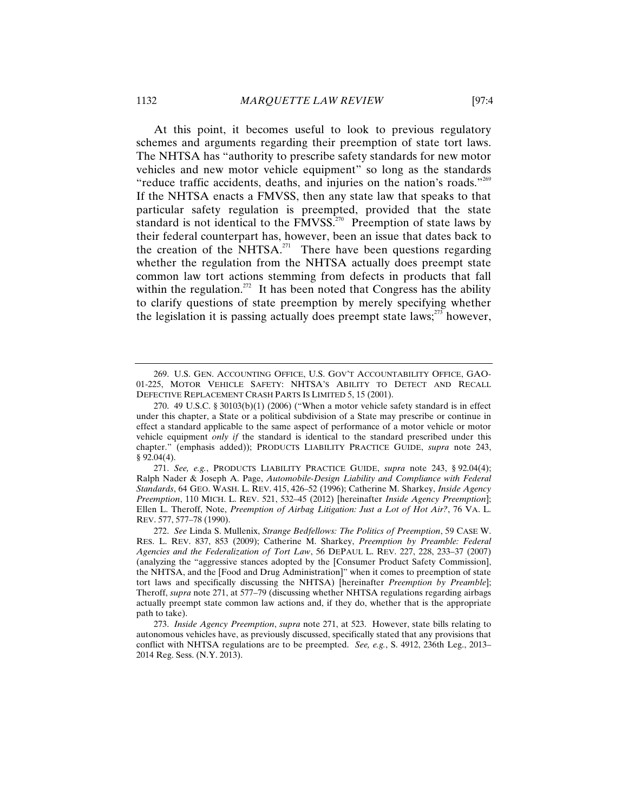At this point, it becomes useful to look to previous regulatory schemes and arguments regarding their preemption of state tort laws. The NHTSA has "authority to prescribe safety standards for new motor vehicles and new motor vehicle equipment" so long as the standards "reduce traffic accidents, deaths, and injuries on the nation's roads."<sup>269</sup> If the NHTSA enacts a FMVSS, then any state law that speaks to that particular safety regulation is preempted, provided that the state standard is not identical to the  $\frac{1}{270}$  Preemption of state laws by their federal counterpart has, however, been an issue that dates back to the creation of the NHTSA.<sup>271</sup> There have been questions regarding whether the regulation from the NHTSA actually does preempt state common law tort actions stemming from defects in products that fall within the regulation.<sup>272</sup> It has been noted that Congress has the ability to clarify questions of state preemption by merely specifying whether the legislation it is passing actually does preempt state laws; $^{275}$  however,

<sup>269.</sup> U.S. GEN. ACCOUNTING OFFICE, U.S. GOV'T ACCOUNTABILITY OFFICE, GAO-01-225, MOTOR VEHICLE SAFETY: NHTSA'S ABILITY TO DETECT AND RECALL DEFECTIVE REPLACEMENT CRASH PARTS IS LIMITED 5, 15 (2001).

<sup>270. 49</sup> U.S.C. § 30103(b)(1) (2006) ("When a motor vehicle safety standard is in effect under this chapter, a State or a political subdivision of a State may prescribe or continue in effect a standard applicable to the same aspect of performance of a motor vehicle or motor vehicle equipment *only if* the standard is identical to the standard prescribed under this chapter." (emphasis added)); PRODUCTS LIABILITY PRACTICE GUIDE, *supra* note 243, § 92.04(4).

<sup>271.</sup> *See, e.g.*, PRODUCTS LIABILITY PRACTICE GUIDE, *supra* note 243, § 92.04(4); Ralph Nader & Joseph A. Page, *Automobile-Design Liability and Compliance with Federal Standards*, 64 GEO. WASH. L. REV. 415, 426–52 (1996); Catherine M. Sharkey, *Inside Agency Preemption*, 110 MICH. L. REV. 521, 532–45 (2012) [hereinafter *Inside Agency Preemption*]; Ellen L. Theroff, Note, *Preemption of Airbag Litigation: Just a Lot of Hot Air?*, 76 VA. L. REV. 577, 577–78 (1990).

<sup>272.</sup> *See* Linda S. Mullenix, *Strange Bedfellows: The Politics of Preemption*, 59 CASE W. RES. L. REV. 837, 853 (2009); Catherine M. Sharkey, *Preemption by Preamble: Federal Agencies and the Federalization of Tort Law*, 56 DEPAUL L. REV. 227, 228, 233–37 (2007) (analyzing the "aggressive stances adopted by the [Consumer Product Safety Commission], the NHTSA, and the [Food and Drug Administration]" when it comes to preemption of state tort laws and specifically discussing the NHTSA) [hereinafter *Preemption by Preamble*]; Theroff, *supra* note 271, at 577–79 (discussing whether NHTSA regulations regarding airbags actually preempt state common law actions and, if they do, whether that is the appropriate path to take).

<sup>273.</sup> *Inside Agency Preemption*, *supra* note 271, at 523. However, state bills relating to autonomous vehicles have, as previously discussed, specifically stated that any provisions that conflict with NHTSA regulations are to be preempted. *See, e.g.*, S. 4912, 236th Leg., 2013– 2014 Reg. Sess. (N.Y. 2013).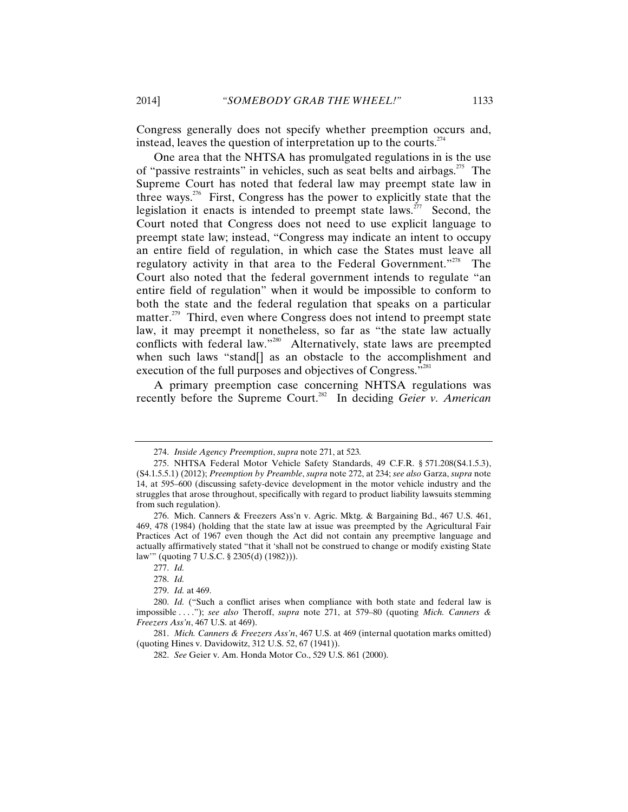Congress generally does not specify whether preemption occurs and, instead, leaves the question of interpretation up to the courts.<sup> $274$ </sup>

One area that the NHTSA has promulgated regulations in is the use of "passive restraints" in vehicles, such as seat belts and airbags.<sup>275</sup> The Supreme Court has noted that federal law may preempt state law in three ways.<sup>276</sup> First, Congress has the power to explicitly state that the legislation it enacts is intended to preempt state laws.<sup>277</sup> Second, the Court noted that Congress does not need to use explicit language to preempt state law; instead, "Congress may indicate an intent to occupy an entire field of regulation, in which case the States must leave all regulatory activity in that area to the Federal Government."278 The Court also noted that the federal government intends to regulate "an entire field of regulation" when it would be impossible to conform to both the state and the federal regulation that speaks on a particular matter.<sup>279</sup> Third, even where Congress does not intend to preempt state law, it may preempt it nonetheless, so far as "the state law actually conflicts with federal law."<sup>280</sup> Alternatively, state laws are preempted when such laws "stand<sup>[]</sup> as an obstacle to the accomplishment and execution of the full purposes and objectives of Congress."<sup>281</sup>

A primary preemption case concerning NHTSA regulations was recently before the Supreme Court.<sup>282</sup> In deciding *Geier v. American* 

<sup>274.</sup> *Inside Agency Preemption*, *supra* note 271, at 523*.*

<sup>275.</sup> NHTSA Federal Motor Vehicle Safety Standards, 49 C.F.R. § 571.208(S4.1.5.3), (S4.1.5.5.1) (2012); *Preemption by Preamble*, *supra* note 272, at 234; *see also* Garza, *supra* note 14, at 595–600 (discussing safety-device development in the motor vehicle industry and the struggles that arose throughout, specifically with regard to product liability lawsuits stemming from such regulation).

<sup>276.</sup> Mich. Canners & Freezers Ass'n v. Agric. Mktg. & Bargaining Bd., 467 U.S. 461, 469, 478 (1984) (holding that the state law at issue was preempted by the Agricultural Fair Practices Act of 1967 even though the Act did not contain any preemptive language and actually affirmatively stated "that it 'shall not be construed to change or modify existing State law'" (quoting 7 U.S.C. § 2305(d) (1982))).

<sup>277.</sup> *Id.*

<sup>278.</sup> *Id.*

<sup>279.</sup> *Id.* at 469.

<sup>280.</sup> *Id.* ("Such a conflict arises when compliance with both state and federal law is impossible . . . ."); *see also* Theroff, *supra* note 271, at 579–80 (quoting *Mich. Canners & Freezers Ass'n*, 467 U.S. at 469).

<sup>281.</sup> *Mich. Canners & Freezers Ass'n*, 467 U.S. at 469 (internal quotation marks omitted) (quoting Hines v. Davidowitz, 312 U.S. 52, 67 (1941)).

<sup>282.</sup> *See* Geier v. Am. Honda Motor Co., 529 U.S. 861 (2000).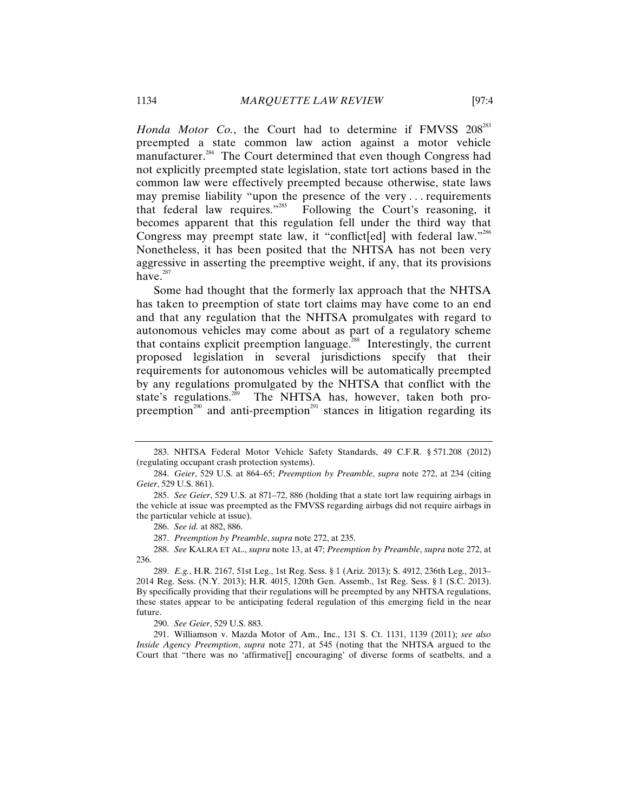Honda Motor Co., the Court had to determine if FMVSS 208<sup>283</sup> preempted a state common law action against a motor vehicle manufacturer.<sup>284</sup> The Court determined that even though Congress had not explicitly preempted state legislation, state tort actions based in the common law were effectively preempted because otherwise, state laws may premise liability "upon the presence of the very . . . requirements that federal law requires."285 Following the Court's reasoning, it becomes apparent that this regulation fell under the third way that Congress may preempt state law, it "conflict[ed] with federal law."<sup>286</sup> Nonetheless, it has been posited that the NHTSA has not been very aggressive in asserting the preemptive weight, if any, that its provisions have. $287$ 

Some had thought that the formerly lax approach that the NHTSA has taken to preemption of state tort claims may have come to an end and that any regulation that the NHTSA promulgates with regard to autonomous vehicles may come about as part of a regulatory scheme that contains explicit preemption language.<sup>288</sup> Interestingly, the current proposed legislation in several jurisdictions specify that their requirements for autonomous vehicles will be automatically preempted by any regulations promulgated by the NHTSA that conflict with the state's regulations.<sup>289</sup> The NHTSA has, however, taken both pro-The NHTSA has, however, taken both propreemption<sup>290</sup> and anti-preemption<sup>291</sup> stances in litigation regarding its

287. *Preemption by Preamble*, *supra* note 272, at 235.

288. *See* KALRA ET AL., *supra* note 13, at 47; *Preemption by Preamble*, *supra* note 272, at 236.

290. *See Geier*, 529 U.S. 883.

291. Williamson v. Mazda Motor of Am., Inc., 131 S. Ct. 1131, 1139 (2011); *see also Inside Agency Preemption*, *supra* note 271, at 545 (noting that the NHTSA argued to the Court that "there was no 'affirmative[] encouraging' of diverse forms of seatbelts, and a

<sup>283.</sup> NHTSA Federal Motor Vehicle Safety Standards, 49 C.F.R. § 571.208 (2012) (regulating occupant crash protection systems).

<sup>284.</sup> *Geier*, 529 U.S. at 864–65; *Preemption by Preamble*, *supra* note 272, at 234 (citing *Geier*, 529 U.S. 861).

<sup>285.</sup> *See Geier*, 529 U.S. at 871–72, 886 (holding that a state tort law requiring airbags in the vehicle at issue was preempted as the FMVSS regarding airbags did not require airbags in the particular vehicle at issue).

<sup>286.</sup> *See id.* at 882, 886.

<sup>289.</sup> *E.g.*, H.R. 2167, 51st Leg., 1st Reg. Sess. § 1 (Ariz. 2013); S. 4912, 236th Leg., 2013– 2014 Reg. Sess. (N.Y. 2013); H.R. 4015, 120th Gen. Assemb., 1st Reg. Sess. § 1 (S.C. 2013). By specifically providing that their regulations will be preempted by any NHTSA regulations, these states appear to be anticipating federal regulation of this emerging field in the near future.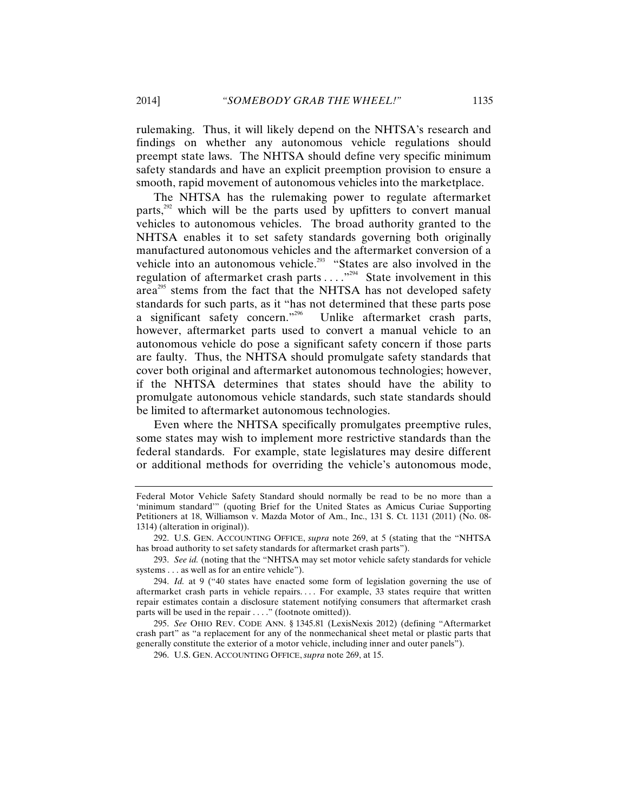rulemaking. Thus, it will likely depend on the NHTSA's research and findings on whether any autonomous vehicle regulations should preempt state laws. The NHTSA should define very specific minimum safety standards and have an explicit preemption provision to ensure a smooth, rapid movement of autonomous vehicles into the marketplace.

The NHTSA has the rulemaking power to regulate aftermarket parts,<sup>292</sup> which will be the parts used by upfitters to convert manual vehicles to autonomous vehicles. The broad authority granted to the NHTSA enables it to set safety standards governing both originally manufactured autonomous vehicles and the aftermarket conversion of a vehicle into an autonomous vehicle.<sup>293</sup> "States are also involved in the regulation of aftermarket crash parts  $\dots$ ."<sup>294</sup> State involvement in this area<sup>295</sup> stems from the fact that the NHTSA has not developed safety standards for such parts, as it "has not determined that these parts pose a significant safety concern."296 Unlike aftermarket crash parts, however, aftermarket parts used to convert a manual vehicle to an autonomous vehicle do pose a significant safety concern if those parts are faulty. Thus, the NHTSA should promulgate safety standards that cover both original and aftermarket autonomous technologies; however, if the NHTSA determines that states should have the ability to promulgate autonomous vehicle standards, such state standards should be limited to aftermarket autonomous technologies.

Even where the NHTSA specifically promulgates preemptive rules, some states may wish to implement more restrictive standards than the federal standards. For example, state legislatures may desire different or additional methods for overriding the vehicle's autonomous mode,

Federal Motor Vehicle Safety Standard should normally be read to be no more than a 'minimum standard'" (quoting Brief for the United States as Amicus Curiae Supporting Petitioners at 18, Williamson v. Mazda Motor of Am., Inc., 131 S. Ct. 1131 (2011) (No. 08- 1314) (alteration in original)).

<sup>292.</sup> U.S. GEN. ACCOUNTING OFFICE, *supra* note 269, at 5 (stating that the "NHTSA has broad authority to set safety standards for aftermarket crash parts").

<sup>293.</sup> *See id.* (noting that the "NHTSA may set motor vehicle safety standards for vehicle systems . . . as well as for an entire vehicle").

<sup>294.</sup> *Id.* at 9 ("40 states have enacted some form of legislation governing the use of aftermarket crash parts in vehicle repairs.... For example, 33 states require that written repair estimates contain a disclosure statement notifying consumers that aftermarket crash parts will be used in the repair . . . ." (footnote omitted)).

<sup>295.</sup> *See* OHIO REV. CODE ANN. § 1345.81 (LexisNexis 2012) (defining "Aftermarket crash part" as "a replacement for any of the nonmechanical sheet metal or plastic parts that generally constitute the exterior of a motor vehicle, including inner and outer panels").

<sup>296.</sup> U.S. GEN. ACCOUNTING OFFICE, *supra* note 269, at 15.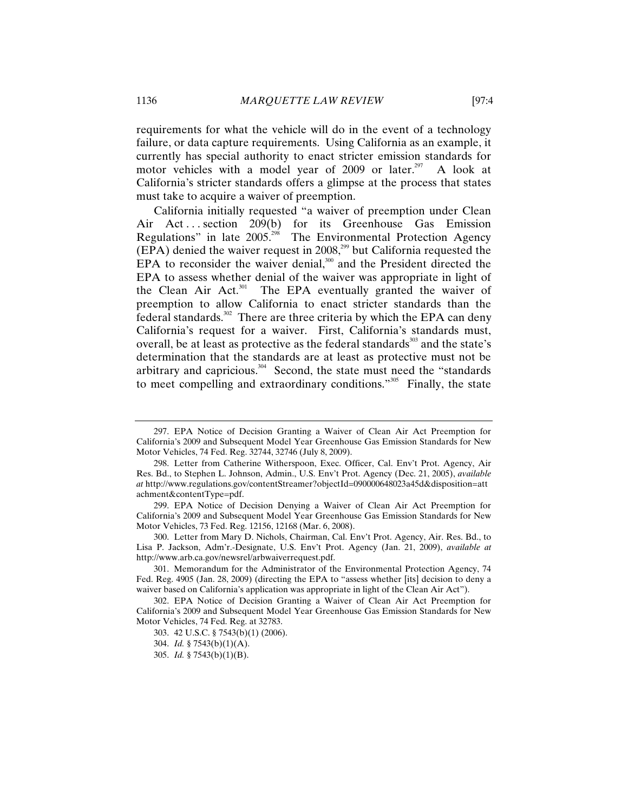requirements for what the vehicle will do in the event of a technology failure, or data capture requirements. Using California as an example, it currently has special authority to enact stricter emission standards for motor vehicles with a model year of 2009 or later.<sup>297</sup> A look at California's stricter standards offers a glimpse at the process that states must take to acquire a waiver of preemption.

California initially requested "a waiver of preemption under Clean Air Act... section 209(b) for its Greenhouse Gas Emission Regulations" in late 2005.298 The Environmental Protection Agency  $(EPA)$  denied the waiver request in 2008,<sup>299</sup> but California requested the EPA to reconsider the waiver denial, $300$  and the President directed the EPA to assess whether denial of the waiver was appropriate in light of the Clean Air Act.<sup>301</sup> The EPA eventually granted the waiver of preemption to allow California to enact stricter standards than the  $\frac{1}{2}$  federal standards.<sup>302</sup> There are three criteria by which the EPA can deny California's request for a waiver. First, California's standards must, overall, be at least as protective as the federal standards<sup>303</sup> and the state's determination that the standards are at least as protective must not be arbitrary and capricious.<sup>304</sup> Second, the state must need the "standards" to meet compelling and extraordinary conditions."<sup>305</sup> Finally, the state

<sup>297.</sup> EPA Notice of Decision Granting a Waiver of Clean Air Act Preemption for California's 2009 and Subsequent Model Year Greenhouse Gas Emission Standards for New Motor Vehicles, 74 Fed. Reg. 32744, 32746 (July 8, 2009).

<sup>298.</sup> Letter from Catherine Witherspoon, Exec. Officer, Cal. Env't Prot. Agency, Air Res. Bd., to Stephen L. Johnson, Admin., U.S. Env't Prot. Agency (Dec. 21, 2005), *available at* http://www.regulations.gov/contentStreamer?objectId=090000648023a45d&disposition=att achment&contentType=pdf.

<sup>299.</sup> EPA Notice of Decision Denying a Waiver of Clean Air Act Preemption for California's 2009 and Subsequent Model Year Greenhouse Gas Emission Standards for New Motor Vehicles, 73 Fed. Reg. 12156, 12168 (Mar. 6, 2008).

<sup>300.</sup> Letter from Mary D. Nichols, Chairman, Cal. Env't Prot. Agency, Air. Res. Bd., to Lisa P. Jackson, Adm'r.-Designate, U.S. Env't Prot. Agency (Jan. 21, 2009), *available at*  http://www.arb.ca.gov/newsrel/arbwaiverrequest.pdf.

<sup>301.</sup> Memorandum for the Administrator of the Environmental Protection Agency, 74 Fed. Reg. 4905 (Jan. 28, 2009) (directing the EPA to "assess whether [its] decision to deny a waiver based on California's application was appropriate in light of the Clean Air Act").

<sup>302.</sup> EPA Notice of Decision Granting a Waiver of Clean Air Act Preemption for California's 2009 and Subsequent Model Year Greenhouse Gas Emission Standards for New Motor Vehicles, 74 Fed. Reg. at 32783.

<sup>303. 42</sup> U.S.C. § 7543(b)(1) (2006).

<sup>304.</sup> *Id.* § 7543(b)(1)(A).

<sup>305.</sup> *Id.* § 7543(b)(1)(B).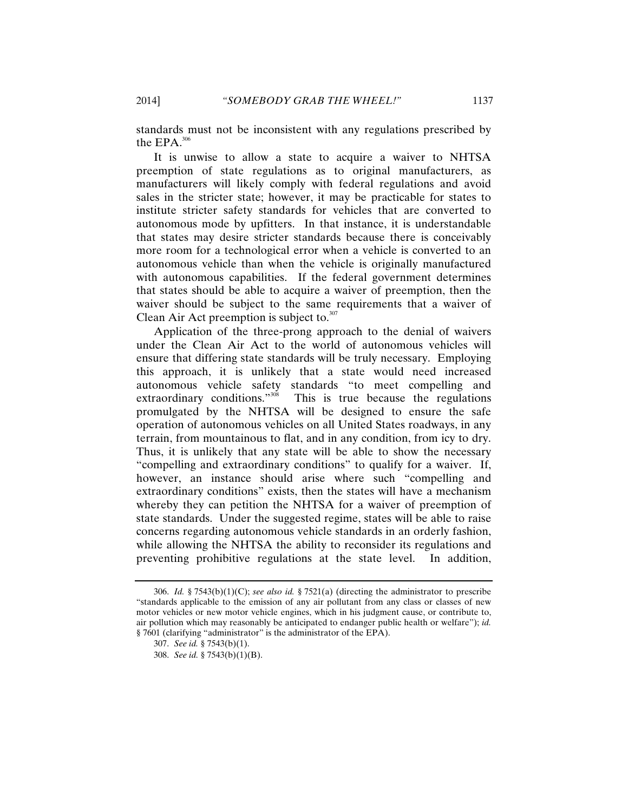standards must not be inconsistent with any regulations prescribed by the  $EPA$ .<sup>306</sup>

It is unwise to allow a state to acquire a waiver to NHTSA preemption of state regulations as to original manufacturers, as manufacturers will likely comply with federal regulations and avoid sales in the stricter state; however, it may be practicable for states to institute stricter safety standards for vehicles that are converted to autonomous mode by upfitters. In that instance, it is understandable that states may desire stricter standards because there is conceivably more room for a technological error when a vehicle is converted to an autonomous vehicle than when the vehicle is originally manufactured with autonomous capabilities. If the federal government determines that states should be able to acquire a waiver of preemption, then the waiver should be subject to the same requirements that a waiver of Clean Air Act preemption is subject to. $307$ 

Application of the three-prong approach to the denial of waivers under the Clean Air Act to the world of autonomous vehicles will ensure that differing state standards will be truly necessary. Employing this approach, it is unlikely that a state would need increased autonomous vehicle safety standards "to meet compelling and extraordinary conditions."<sup>308</sup> This is true because the regulations This is true because the regulations. promulgated by the NHTSA will be designed to ensure the safe operation of autonomous vehicles on all United States roadways, in any terrain, from mountainous to flat, and in any condition, from icy to dry. Thus, it is unlikely that any state will be able to show the necessary "compelling and extraordinary conditions" to qualify for a waiver. If, however, an instance should arise where such "compelling and extraordinary conditions" exists, then the states will have a mechanism whereby they can petition the NHTSA for a waiver of preemption of state standards. Under the suggested regime, states will be able to raise concerns regarding autonomous vehicle standards in an orderly fashion, while allowing the NHTSA the ability to reconsider its regulations and preventing prohibitive regulations at the state level. In addition,

<sup>306.</sup> *Id.* § 7543(b)(1)(C); *see also id.* § 7521(a) (directing the administrator to prescribe "standards applicable to the emission of any air pollutant from any class or classes of new motor vehicles or new motor vehicle engines, which in his judgment cause, or contribute to, air pollution which may reasonably be anticipated to endanger public health or welfare"); *id.*  § 7601 (clarifying "administrator" is the administrator of the EPA).

<sup>307.</sup> *See id.* § 7543(b)(1).

<sup>308.</sup> *See id.* § 7543(b)(1)(B).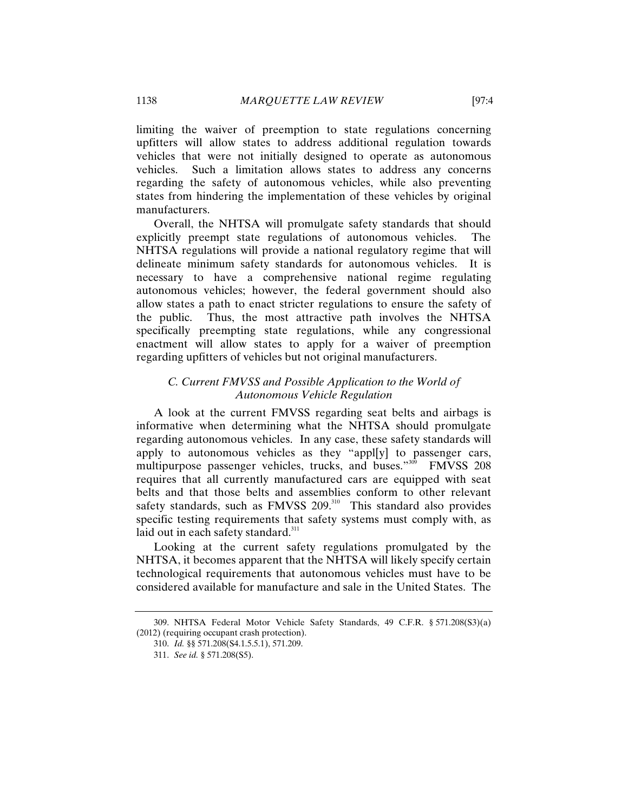limiting the waiver of preemption to state regulations concerning upfitters will allow states to address additional regulation towards vehicles that were not initially designed to operate as autonomous vehicles. Such a limitation allows states to address any concerns regarding the safety of autonomous vehicles, while also preventing states from hindering the implementation of these vehicles by original manufacturers.

Overall, the NHTSA will promulgate safety standards that should explicitly preempt state regulations of autonomous vehicles. The NHTSA regulations will provide a national regulatory regime that will delineate minimum safety standards for autonomous vehicles. It is necessary to have a comprehensive national regime regulating autonomous vehicles; however, the federal government should also allow states a path to enact stricter regulations to ensure the safety of the public. Thus, the most attractive path involves the NHTSA specifically preempting state regulations, while any congressional enactment will allow states to apply for a waiver of preemption regarding upfitters of vehicles but not original manufacturers.

# *C. Current FMVSS and Possible Application to the World of Autonomous Vehicle Regulation*

A look at the current FMVSS regarding seat belts and airbags is informative when determining what the NHTSA should promulgate regarding autonomous vehicles. In any case, these safety standards will apply to autonomous vehicles as they "appl[y] to passenger cars, multipurpose passenger vehicles, trucks, and buses."<sup>309</sup> FMVSS 208 requires that all currently manufactured cars are equipped with seat belts and that those belts and assemblies conform to other relevant safety standards, such as FMVSS 209.<sup>310</sup> This standard also provides specific testing requirements that safety systems must comply with, as laid out in each safety standard. $311$ 

Looking at the current safety regulations promulgated by the NHTSA, it becomes apparent that the NHTSA will likely specify certain technological requirements that autonomous vehicles must have to be considered available for manufacture and sale in the United States. The

<sup>309.</sup> NHTSA Federal Motor Vehicle Safety Standards, 49 C.F.R. § 571.208(S3)(a) (2012) (requiring occupant crash protection).

<sup>310.</sup> *Id.* §§ 571.208(S4.1.5.5.1), 571.209.

<sup>311.</sup> *See id.* § 571.208(S5).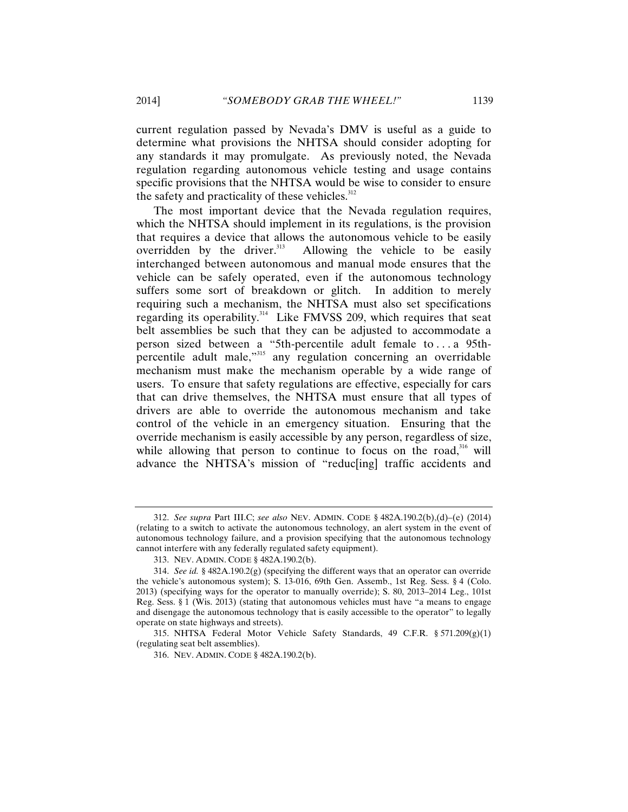current regulation passed by Nevada's DMV is useful as a guide to determine what provisions the NHTSA should consider adopting for any standards it may promulgate. As previously noted, the Nevada regulation regarding autonomous vehicle testing and usage contains specific provisions that the NHTSA would be wise to consider to ensure the safety and practicality of these vehicles.<sup>312</sup>

The most important device that the Nevada regulation requires, which the NHTSA should implement in its regulations, is the provision that requires a device that allows the autonomous vehicle to be easily overridden by the driver.<sup>313</sup> Allowing the vehicle to be easily Allowing the vehicle to be easily. interchanged between autonomous and manual mode ensures that the vehicle can be safely operated, even if the autonomous technology suffers some sort of breakdown or glitch. In addition to merely requiring such a mechanism, the NHTSA must also set specifications regarding its operability.<sup>314</sup> Like FMVSS 209, which requires that seat belt assemblies be such that they can be adjusted to accommodate a person sized between a "5th-percentile adult female to . . . a 95thpercentile adult male,"315 any regulation concerning an overridable mechanism must make the mechanism operable by a wide range of users. To ensure that safety regulations are effective, especially for cars that can drive themselves, the NHTSA must ensure that all types of drivers are able to override the autonomous mechanism and take control of the vehicle in an emergency situation. Ensuring that the override mechanism is easily accessible by any person, regardless of size, while allowing that person to continue to focus on the road,  $316$  will advance the NHTSA's mission of "reduc[ing] traffic accidents and

<sup>312.</sup> *See supra* Part III.C; *see also* NEV. ADMIN. CODE § 482A.190.2(b),(d)–(e) (2014) (relating to a switch to activate the autonomous technology, an alert system in the event of autonomous technology failure, and a provision specifying that the autonomous technology cannot interfere with any federally regulated safety equipment).

<sup>313.</sup> NEV. ADMIN. CODE § 482A.190.2(b).

<sup>314.</sup> *See id.* § 482A.190.2(g) (specifying the different ways that an operator can override the vehicle's autonomous system); S. 13-016, 69th Gen. Assemb., 1st Reg. Sess. § 4 (Colo. 2013) (specifying ways for the operator to manually override); S. 80, 2013–2014 Leg., 101st Reg. Sess. § 1 (Wis. 2013) (stating that autonomous vehicles must have "a means to engage and disengage the autonomous technology that is easily accessible to the operator" to legally operate on state highways and streets).

<sup>315.</sup> NHTSA Federal Motor Vehicle Safety Standards, 49 C.F.R.  $\S 571.209(g)(1)$ (regulating seat belt assemblies).

<sup>316.</sup> NEV. ADMIN. CODE § 482A.190.2(b).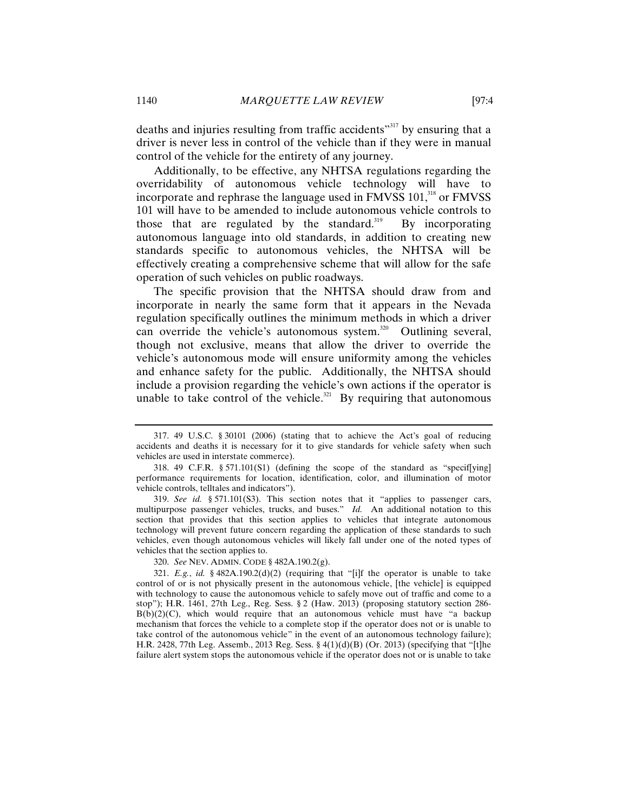deaths and injuries resulting from traffic accidents"<sup>317</sup> by ensuring that a driver is never less in control of the vehicle than if they were in manual control of the vehicle for the entirety of any journey.

Additionally, to be effective, any NHTSA regulations regarding the overridability of autonomous vehicle technology will have to incorporate and rephrase the language used in FMVSS 101,<sup>318</sup> or FMVSS 101 will have to be amended to include autonomous vehicle controls to those that are regulated by the standard.<sup>319</sup> By incorporating autonomous language into old standards, in addition to creating new standards specific to autonomous vehicles, the NHTSA will be effectively creating a comprehensive scheme that will allow for the safe operation of such vehicles on public roadways.

The specific provision that the NHTSA should draw from and incorporate in nearly the same form that it appears in the Nevada regulation specifically outlines the minimum methods in which a driver can override the vehicle's autonomous system.<sup>320</sup> Outlining several, though not exclusive, means that allow the driver to override the vehicle's autonomous mode will ensure uniformity among the vehicles and enhance safety for the public. Additionally, the NHTSA should include a provision regarding the vehicle's own actions if the operator is unable to take control of the vehicle.<sup>321</sup> By requiring that autonomous

319. *See id.* § 571.101(S3). This section notes that it "applies to passenger cars, multipurpose passenger vehicles, trucks, and buses." *Id.* An additional notation to this section that provides that this section applies to vehicles that integrate autonomous technology will prevent future concern regarding the application of these standards to such vehicles, even though autonomous vehicles will likely fall under one of the noted types of vehicles that the section applies to.

320. *See* NEV. ADMIN. CODE § 482A.190.2(g).

<sup>317. 49</sup> U.S.C. § 30101 (2006) (stating that to achieve the Act's goal of reducing accidents and deaths it is necessary for it to give standards for vehicle safety when such vehicles are used in interstate commerce).

<sup>318. 49</sup> C.F.R. § 571.101(S1) (defining the scope of the standard as "specif[ying] performance requirements for location, identification, color, and illumination of motor vehicle controls, telltales and indicators").

<sup>321.</sup> *E.g.*, *id.* § 482A.190.2(d)(2) (requiring that "[i]f the operator is unable to take control of or is not physically present in the autonomous vehicle, [the vehicle] is equipped with technology to cause the autonomous vehicle to safely move out of traffic and come to a stop"); H.R. 1461, 27th Leg., Reg. Sess. § 2 (Haw. 2013) (proposing statutory section 286-  $B(b)(2)(C)$ , which would require that an autonomous vehicle must have "a backup mechanism that forces the vehicle to a complete stop if the operator does not or is unable to take control of the autonomous vehicle" in the event of an autonomous technology failure); H.R. 2428, 77th Leg. Assemb., 2013 Reg. Sess. § 4(1)(d)(B) (Or. 2013) (specifying that "[t]he failure alert system stops the autonomous vehicle if the operator does not or is unable to take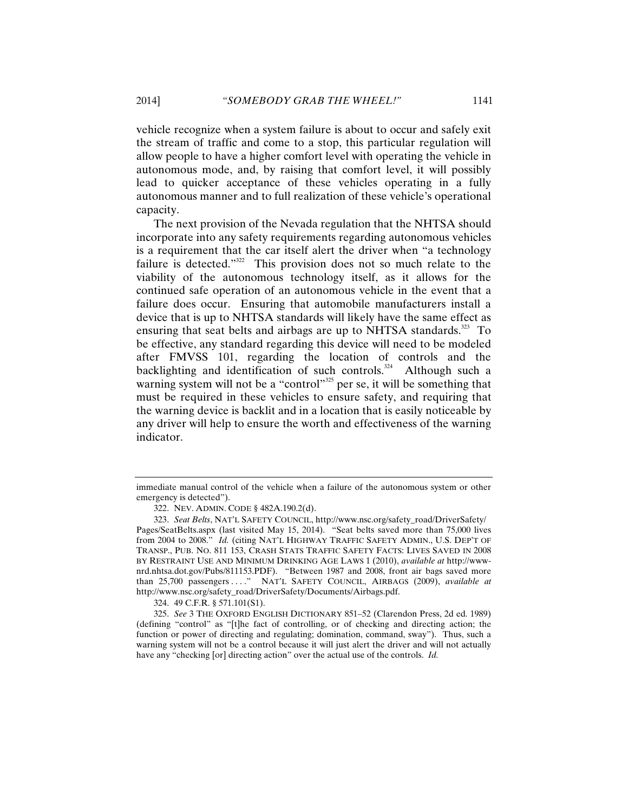vehicle recognize when a system failure is about to occur and safely exit the stream of traffic and come to a stop, this particular regulation will allow people to have a higher comfort level with operating the vehicle in autonomous mode, and, by raising that comfort level, it will possibly lead to quicker acceptance of these vehicles operating in a fully autonomous manner and to full realization of these vehicle's operational capacity.

The next provision of the Nevada regulation that the NHTSA should incorporate into any safety requirements regarding autonomous vehicles is a requirement that the car itself alert the driver when "a technology failure is detected."<sup>322</sup> This provision does not so much relate to the viability of the autonomous technology itself, as it allows for the continued safe operation of an autonomous vehicle in the event that a failure does occur. Ensuring that automobile manufacturers install a device that is up to NHTSA standards will likely have the same effect as ensuring that seat belts and airbags are up to NHTSA standards.<sup>323</sup> To be effective, any standard regarding this device will need to be modeled after FMVSS 101, regarding the location of controls and the backlighting and identification of such controls.<sup>324</sup> Although such a warning system will not be a "control"<sup>325</sup> per se, it will be something that must be required in these vehicles to ensure safety, and requiring that the warning device is backlit and in a location that is easily noticeable by any driver will help to ensure the worth and effectiveness of the warning indicator.

324. 49 C.F.R. § 571.101(S1).

immediate manual control of the vehicle when a failure of the autonomous system or other emergency is detected").

<sup>322.</sup> NEV. ADMIN. CODE § 482A.190.2(d).

<sup>323.</sup> *Seat Belts*, NAT'L SAFETY COUNCIL, http://www.nsc.org/safety\_road/DriverSafety/ Pages/SeatBelts.aspx (last visited May 15, 2014). "Seat belts saved more than 75,000 lives from 2004 to 2008." *Id.* (citing NAT'L HIGHWAY TRAFFIC SAFETY ADMIN., U.S. DEP'T OF TRANSP., PUB. NO. 811 153, CRASH STATS TRAFFIC SAFETY FACTS: LIVES SAVED IN 2008 BY RESTRAINT USE AND MINIMUM DRINKING AGE LAWS 1 (2010), *available at* http://wwwnrd.nhtsa.dot.gov/Pubs/811153.PDF). "Between 1987 and 2008, front air bags saved more than 25,700 passengers . . . ." NAT'L SAFETY COUNCIL, AIRBAGS (2009), *available at*  http://www.nsc.org/safety\_road/DriverSafety/Documents/Airbags.pdf.

<sup>325.</sup> *See* 3 THE OXFORD ENGLISH DICTIONARY 851–52 (Clarendon Press, 2d ed. 1989) (defining "control" as "[t]he fact of controlling, or of checking and directing action; the function or power of directing and regulating; domination, command, sway"). Thus, such a warning system will not be a control because it will just alert the driver and will not actually have any "checking [or] directing action" over the actual use of the controls. *Id.*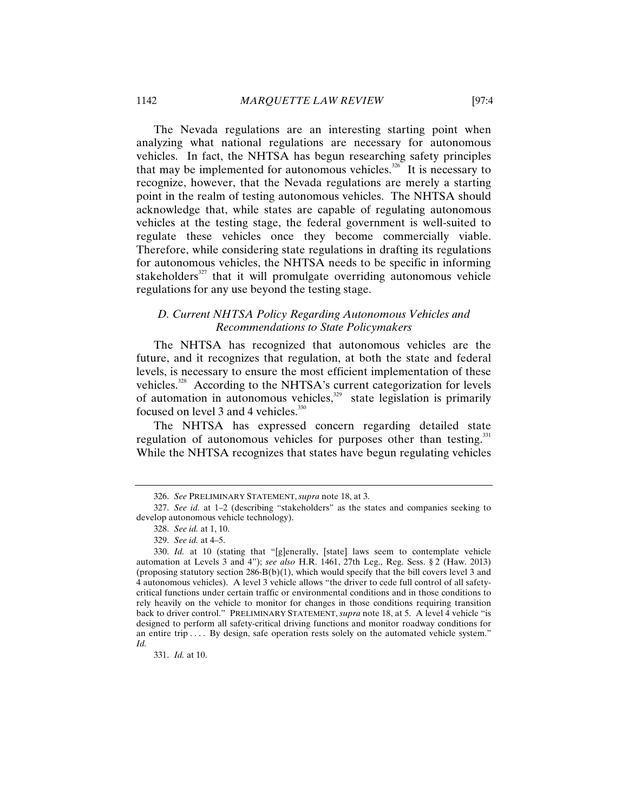The Nevada regulations are an interesting starting point when analyzing what national regulations are necessary for autonomous vehicles. In fact, the NHTSA has begun researching safety principles that may be implemented for autonomous vehicles. $326$  It is necessary to recognize, however, that the Nevada regulations are merely a starting point in the realm of testing autonomous vehicles. The NHTSA should acknowledge that, while states are capable of regulating autonomous vehicles at the testing stage, the federal government is well-suited to regulate these vehicles once they become commercially viable. Therefore, while considering state regulations in drafting its regulations for autonomous vehicles, the NHTSA needs to be specific in informing stakeholders<sup>327</sup> that it will promulgate overriding autonomous vehicle regulations for any use beyond the testing stage.

## *D. Current NHTSA Policy Regarding Autonomous Vehicles and Recommendations to State Policymakers*

The NHTSA has recognized that autonomous vehicles are the future, and it recognizes that regulation, at both the state and federal levels, is necessary to ensure the most efficient implementation of these vehicles.<sup>328</sup> According to the NHTSA's current categorization for levels of automation in autonomous vehicles, $329$  state legislation is primarily focused on level 3 and 4 vehicles.<sup>330</sup>

The NHTSA has expressed concern regarding detailed state regulation of autonomous vehicles for purposes other than testing.<sup>331</sup> While the NHTSA recognizes that states have begun regulating vehicles

<sup>326.</sup> *See* PRELIMINARY STATEMENT, *supra* note 18, at 3.

<sup>327.</sup> *See id.* at 1–2 (describing "stakeholders" as the states and companies seeking to develop autonomous vehicle technology).

<sup>328.</sup> *See id.* at 1, 10.

<sup>329.</sup> *See id.* at 4–5.

<sup>330.</sup> *Id.* at 10 (stating that "[g]enerally, [state] laws seem to contemplate vehicle automation at Levels 3 and 4"); *see also* H.R. 1461, 27th Leg., Reg. Sess. § 2 (Haw. 2013) (proposing statutory section  $286-B(b)(1)$ , which would specify that the bill covers level 3 and 4 autonomous vehicles). A level 3 vehicle allows "the driver to cede full control of all safetycritical functions under certain traffic or environmental conditions and in those conditions to rely heavily on the vehicle to monitor for changes in those conditions requiring transition back to driver control." PRELIMINARY STATEMENT, *supra* note 18, at 5. A level 4 vehicle "is designed to perform all safety-critical driving functions and monitor roadway conditions for an entire trip .... By design, safe operation rests solely on the automated vehicle system." *Id.*

<sup>331.</sup> *Id.* at 10.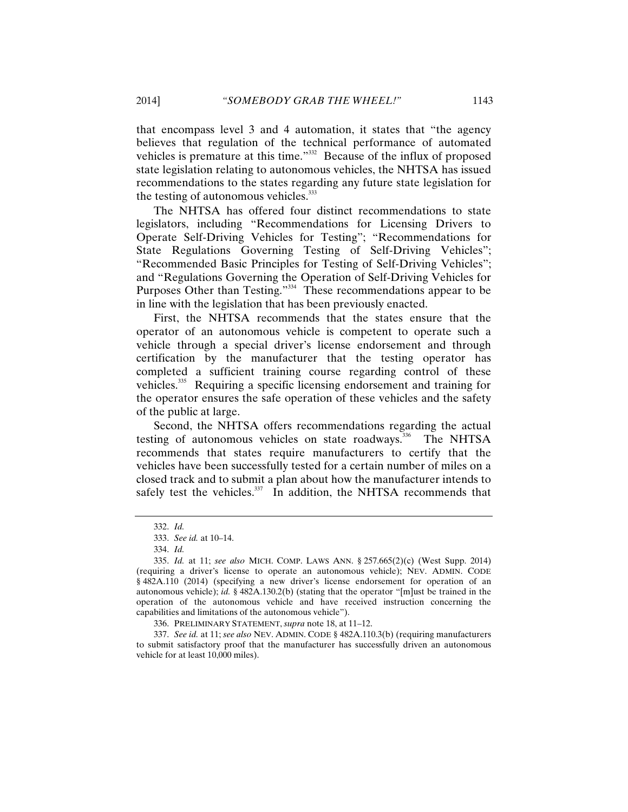that encompass level 3 and 4 automation, it states that "the agency believes that regulation of the technical performance of automated vehicles is premature at this time."<sup>332</sup> Because of the influx of proposed state legislation relating to autonomous vehicles, the NHTSA has issued recommendations to the states regarding any future state legislation for the testing of autonomous vehicles.<sup>333</sup>

The NHTSA has offered four distinct recommendations to state legislators, including "Recommendations for Licensing Drivers to Operate Self-Driving Vehicles for Testing"; "Recommendations for State Regulations Governing Testing of Self-Driving Vehicles"; "Recommended Basic Principles for Testing of Self-Driving Vehicles"; and "Regulations Governing the Operation of Self-Driving Vehicles for Purposes Other than Testing."<sup>334</sup> These recommendations appear to be in line with the legislation that has been previously enacted.

First, the NHTSA recommends that the states ensure that the operator of an autonomous vehicle is competent to operate such a vehicle through a special driver's license endorsement and through certification by the manufacturer that the testing operator has completed a sufficient training course regarding control of these vehicles.335 Requiring a specific licensing endorsement and training for the operator ensures the safe operation of these vehicles and the safety of the public at large.

Second, the NHTSA offers recommendations regarding the actual testing of autonomous vehicles on state roadways.<sup>336</sup> The NHTSA recommends that states require manufacturers to certify that the vehicles have been successfully tested for a certain number of miles on a closed track and to submit a plan about how the manufacturer intends to safely test the vehicles. $337$  In addition, the NHTSA recommends that

<sup>332.</sup> *Id.*

<sup>333.</sup> *See id.* at 10–14.

<sup>334.</sup> *Id.*

<sup>335.</sup> *Id.* at 11; *see also* MICH. COMP. LAWS ANN. § 257.665(2)(c) (West Supp. 2014) (requiring a driver's license to operate an autonomous vehicle); NEV. ADMIN. CODE § 482A.110 (2014) (specifying a new driver's license endorsement for operation of an autonomous vehicle); *id.* § 482A.130.2(b) (stating that the operator "[m]ust be trained in the operation of the autonomous vehicle and have received instruction concerning the capabilities and limitations of the autonomous vehicle").

<sup>336.</sup> PRELIMINARY STATEMENT, *supra* note 18, at 11–12.

<sup>337.</sup> *See id.* at 11; *see also* NEV. ADMIN. CODE § 482A.110.3(b) (requiring manufacturers to submit satisfactory proof that the manufacturer has successfully driven an autonomous vehicle for at least 10,000 miles).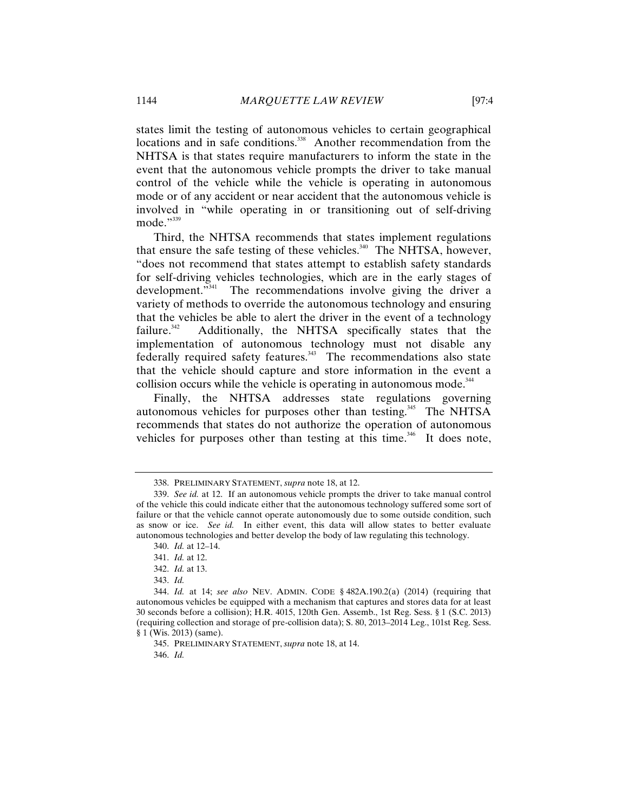states limit the testing of autonomous vehicles to certain geographical locations and in safe conditions.<sup>338</sup> Another recommendation from the NHTSA is that states require manufacturers to inform the state in the event that the autonomous vehicle prompts the driver to take manual control of the vehicle while the vehicle is operating in autonomous mode or of any accident or near accident that the autonomous vehicle is involved in "while operating in or transitioning out of self-driving  $mode.$ <sup>"339</sup>

Third, the NHTSA recommends that states implement regulations that ensure the safe testing of these vehicles.<sup>340</sup> The NHTSA, however, "does not recommend that states attempt to establish safety standards for self-driving vehicles technologies, which are in the early stages of development."<sup>341</sup> The recommendations involve giving the driver a variety of methods to override the autonomous technology and ensuring that the vehicles be able to alert the driver in the event of a technology failure.<sup>342</sup> Additionally, the NHTSA specifically states that the implementation of autonomous technology must not disable any  $f$ ederally required safety features.<sup>343</sup> The recommendations also state that the vehicle should capture and store information in the event a collision occurs while the vehicle is operating in autonomous mode.<sup>344</sup>

Finally, the NHTSA addresses state regulations governing autonomous vehicles for purposes other than testing.<sup>345</sup> The NHTSA recommends that states do not authorize the operation of autonomous vehicles for purposes other than testing at this time.<sup>346</sup> It does note,

345. PRELIMINARY STATEMENT, *supra* note 18, at 14.

346. *Id.* 

<sup>338.</sup> PRELIMINARY STATEMENT, *supra* note 18, at 12.

<sup>339.</sup> *See id.* at 12. If an autonomous vehicle prompts the driver to take manual control of the vehicle this could indicate either that the autonomous technology suffered some sort of failure or that the vehicle cannot operate autonomously due to some outside condition, such as snow or ice. *See id.* In either event, this data will allow states to better evaluate autonomous technologies and better develop the body of law regulating this technology.

<sup>340.</sup> *Id.* at 12–14.

<sup>341.</sup> *Id.* at 12.

<sup>342.</sup> *Id.* at 13.

<sup>343.</sup> *Id.*

<sup>344.</sup> *Id.* at 14; *see also* NEV. ADMIN. CODE § 482A.190.2(a) (2014) (requiring that autonomous vehicles be equipped with a mechanism that captures and stores data for at least 30 seconds before a collision); H.R. 4015, 120th Gen. Assemb., 1st Reg. Sess. § 1 (S.C. 2013) (requiring collection and storage of pre-collision data); S. 80, 2013–2014 Leg., 101st Reg. Sess. § 1 (Wis. 2013) (same).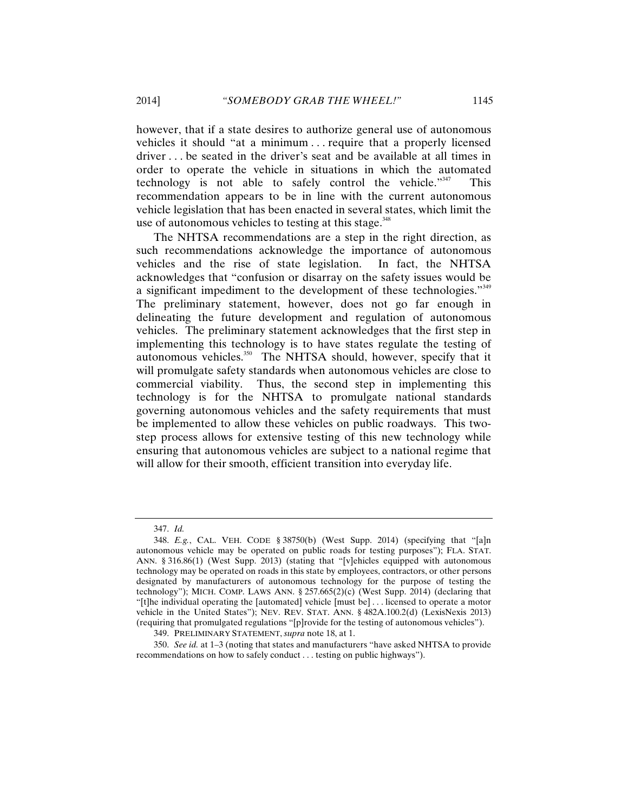however, that if a state desires to authorize general use of autonomous vehicles it should "at a minimum . . . require that a properly licensed driver . . . be seated in the driver's seat and be available at all times in order to operate the vehicle in situations in which the automated technology is not able to safely control the vehicle." $347$  This recommendation appears to be in line with the current autonomous vehicle legislation that has been enacted in several states, which limit the use of autonomous vehicles to testing at this stage.<sup>348</sup>

The NHTSA recommendations are a step in the right direction, as such recommendations acknowledge the importance of autonomous vehicles and the rise of state legislation. In fact, the NHTSA acknowledges that "confusion or disarray on the safety issues would be a significant impediment to the development of these technologies." $349$ The preliminary statement, however, does not go far enough in delineating the future development and regulation of autonomous vehicles. The preliminary statement acknowledges that the first step in implementing this technology is to have states regulate the testing of autonomous vehicles.<sup>350</sup> The NHTSA should, however, specify that it will promulgate safety standards when autonomous vehicles are close to commercial viability. Thus, the second step in implementing this technology is for the NHTSA to promulgate national standards governing autonomous vehicles and the safety requirements that must be implemented to allow these vehicles on public roadways. This twostep process allows for extensive testing of this new technology while ensuring that autonomous vehicles are subject to a national regime that will allow for their smooth, efficient transition into everyday life.

<sup>347.</sup> *Id.*

<sup>348.</sup> *E.g.*, CAL. VEH. CODE § 38750(b) (West Supp. 2014) (specifying that "[a]n autonomous vehicle may be operated on public roads for testing purposes"); FLA. STAT. ANN. § 316.86(1) (West Supp. 2013) (stating that "[v]ehicles equipped with autonomous technology may be operated on roads in this state by employees, contractors, or other persons designated by manufacturers of autonomous technology for the purpose of testing the technology"); MICH. COMP. LAWS ANN. § 257.665(2)(c) (West Supp. 2014) (declaring that "[t]he individual operating the [automated] vehicle [must be] . . . licensed to operate a motor vehicle in the United States"); NEV. REV. STAT. ANN. § 482A.100.2(d) (LexisNexis 2013) (requiring that promulgated regulations "[p]rovide for the testing of autonomous vehicles").

<sup>349.</sup> PRELIMINARY STATEMENT, *supra* note 18, at 1.

<sup>350.</sup> *See id.* at 1–3 (noting that states and manufacturers "have asked NHTSA to provide recommendations on how to safely conduct . . . testing on public highways").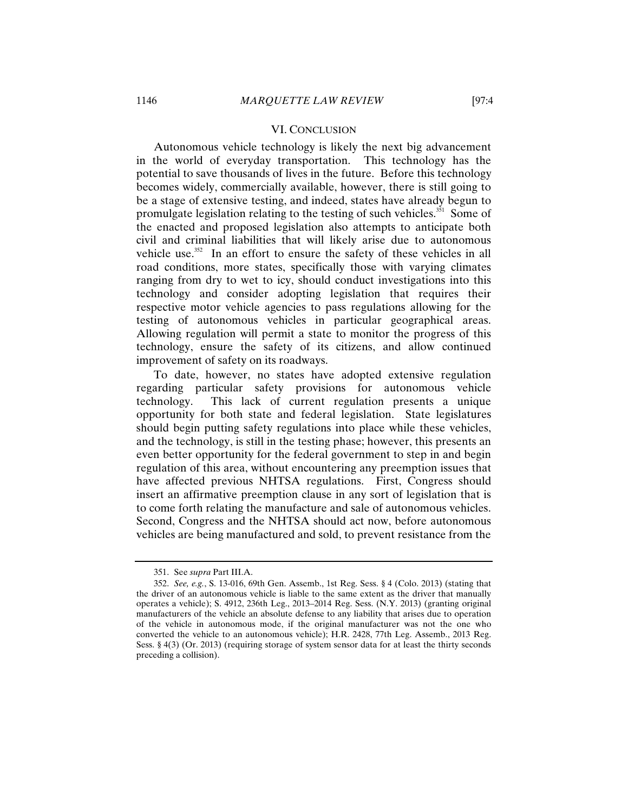#### VI. CONCLUSION

Autonomous vehicle technology is likely the next big advancement in the world of everyday transportation. This technology has the potential to save thousands of lives in the future. Before this technology becomes widely, commercially available, however, there is still going to be a stage of extensive testing, and indeed, states have already begun to promulgate legislation relating to the testing of such vehicles.<sup>351</sup> Some of the enacted and proposed legislation also attempts to anticipate both civil and criminal liabilities that will likely arise due to autonomous vehicle use.<sup>352</sup> In an effort to ensure the safety of these vehicles in all road conditions, more states, specifically those with varying climates ranging from dry to wet to icy, should conduct investigations into this technology and consider adopting legislation that requires their respective motor vehicle agencies to pass regulations allowing for the testing of autonomous vehicles in particular geographical areas. Allowing regulation will permit a state to monitor the progress of this technology, ensure the safety of its citizens, and allow continued improvement of safety on its roadways.

To date, however, no states have adopted extensive regulation regarding particular safety provisions for autonomous vehicle technology. This lack of current regulation presents a unique opportunity for both state and federal legislation. State legislatures should begin putting safety regulations into place while these vehicles, and the technology, is still in the testing phase; however, this presents an even better opportunity for the federal government to step in and begin regulation of this area, without encountering any preemption issues that have affected previous NHTSA regulations. First, Congress should insert an affirmative preemption clause in any sort of legislation that is to come forth relating the manufacture and sale of autonomous vehicles. Second, Congress and the NHTSA should act now, before autonomous vehicles are being manufactured and sold, to prevent resistance from the

<sup>351.</sup> See *supra* Part III.A.

<sup>352.</sup> *See, e.g.*, S. 13-016, 69th Gen. Assemb., 1st Reg. Sess. § 4 (Colo. 2013) (stating that the driver of an autonomous vehicle is liable to the same extent as the driver that manually operates a vehicle); S. 4912, 236th Leg., 2013–2014 Reg. Sess. (N.Y. 2013) (granting original manufacturers of the vehicle an absolute defense to any liability that arises due to operation of the vehicle in autonomous mode, if the original manufacturer was not the one who converted the vehicle to an autonomous vehicle); H.R. 2428, 77th Leg. Assemb., 2013 Reg. Sess. § 4(3) (Or. 2013) (requiring storage of system sensor data for at least the thirty seconds preceding a collision).